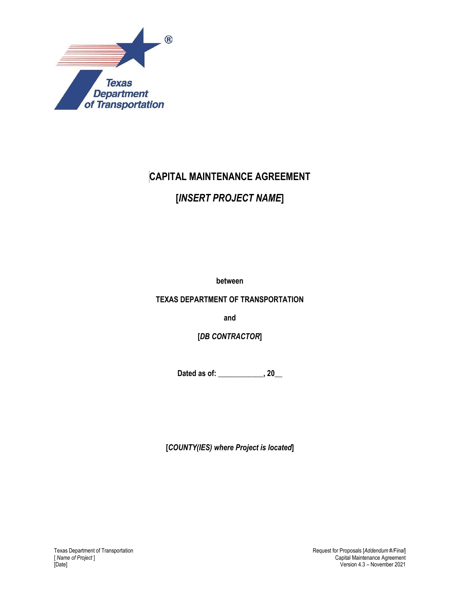

# **CAPITAL MAINTENANCE AGREEMENT**

# **[***INSERT PROJECT NAME***]**

**between**

**TEXAS DEPARTMENT OF TRANSPORTATION**

**and**

**[***DB CONTRACTOR***]**

**Dated as of: \_\_\_\_\_\_\_\_\_\_\_\_, 20\_\_**

**[***COUNTY(IES) where Project is located***]**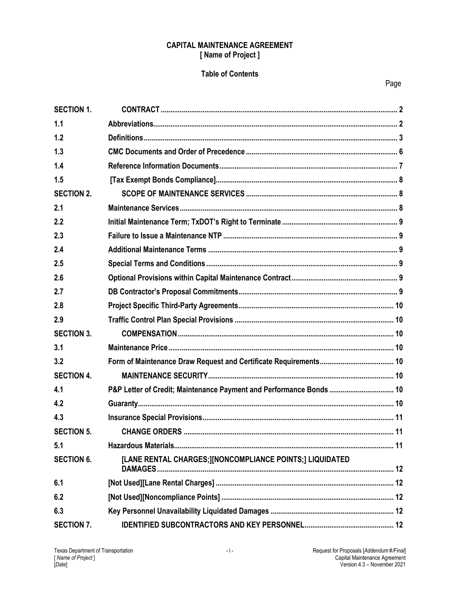#### **CAPITAL MAINTENANCE AGREEMENT** [Name of Project]

#### **Table of Contents**

| <b>SECTION 1.</b> |                                                                     |  |
|-------------------|---------------------------------------------------------------------|--|
| 1.1               |                                                                     |  |
| 1.2               |                                                                     |  |
| 1.3               |                                                                     |  |
| 1.4               |                                                                     |  |
| 1.5               |                                                                     |  |
| <b>SECTION 2.</b> |                                                                     |  |
| 2.1               |                                                                     |  |
| 2.2               |                                                                     |  |
| 2.3               |                                                                     |  |
| 2.4               |                                                                     |  |
| 2.5               |                                                                     |  |
| 2.6               |                                                                     |  |
| 2.7               |                                                                     |  |
| 2.8               |                                                                     |  |
| 2.9               |                                                                     |  |
| <b>SECTION 3.</b> |                                                                     |  |
| 3.1               |                                                                     |  |
| 3.2               |                                                                     |  |
| <b>SECTION 4.</b> |                                                                     |  |
| 4.1               | P&P Letter of Credit; Maintenance Payment and Performance Bonds  10 |  |
| 4.2               |                                                                     |  |
| 4.3               |                                                                     |  |
| <b>SECTION 5.</b> |                                                                     |  |
| 5.1               |                                                                     |  |
| <b>SECTION 6.</b> | [LANE RENTAL CHARGES;][NONCOMPLIANCE POINTS;] LIQUIDATED            |  |
| 6.1               |                                                                     |  |
| 6.2               |                                                                     |  |
| 6.3               |                                                                     |  |
| <b>SECTION 7.</b> |                                                                     |  |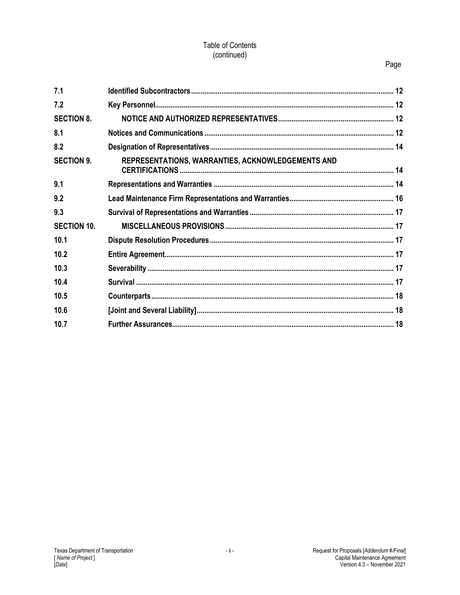#### Table of Contents (continued)

## Page

| 7.1                |                                                   |  |
|--------------------|---------------------------------------------------|--|
| 7.2                |                                                   |  |
| <b>SECTION 8.</b>  |                                                   |  |
| 8.1                |                                                   |  |
| 8.2                |                                                   |  |
| <b>SECTION 9.</b>  | REPRESENTATIONS, WARRANTIES, ACKNOWLEDGEMENTS AND |  |
| 9.1                |                                                   |  |
| 9.2                |                                                   |  |
| 9.3                |                                                   |  |
| <b>SECTION 10.</b> |                                                   |  |
| 10.1               |                                                   |  |
| 10.2               |                                                   |  |
| 10.3               |                                                   |  |
| 10.4               |                                                   |  |
| 10.5               |                                                   |  |
| 10.6               |                                                   |  |
| 10.7               |                                                   |  |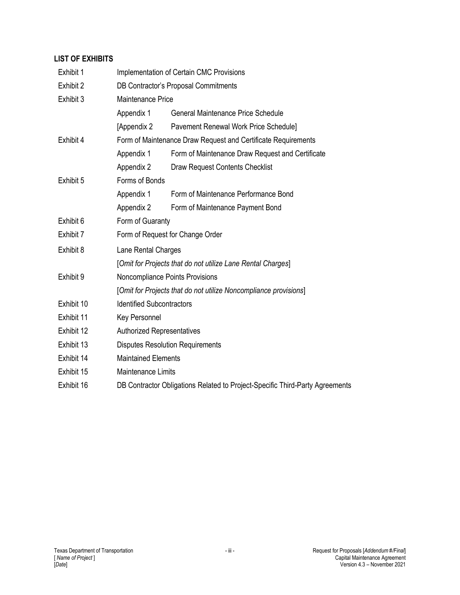## **LIST OF EXHIBITS**

| Exhibit 1  | Implementation of Certain CMC Provisions                                     |                                                                  |  |
|------------|------------------------------------------------------------------------------|------------------------------------------------------------------|--|
| Exhibit 2  | <b>DB Contractor's Proposal Commitments</b>                                  |                                                                  |  |
| Exhibit 3  | Maintenance Price                                                            |                                                                  |  |
|            | Appendix 1                                                                   | General Maintenance Price Schedule                               |  |
|            | [Appendix 2                                                                  | Pavement Renewal Work Price Schedule]                            |  |
| Exhibit 4  |                                                                              | Form of Maintenance Draw Request and Certificate Requirements    |  |
|            | Appendix 1                                                                   | Form of Maintenance Draw Request and Certificate                 |  |
|            | Appendix 2                                                                   | Draw Request Contents Checklist                                  |  |
| Exhibit 5  | Forms of Bonds                                                               |                                                                  |  |
|            | Appendix 1                                                                   | Form of Maintenance Performance Bond                             |  |
|            | Appendix 2                                                                   | Form of Maintenance Payment Bond                                 |  |
| Exhibit 6  | Form of Guaranty                                                             |                                                                  |  |
| Exhibit 7  | Form of Request for Change Order                                             |                                                                  |  |
| Exhibit 8  | Lane Rental Charges                                                          |                                                                  |  |
|            |                                                                              | [Omit for Projects that do not utilize Lane Rental Charges]      |  |
| Exhibit 9  |                                                                              | Noncompliance Points Provisions                                  |  |
|            |                                                                              | [Omit for Projects that do not utilize Noncompliance provisions] |  |
| Exhibit 10 | <b>Identified Subcontractors</b>                                             |                                                                  |  |
| Exhibit 11 | Key Personnel                                                                |                                                                  |  |
| Exhibit 12 | <b>Authorized Representatives</b>                                            |                                                                  |  |
| Exhibit 13 | <b>Disputes Resolution Requirements</b>                                      |                                                                  |  |
| Exhibit 14 | <b>Maintained Elements</b>                                                   |                                                                  |  |
| Exhibit 15 | <b>Maintenance Limits</b>                                                    |                                                                  |  |
| Exhibit 16 | DB Contractor Obligations Related to Project-Specific Third-Party Agreements |                                                                  |  |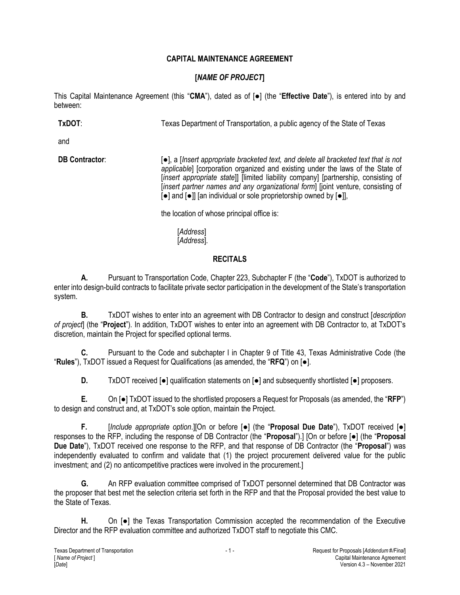## **CAPITAL MAINTENANCE AGREEMENT**

# **[***NAME OF PROJECT***]**

This Capital Maintenance Agreement (this "**CMA**"), dated as of [●] (the "**Effective Date**"), is entered into by and between:

**TxDOT:** The Texas Department of Transportation, a public agency of the State of Texas

and

**DB Contractor:** △ [●], a *[Insert appropriate bracketed text, and delete all bracketed text that is not applicable*] [corporation organized and existing under the laws of the State of [*insert appropriate state*]] [limited liability company] [partnership, consisting of [*insert partner names and any organizational form*] [joint venture, consisting of [●] and [●]] [an individual or sole proprietorship owned by [●]],

the location of whose principal office is:

[*Address*] [*Address*].

#### **RECITALS**

**A.** Pursuant to Transportation Code, Chapter 223, Subchapter F (the "**Code**"), TxDOT is authorized to enter into design-build contracts to facilitate private sector participation in the development of the State's transportation system.

**B.** TxDOT wishes to enter into an agreement with DB Contractor to design and construct [*description of project*] (the "**Project**")*.* In addition, TxDOT wishes to enter into an agreement with DB Contractor to, at TxDOT's discretion, maintain the Project for specified optional terms.

**C.** Pursuant to the Code and subchapter I in Chapter 9 of Title 43, Texas Administrative Code (the "**Rules**"), TxDOT issued a Request for Qualifications (as amended, the "**RFQ**") on [●].

**D.** TxDOT received [●] qualification statements on [●] and subsequently shortlisted [●] proposers.

**E.** On [●] TxDOT issued to the shortlisted proposers a Request for Proposals (as amended, the "**RFP**") to design and construct and, at TxDOT's sole option, maintain the Project.

**F.** [*Include appropriate option*.][On or before [●] (the "**Proposal Due Date**"), TxDOT received [●] responses to the RFP, including the response of DB Contractor (the "**Proposal**").] [On or before [●] (the "**Proposal Due Date**"), TxDOT received one response to the RFP, and that response of DB Contractor (the "**Proposal**") was independently evaluated to confirm and validate that (1) the project procurement delivered value for the public investment; and (2) no anticompetitive practices were involved in the procurement.]

**G.** An RFP evaluation committee comprised of TxDOT personnel determined that DB Contractor was the proposer that best met the selection criteria set forth in the RFP and that the Proposal provided the best value to the State of Texas.

**H.** On [●] the Texas Transportation Commission accepted the recommendation of the Executive Director and the RFP evaluation committee and authorized TxDOT staff to negotiate this CMC.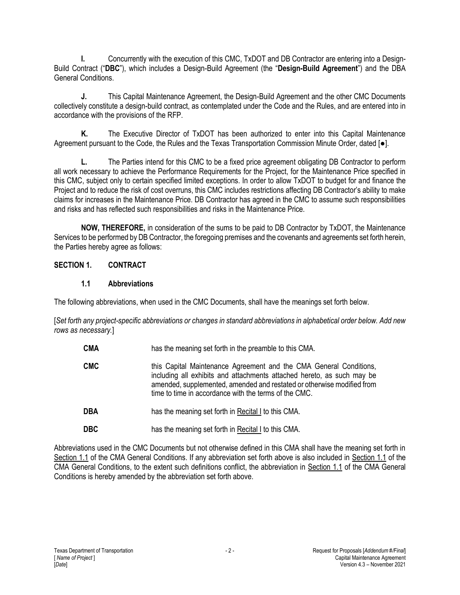**I.** Concurrently with the execution of this CMC, TxDOT and DB Contractor are entering into a Design-Build Contract ("**DBC**"), which includes a Design-Build Agreement (the "**Design-Build Agreement**") and the DBA General Conditions.

**J.** This Capital Maintenance Agreement, the Design-Build Agreement and the other CMC Documents collectively constitute a design-build contract, as contemplated under the Code and the Rules, and are entered into in accordance with the provisions of the RFP.

**K.** The Executive Director of TxDOT has been authorized to enter into this Capital Maintenance Agreement pursuant to the Code, the Rules and the Texas Transportation Commission Minute Order, dated [●].

**L.** The Parties intend for this CMC to be a fixed price agreement obligating DB Contractor to perform all work necessary to achieve the Performance Requirements for the Project, for the Maintenance Price specified in this CMC, subject only to certain specified limited exceptions. In order to allow TxDOT to budget for and finance the Project and to reduce the risk of cost overruns, this CMC includes restrictions affecting DB Contractor's ability to make claims for increases in the Maintenance Price. DB Contractor has agreed in the CMC to assume such responsibilities and risks and has reflected such responsibilities and risks in the Maintenance Price.

**NOW, THEREFORE,** in consideration of the sums to be paid to DB Contractor by TxDOT, the Maintenance Services to be performed by DB Contractor, the foregoing premises and the covenants and agreements set forth herein, the Parties hereby agree as follows:

## **SECTION 1. CONTRACT**

#### **1.1 Abbreviations**

The following abbreviations, when used in the CMC Documents, shall have the meanings set forth below.

[*Set forth any project-specific abbreviations or changes in standard abbreviations in alphabetical order below. Add new rows as necessary.*]

- **CMA** has the meaning set forth in the preamble to this CMA.
- **CMC** this Capital Maintenance Agreement and the CMA General Conditions, including all exhibits and attachments attached hereto, as such may be amended, supplemented, amended and restated or otherwise modified from time to time in accordance with the terms of the CMC.
- **DBA** has the meaning set forth in Recital I to this CMA.
- **DBC** has the meaning set forth in Recital I to this CMA.

Abbreviations used in the CMC Documents but not otherwise defined in this CMA shall have the meaning set forth in Section 1.1 of the CMA General Conditions. If any abbreviation set forth above is also included in Section 1.1 of the CMA General Conditions, to the extent such definitions conflict, the abbreviation in Section 1.1 of the CMA General Conditions is hereby amended by the abbreviation set forth above.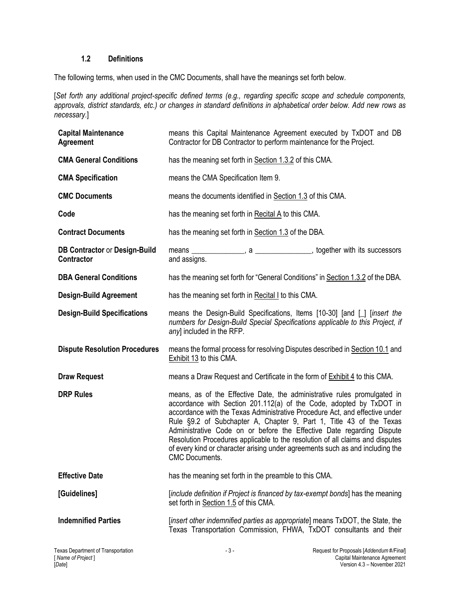#### **1.2 Definitions**

The following terms, when used in the CMC Documents, shall have the meanings set forth below.

[*Set forth any additional project-specific defined terms (e.g., regarding specific scope and schedule components, approvals, district standards, etc.) or changes in standard definitions in alphabetical order below. Add new rows as necessary.*]

| <b>Capital Maintenance</b><br><b>Agreement</b>            | means this Capital Maintenance Agreement executed by TxDOT and DB<br>Contractor for DB Contractor to perform maintenance for the Project.                                                                                                                                                                                                                                                                                                                                                                                                                                 |  |  |
|-----------------------------------------------------------|---------------------------------------------------------------------------------------------------------------------------------------------------------------------------------------------------------------------------------------------------------------------------------------------------------------------------------------------------------------------------------------------------------------------------------------------------------------------------------------------------------------------------------------------------------------------------|--|--|
| <b>CMA General Conditions</b>                             | has the meaning set forth in Section 1.3.2 of this CMA.                                                                                                                                                                                                                                                                                                                                                                                                                                                                                                                   |  |  |
| <b>CMA Specification</b>                                  | means the CMA Specification Item 9.                                                                                                                                                                                                                                                                                                                                                                                                                                                                                                                                       |  |  |
| <b>CMC Documents</b>                                      | means the documents identified in Section 1.3 of this CMA.                                                                                                                                                                                                                                                                                                                                                                                                                                                                                                                |  |  |
| Code                                                      | has the meaning set forth in Recital A to this CMA.                                                                                                                                                                                                                                                                                                                                                                                                                                                                                                                       |  |  |
| <b>Contract Documents</b>                                 | has the meaning set forth in Section 1.3 of the DBA.                                                                                                                                                                                                                                                                                                                                                                                                                                                                                                                      |  |  |
| <b>DB Contractor or Design-Build</b><br><b>Contractor</b> | means ________________, a ________________, together with its successors<br>and assigns.                                                                                                                                                                                                                                                                                                                                                                                                                                                                                  |  |  |
| <b>DBA General Conditions</b>                             | has the meaning set forth for "General Conditions" in Section 1.3.2 of the DBA.                                                                                                                                                                                                                                                                                                                                                                                                                                                                                           |  |  |
| <b>Design-Build Agreement</b>                             | has the meaning set forth in Recital I to this CMA.                                                                                                                                                                                                                                                                                                                                                                                                                                                                                                                       |  |  |
| <b>Design-Build Specifications</b>                        | means the Design-Build Specifications, Items [10-30] [and [ ] [insert the<br>numbers for Design-Build Special Specifications applicable to this Project, if<br>any] included in the RFP.                                                                                                                                                                                                                                                                                                                                                                                  |  |  |
| <b>Dispute Resolution Procedures</b>                      | means the formal process for resolving Disputes described in Section 10.1 and<br>Exhibit 13 to this CMA.                                                                                                                                                                                                                                                                                                                                                                                                                                                                  |  |  |
| <b>Draw Request</b>                                       | means a Draw Request and Certificate in the form of <b>Exhibit 4</b> to this CMA.                                                                                                                                                                                                                                                                                                                                                                                                                                                                                         |  |  |
| <b>DRP Rules</b>                                          | means, as of the Effective Date, the administrative rules promulgated in<br>accordance with Section 201.112(a) of the Code, adopted by TxDOT in<br>accordance with the Texas Administrative Procedure Act, and effective under<br>Rule §9.2 of Subchapter A, Chapter 9, Part 1, Title 43 of the Texas<br>Administrative Code on or before the Effective Date regarding Dispute<br>Resolution Procedures applicable to the resolution of all claims and disputes<br>of every kind or character arising under agreements such as and including the<br><b>CMC Documents.</b> |  |  |
| <b>Effective Date</b>                                     | has the meaning set forth in the preamble to this CMA.                                                                                                                                                                                                                                                                                                                                                                                                                                                                                                                    |  |  |
| [Guidelines]                                              | [include definition if Project is financed by tax-exempt bonds] has the meaning<br>set forth in Section 1.5 of this CMA.                                                                                                                                                                                                                                                                                                                                                                                                                                                  |  |  |
| <b>Indemnified Parties</b>                                | [insert other indemnified parties as appropriate] means TxDOT, the State, the<br>Texas Transportation Commission, FHWA, TxDOT consultants and their                                                                                                                                                                                                                                                                                                                                                                                                                       |  |  |
|                                                           |                                                                                                                                                                                                                                                                                                                                                                                                                                                                                                                                                                           |  |  |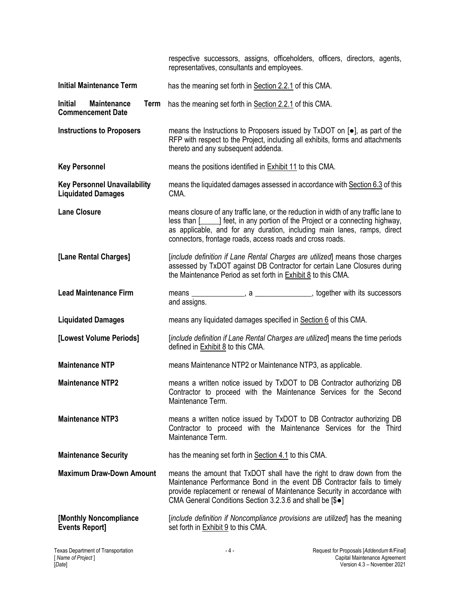|                                                                          | respective successors, assigns, officeholders, officers, directors, agents,<br>representatives, consultants and employees.                                                                                                                                                                                     |
|--------------------------------------------------------------------------|----------------------------------------------------------------------------------------------------------------------------------------------------------------------------------------------------------------------------------------------------------------------------------------------------------------|
| <b>Initial Maintenance Term</b>                                          | has the meaning set forth in Section 2.2.1 of this CMA.                                                                                                                                                                                                                                                        |
| <b>Initial</b><br><b>Maintenance</b><br>Term<br><b>Commencement Date</b> | has the meaning set forth in Section 2.2.1 of this CMA.                                                                                                                                                                                                                                                        |
| <b>Instructions to Proposers</b>                                         | means the Instructions to Proposers issued by TxDOT on [ $\bullet$ ], as part of the<br>RFP with respect to the Project, including all exhibits, forms and attachments<br>thereto and any subsequent addenda.                                                                                                  |
| <b>Key Personnel</b>                                                     | means the positions identified in <b>Exhibit 11</b> to this CMA.                                                                                                                                                                                                                                               |
| <b>Key Personnel Unavailability</b><br><b>Liquidated Damages</b>         | means the liquidated damages assessed in accordance with Section 6.3 of this<br>CMA.                                                                                                                                                                                                                           |
| <b>Lane Closure</b>                                                      | means closure of any traffic lane, or the reduction in width of any traffic lane to<br>less than [1, 15] feet, in any portion of the Project or a connecting highway,<br>as applicable, and for any duration, including main lanes, ramps, direct<br>connectors, frontage roads, access roads and cross roads. |
| [Lane Rental Charges]                                                    | [include definition if Lane Rental Charges are utilized] means those charges<br>assessed by TxDOT against DB Contractor for certain Lane Closures during<br>the Maintenance Period as set forth in <b>Exhibit 8</b> to this CMA.                                                                               |
| <b>Lead Maintenance Firm</b>                                             | means ________________, a _______________, together with its successors<br>and assigns.                                                                                                                                                                                                                        |
| <b>Liquidated Damages</b>                                                | means any liquidated damages specified in Section 6 of this CMA.                                                                                                                                                                                                                                               |
| [Lowest Volume Periods]                                                  | [include definition if Lane Rental Charges are utilized] means the time periods<br>defined in Exhibit 8 to this CMA.                                                                                                                                                                                           |
| <b>Maintenance NTP</b>                                                   | means Maintenance NTP2 or Maintenance NTP3, as applicable.                                                                                                                                                                                                                                                     |
| <b>Maintenance NTP2</b>                                                  | means a written notice issued by TxDOT to DB Contractor authorizing DB<br>Contractor to proceed with the Maintenance Services for the Second<br>Maintenance Term.                                                                                                                                              |
| <b>Maintenance NTP3</b>                                                  | means a written notice issued by TxDOT to DB Contractor authorizing DB<br>Contractor to proceed with the Maintenance Services for the Third<br>Maintenance Term.                                                                                                                                               |
| <b>Maintenance Security</b>                                              | has the meaning set forth in Section 4.1 to this CMA.                                                                                                                                                                                                                                                          |
| <b>Maximum Draw-Down Amount</b>                                          | means the amount that TxDOT shall have the right to draw down from the<br>Maintenance Performance Bond in the event DB Contractor fails to timely<br>provide replacement or renewal of Maintenance Security in accordance with<br>CMA General Conditions Section 3.2.3.6 and shall be [\$ $\bullet$ ]          |
| [Monthly Noncompliance<br><b>Events Report]</b>                          | [include definition if Noncompliance provisions are utilized] has the meaning<br>set forth in Exhibit 9 to this CMA.                                                                                                                                                                                           |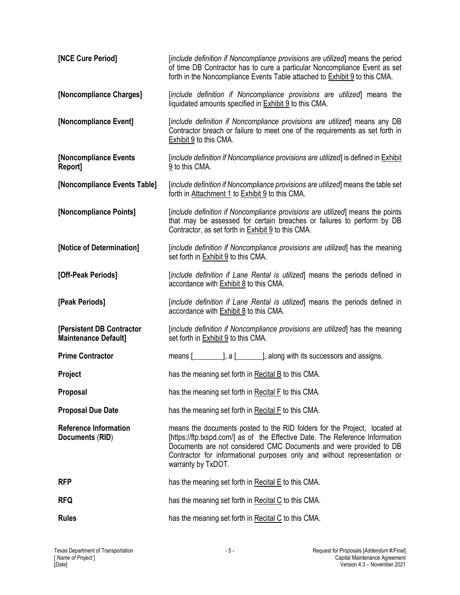| [NCE Cure Period]                                        | [include definition if Noncompliance provisions are utilized] means the period<br>of time DB Contractor has to cure a particular Noncompliance Event as set<br>forth in the Noncompliance Events Table attached to <b>Exhibit 9</b> to this CMA.                                                                                  |  |  |
|----------------------------------------------------------|-----------------------------------------------------------------------------------------------------------------------------------------------------------------------------------------------------------------------------------------------------------------------------------------------------------------------------------|--|--|
| [Noncompliance Charges]                                  | [include definition if Noncompliance provisions are utilized] means the<br>liquidated amounts specified in <b>Exhibit 9</b> to this CMA.                                                                                                                                                                                          |  |  |
| [Noncompliance Event]                                    | [include definition if Noncompliance provisions are utilized] means any DB<br>Contractor breach or failure to meet one of the requirements as set forth in<br><b>Exhibit 9 to this CMA.</b>                                                                                                                                       |  |  |
| [Noncompliance Events<br>Report]                         | [include definition if Noncompliance provisions are utilized] is defined in <b>Exhibit</b><br>$9$ to this CMA.                                                                                                                                                                                                                    |  |  |
| [Noncompliance Events Table]                             | [include definition if Noncompliance provisions are utilized] means the table set<br>forth in Attachment 1 to Exhibit 9 to this CMA.                                                                                                                                                                                              |  |  |
| [Noncompliance Points]                                   | [include definition if Noncompliance provisions are utilized] means the points<br>that may be assessed for certain breaches or failures to perform by DB<br>Contractor, as set forth in Exhibit 9 to this CMA.                                                                                                                    |  |  |
| [Notice of Determination]                                | [include definition if Noncompliance provisions are utilized] has the meaning<br>set forth in Exhibit 9 to this CMA.                                                                                                                                                                                                              |  |  |
| [Off-Peak Periods]                                       | [include definition if Lane Rental is utilized] means the periods defined in<br>accordance with <b>Exhibit 8</b> to this CMA.                                                                                                                                                                                                     |  |  |
| [Peak Periods]                                           | [include definition if Lane Rental is utilized] means the periods defined in<br>accordance with <b>Exhibit 8</b> to this CMA.                                                                                                                                                                                                     |  |  |
| [Persistent DB Contractor<br><b>Maintenance Default]</b> | [include definition if Noncompliance provisions are utilized] has the meaning<br>set forth in Exhibit 9 to this CMA.                                                                                                                                                                                                              |  |  |
| <b>Prime Contractor</b>                                  | means [ <b>with</b> its successors and assigns.                                                                                                                                                                                                                                                                                   |  |  |
| Project                                                  | has the meaning set forth in Recital B to this CMA.                                                                                                                                                                                                                                                                               |  |  |
| <b>Proposal</b>                                          | has the meaning set forth in Recital F to this CMA.                                                                                                                                                                                                                                                                               |  |  |
| <b>Proposal Due Date</b>                                 | has the meaning set forth in Recital F to this CMA.                                                                                                                                                                                                                                                                               |  |  |
| <b>Reference Information</b><br>Documents (RID)          | means the documents posted to the RID folders for the Project, located at<br>[https://ftp.txspd.com/] as of the Effective Date. The Reference Information<br>Documents are not considered CMC Documents and were provided to DB<br>Contractor for informational purposes only and without representation or<br>warranty by TxDOT. |  |  |
| <b>RFP</b>                                               | has the meaning set forth in Recital E to this CMA.                                                                                                                                                                                                                                                                               |  |  |
| <b>RFQ</b>                                               | has the meaning set forth in Recital C to this CMA.                                                                                                                                                                                                                                                                               |  |  |
| <b>Rules</b>                                             | has the meaning set forth in Recital C to this CMA.                                                                                                                                                                                                                                                                               |  |  |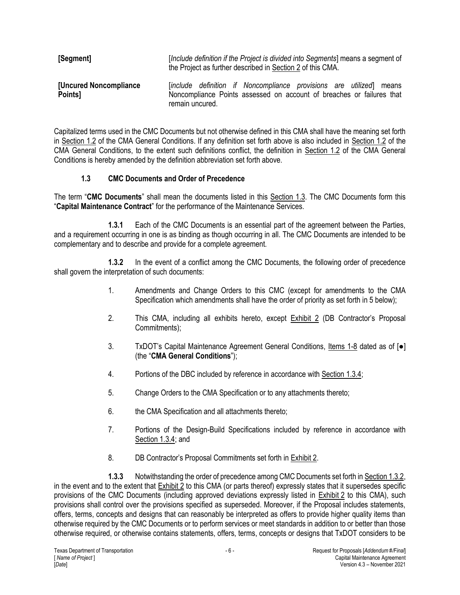| [Segment]                                | [Include definition if the Project is divided into Segments] means a segment of<br>the Project as further described in Section 2 of this CMA.                   |  |  |
|------------------------------------------|-----------------------------------------------------------------------------------------------------------------------------------------------------------------|--|--|
| <b>[Uncured Noncompliance</b><br>Points] | [include definition if Noncompliance provisions are utilized] means<br>Noncompliance Points assessed on account of breaches or failures that<br>remain uncured. |  |  |

Capitalized terms used in the CMC Documents but not otherwise defined in this CMA shall have the meaning set forth in Section 1.2 of the CMA General Conditions. If any definition set forth above is also included in Section 1.2 of the CMA General Conditions, to the extent such definitions conflict, the definition in Section 1.2 of the CMA General Conditions is hereby amended by the definition abbreviation set forth above.

## **1.3 CMC Documents and Order of Precedence**

The term "**CMC Documents**" shall mean the documents listed in this Section 1.3. The CMC Documents form this "**Capital Maintenance Contract**" for the performance of the Maintenance Services.

**1.3.1** Each of the CMC Documents is an essential part of the agreement between the Parties, and a requirement occurring in one is as binding as though occurring in all. The CMC Documents are intended to be complementary and to describe and provide for a complete agreement.

**1.3.2** In the event of a conflict among the CMC Documents, the following order of precedence shall govern the interpretation of such documents:

- 1. Amendments and Change Orders to this CMC (except for amendments to the CMA Specification which amendments shall have the order of priority as set forth in 5 below);
- 2. This CMA, including all exhibits hereto, except **Exhibit 2** (DB Contractor's Proposal Commitments);
- 3. TxDOT's Capital Maintenance Agreement General Conditions, Items 1-8 dated as of [●] (the "**CMA General Conditions**");
- 4. Portions of the DBC included by reference in accordance with Section 1.3.4;
- 5. Change Orders to the CMA Specification or to any attachments thereto;
- 6. the CMA Specification and all attachments thereto;
- 7. Portions of the Design-Build Specifications included by reference in accordance with Section 1.3.4; and
- 8. DB Contractor's Proposal Commitments set forth in Exhibit 2.

**1.3.3** Notwithstanding the order of precedence among CMC Documents set forth in Section 1.3.2, in the event and to the extent that Exhibit 2 to this CMA (or parts thereof) expressly states that it supersedes specific provisions of the CMC Documents (including approved deviations expressly listed in Exhibit 2 to this CMA), such provisions shall control over the provisions specified as superseded. Moreover, if the Proposal includes statements, offers, terms, concepts and designs that can reasonably be interpreted as offers to provide higher quality items than otherwise required by the CMC Documents or to perform services or meet standards in addition to or better than those otherwise required, or otherwise contains statements, offers, terms, concepts or designs that TxDOT considers to be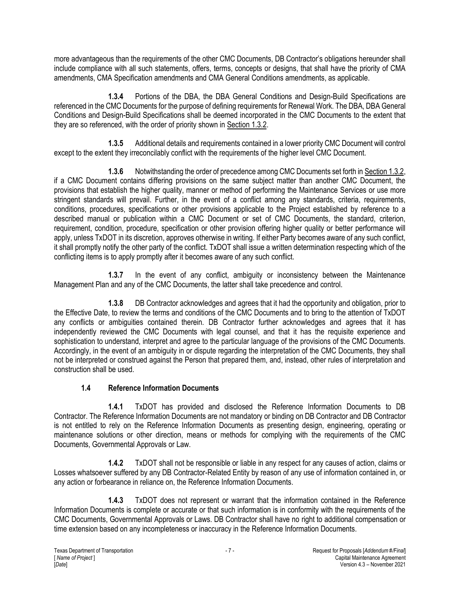more advantageous than the requirements of the other CMC Documents, DB Contractor's obligations hereunder shall include compliance with all such statements, offers, terms, concepts or designs, that shall have the priority of CMA amendments, CMA Specification amendments and CMA General Conditions amendments, as applicable.

**1.3.4** Portions of the DBA, the DBA General Conditions and Design-Build Specifications are referenced in the CMC Documents for the purpose of defining requirements for Renewal Work. The DBA, DBA General Conditions and Design-Build Specifications shall be deemed incorporated in the CMC Documents to the extent that they are so referenced, with the order of priority shown in Section 1.3.2.

**1.3.5** Additional details and requirements contained in a lower priority CMC Document will control except to the extent they irreconcilably conflict with the requirements of the higher level CMC Document.

**1.3.6** Notwithstanding the order of precedence among CMC Documents set forth in Section 1.3.2, if a CMC Document contains differing provisions on the same subject matter than another CMC Document, the provisions that establish the higher quality, manner or method of performing the Maintenance Services or use more stringent standards will prevail. Further, in the event of a conflict among any standards, criteria, requirements, conditions, procedures, specifications or other provisions applicable to the Project established by reference to a described manual or publication within a CMC Document or set of CMC Documents, the standard, criterion, requirement, condition, procedure, specification or other provision offering higher quality or better performance will apply, unless TxDOT in its discretion, approves otherwise in writing. If either Party becomes aware of any such conflict, it shall promptly notify the other party of the conflict. TxDOT shall issue a written determination respecting which of the conflicting items is to apply promptly after it becomes aware of any such conflict.

**1.3.7** In the event of any conflict, ambiguity or inconsistency between the Maintenance Management Plan and any of the CMC Documents, the latter shall take precedence and control.

**1.3.8** DB Contractor acknowledges and agrees that it had the opportunity and obligation, prior to the Effective Date, to review the terms and conditions of the CMC Documents and to bring to the attention of TxDOT any conflicts or ambiguities contained therein. DB Contractor further acknowledges and agrees that it has independently reviewed the CMC Documents with legal counsel, and that it has the requisite experience and sophistication to understand, interpret and agree to the particular language of the provisions of the CMC Documents. Accordingly, in the event of an ambiguity in or dispute regarding the interpretation of the CMC Documents, they shall not be interpreted or construed against the Person that prepared them, and, instead, other rules of interpretation and construction shall be used.

## **1.4 Reference Information Documents**

**1.4.1** TxDOT has provided and disclosed the Reference Information Documents to DB Contractor. The Reference Information Documents are not mandatory or binding on DB Contractor and DB Contractor is not entitled to rely on the Reference Information Documents as presenting design, engineering, operating or maintenance solutions or other direction, means or methods for complying with the requirements of the CMC Documents, Governmental Approvals or Law.

**1.4.2** TxDOT shall not be responsible or liable in any respect for any causes of action, claims or Losses whatsoever suffered by any DB Contractor-Related Entity by reason of any use of information contained in, or any action or forbearance in reliance on, the Reference Information Documents.

**1.4.3** TxDOT does not represent or warrant that the information contained in the Reference Information Documents is complete or accurate or that such information is in conformity with the requirements of the CMC Documents, Governmental Approvals or Laws. DB Contractor shall have no right to additional compensation or time extension based on any incompleteness or inaccuracy in the Reference Information Documents.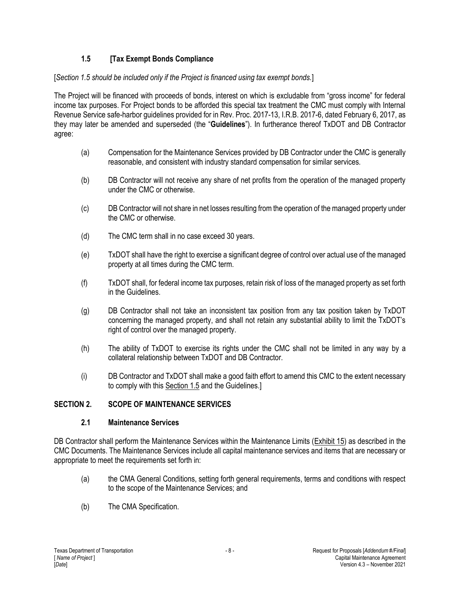## **1.5 [Tax Exempt Bonds Compliance**

#### [*Section 1.5 should be included only if the Project is financed using tax exempt bonds.*]

The Project will be financed with proceeds of bonds, interest on which is excludable from "gross income" for federal income tax purposes. For Project bonds to be afforded this special tax treatment the CMC must comply with Internal Revenue Service safe-harbor guidelines provided for in Rev. Proc. 2017-13, I.R.B. 2017-6, dated February 6, 2017, as they may later be amended and superseded (the "**Guidelines**"). In furtherance thereof TxDOT and DB Contractor agree:

- (a) Compensation for the Maintenance Services provided by DB Contractor under the CMC is generally reasonable, and consistent with industry standard compensation for similar services.
- (b) DB Contractor will not receive any share of net profits from the operation of the managed property under the CMC or otherwise.
- (c) DB Contractor will not share in net losses resulting from the operation of the managed property under the CMC or otherwise.
- (d) The CMC term shall in no case exceed 30 years.
- (e) TxDOT shall have the right to exercise a significant degree of control over actual use of the managed property at all times during the CMC term.
- (f) TxDOT shall, for federal income tax purposes, retain risk of loss of the managed property as set forth in the Guidelines.
- (g) DB Contractor shall not take an inconsistent tax position from any tax position taken by TxDOT concerning the managed property, and shall not retain any substantial ability to limit the TxDOT's right of control over the managed property.
- (h) The ability of TxDOT to exercise its rights under the CMC shall not be limited in any way by a collateral relationship between TxDOT and DB Contractor.
- (i) DB Contractor and TxDOT shall make a good faith effort to amend this CMC to the extent necessary to comply with this Section 1.5 and the Guidelines.]

## **SECTION 2. SCOPE OF MAINTENANCE SERVICES**

#### **2.1 Maintenance Services**

DB Contractor shall perform the Maintenance Services within the Maintenance Limits (**Exhibit 15**) as described in the CMC Documents. The Maintenance Services include all capital maintenance services and items that are necessary or appropriate to meet the requirements set forth in:

- (a) the CMA General Conditions, setting forth general requirements, terms and conditions with respect to the scope of the Maintenance Services; and
- (b) The CMA Specification.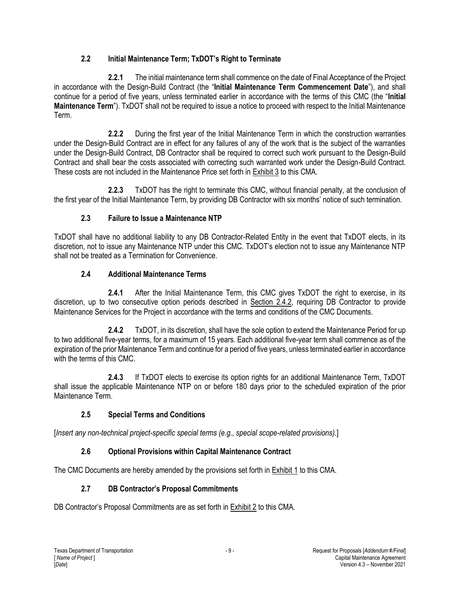## **2.2 Initial Maintenance Term; TxDOT's Right to Terminate**

**2.2.1** The initial maintenance term shall commence on the date of Final Acceptance of the Project in accordance with the Design-Build Contract (the "**Initial Maintenance Term Commencement Date**"), and shall continue for a period of five years, unless terminated earlier in accordance with the terms of this CMC (the "**Initial Maintenance Term**"). TxDOT shall not be required to issue a notice to proceed with respect to the Initial Maintenance Term.

**2.2.2** During the first year of the Initial Maintenance Term in which the construction warranties under the Design-Build Contract are in effect for any failures of any of the work that is the subject of the warranties under the Design-Build Contract, DB Contractor shall be required to correct such work pursuant to the Design-Build Contract and shall bear the costs associated with correcting such warranted work under the Design-Build Contract. These costs are not included in the Maintenance Price set forth in Exhibit 3 to this CMA.

**2.2.3** TxDOT has the right to terminate this CMC, without financial penalty, at the conclusion of the first year of the Initial Maintenance Term, by providing DB Contractor with six months' notice of such termination.

# **2.3 Failure to Issue a Maintenance NTP**

TxDOT shall have no additional liability to any DB Contractor-Related Entity in the event that TxDOT elects, in its discretion, not to issue any Maintenance NTP under this CMC. TxDOT's election not to issue any Maintenance NTP shall not be treated as a Termination for Convenience.

## **2.4 Additional Maintenance Terms**

**2.4.1** After the Initial Maintenance Term, this CMC gives TxDOT the right to exercise, in its discretion, up to two consecutive option periods described in Section 2.4.2, requiring DB Contractor to provide Maintenance Services for the Project in accordance with the terms and conditions of the CMC Documents.

**2.4.2** TxDOT, in its discretion, shall have the sole option to extend the Maintenance Period for up to two additional five-year terms, for a maximum of 15 years. Each additional five-year term shall commence as of the expiration of the prior Maintenance Term and continue for a period of five years, unless terminated earlier in accordance with the terms of this CMC.

**2.4.3** If TxDOT elects to exercise its option rights for an additional Maintenance Term, TxDOT shall issue the applicable Maintenance NTP on or before 180 days prior to the scheduled expiration of the prior Maintenance Term.

# **2.5 Special Terms and Conditions**

[*Insert any non-technical project-specific special terms (e.g., special scope-related provisions)*.]

# **2.6 Optional Provisions within Capital Maintenance Contract**

The CMC Documents are hereby amended by the provisions set forth in Exhibit 1 to this CMA.

## **2.7 DB Contractor's Proposal Commitments**

DB Contractor's Proposal Commitments are as set forth in Exhibit 2 to this CMA.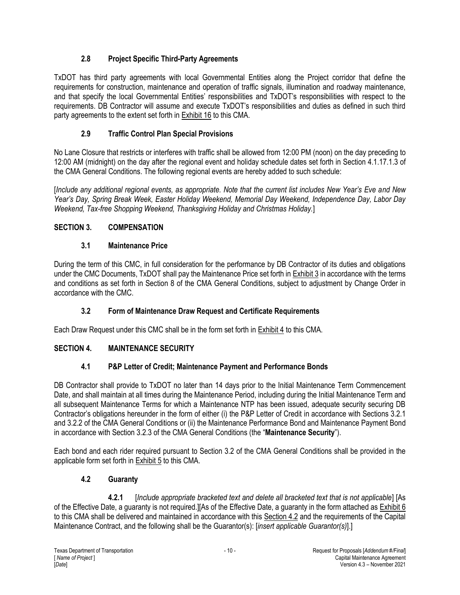# **2.8 Project Specific Third-Party Agreements**

TxDOT has third party agreements with local Governmental Entities along the Project corridor that define the requirements for construction, maintenance and operation of traffic signals, illumination and roadway maintenance, and that specify the local Governmental Entities' responsibilities and TxDOT's responsibilities with respect to the requirements. DB Contractor will assume and execute TxDOT's responsibilities and duties as defined in such third party agreements to the extent set forth in Exhibit 16 to this CMA.

# **2.9 Traffic Control Plan Special Provisions**

No Lane Closure that restricts or interferes with traffic shall be allowed from 12:00 PM (noon) on the day preceding to 12:00 AM (midnight) on the day after the regional event and holiday schedule dates set forth in Section 4.1.17.1.3 of the CMA General Conditions. The following regional events are hereby added to such schedule:

[*Include any additional regional events, as appropriate. Note that the current list includes New Year's Eve and New Year's Day, Spring Break Week, Easter Holiday Weekend, Memorial Day Weekend, Independence Day, Labor Day Weekend, Tax-free Shopping Weekend, Thanksgiving Holiday and Christmas Holiday.*]

# **SECTION 3. COMPENSATION**

# **3.1 Maintenance Price**

During the term of this CMC, in full consideration for the performance by DB Contractor of its duties and obligations under the CMC Documents, TxDOT shall pay the Maintenance Price set forth in Exhibit 3 in accordance with the terms and conditions as set forth in Section 8 of the CMA General Conditions, subject to adjustment by Change Order in accordance with the CMC.

# **3.2 Form of Maintenance Draw Request and Certificate Requirements**

Each Draw Request under this CMC shall be in the form set forth in Exhibit 4 to this CMA.

# **SECTION 4. MAINTENANCE SECURITY**

# **4.1 P&P Letter of Credit; Maintenance Payment and Performance Bonds**

DB Contractor shall provide to TxDOT no later than 14 days prior to the Initial Maintenance Term Commencement Date, and shall maintain at all times during the Maintenance Period, including during the Initial Maintenance Term and all subsequent Maintenance Terms for which a Maintenance NTP has been issued, adequate security securing DB Contractor's obligations hereunder in the form of either (i) the P&P Letter of Credit in accordance with Sections 3.2.1 and 3.2.2 of the CMA General Conditions or (ii) the Maintenance Performance Bond and Maintenance Payment Bond in accordance with Section 3.2.3 of the CMA General Conditions (the "**Maintenance Security**").

Each bond and each rider required pursuant to Section 3.2 of the CMA General Conditions shall be provided in the applicable form set forth in Exhibit 5 to this CMA.

# **4.2 Guaranty**

**4.2.1** [*Include appropriate bracketed text and delete all bracketed text that is not applicable*] [As of the Effective Date, a guaranty is not required.][As of the Effective Date, a guaranty in the form attached as Exhibit 6 to this CMA shall be delivered and maintained in accordance with this Section 4.2 and the requirements of the Capital Maintenance Contract, and the following shall be the Guarantor(s): [*insert applicable Guarantor(s)*].]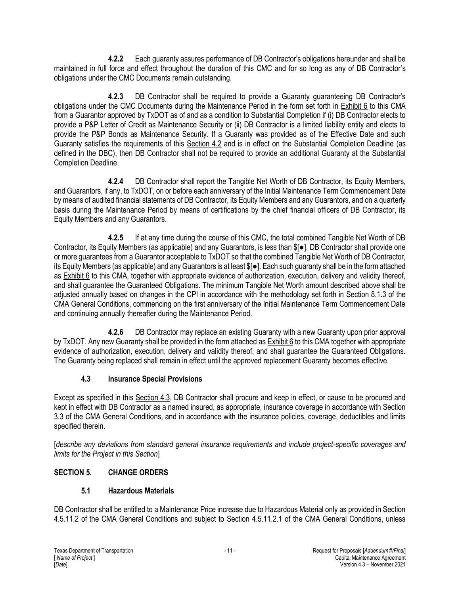**4.2.2** Each guaranty assures performance of DB Contractor's obligations hereunder and shall be maintained in full force and effect throughout the duration of this CMC and for so long as any of DB Contractor's obligations under the CMC Documents remain outstanding.

**4.2.3** DB Contractor shall be required to provide a Guaranty guaranteeing DB Contractor's obligations under the CMC Documents during the Maintenance Period in the form set forth in Exhibit 6 to this CMA from a Guarantor approved by TxDOT as of and as a condition to Substantial Completion if (i) DB Contractor elects to provide a P&P Letter of Credit as Maintenance Security or (ii) DB Contractor is a limited liability entity and elects to provide the P&P Bonds as Maintenance Security. If a Guaranty was provided as of the Effective Date and such Guaranty satisfies the requirements of this Section 4.2 and is in effect on the Substantial Completion Deadline (as defined in the DBC), then DB Contractor shall not be required to provide an additional Guaranty at the Substantial Completion Deadline.

**4.2.4** DB Contractor shall report the Tangible Net Worth of DB Contractor, its Equity Members, and Guarantors, if any, to TxDOT, on or before each anniversary of the Initial Maintenance Term Commencement Date by means of audited financial statements of DB Contractor, its Equity Members and any Guarantors, and on a quarterly basis during the Maintenance Period by means of certifications by the chief financial officers of DB Contractor, its Equity Members and any Guarantors.

**4.2.5** If at any time during the course of this CMC, the total combined Tangible Net Worth of DB Contractor, its Equity Members (as applicable) and any Guarantors, is less than \$[●], DB Contractor shall provide one or more guarantees from a Guarantor acceptable to TxDOT so that the combined Tangible Net Worth of DB Contractor, its Equity Members (as applicable) and any Guarantors is at least \$[●]. Each such guaranty shall be in the form attached as Exhibit 6 to this CMA, together with appropriate evidence of authorization, execution, delivery and validity thereof, and shall guarantee the Guaranteed Obligations. The minimum Tangible Net Worth amount described above shall be adjusted annually based on changes in the CPI in accordance with the methodology set forth in Section 8.1.3 of the CMA General Conditions, commencing on the first anniversary of the Initial Maintenance Term Commencement Date and continuing annually thereafter during the Maintenance Period.

**4.2.6** DB Contractor may replace an existing Guaranty with a new Guaranty upon prior approval by TxDOT. Any new Guaranty shall be provided in the form attached as Exhibit 6 to this CMA together with appropriate evidence of authorization, execution, delivery and validity thereof, and shall guarantee the Guaranteed Obligations. The Guaranty being replaced shall remain in effect until the approved replacement Guaranty becomes effective.

# **4.3 Insurance Special Provisions**

Except as specified in this Section 4.3, DB Contractor shall procure and keep in effect, or cause to be procured and kept in effect with DB Contractor as a named insured, as appropriate, insurance coverage in accordance with Section 3.3 of the CMA General Conditions, and in accordance with the insurance policies, coverage, deductibles and limits specified therein.

[*describe any deviations from standard general insurance requirements and include project-specific coverages and limits for the Project in this Section*]

# **SECTION 5. CHANGE ORDERS**

# **5.1 Hazardous Materials**

DB Contractor shall be entitled to a Maintenance Price increase due to Hazardous Material only as provided in Section 4.5.11.2 of the CMA General Conditions and subject to Section 4.5.11.2.1 of the CMA General Conditions, unless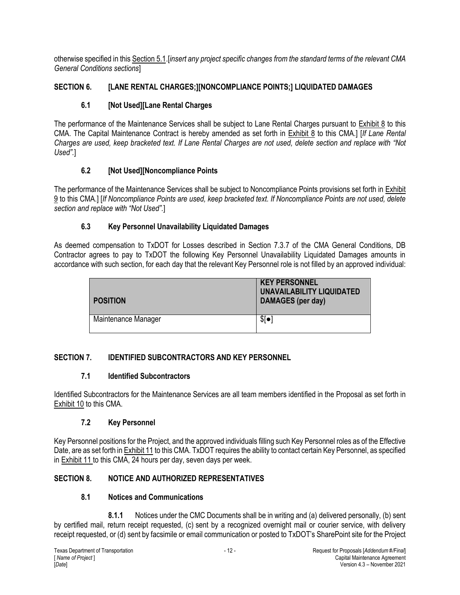otherwise specified in this Section 5.1.[*insert any project specific changes from the standard terms of the relevant CMA General Conditions sections*]

## **SECTION 6. [LANE RENTAL CHARGES;][NONCOMPLIANCE POINTS;] LIQUIDATED DAMAGES**

# **6.1 [Not Used][Lane Rental Charges**

The performance of the Maintenance Services shall be subject to Lane Rental Charges pursuant to **Exhibit 8** to this CMA. The Capital Maintenance Contract is hereby amended as set forth in Exhibit 8 to this CMA.] [*If Lane Rental Charges are used, keep bracketed text. If Lane Rental Charges are not used, delete section and replace with "Not Used".*]

## **6.2 [Not Used][Noncompliance Points**

The performance of the Maintenance Services shall be subject to Noncompliance Points provisions set forth in Exhibit 9 to this CMA.] [*If Noncompliance Points are used, keep bracketed text. If Noncompliance Points are not used, delete section and replace with "Not Used".*]

## **6.3 Key Personnel Unavailability Liquidated Damages**

As deemed compensation to TxDOT for Losses described in Section 7.3.7 of the CMA General Conditions, DB Contractor agrees to pay to TxDOT the following Key Personnel Unavailability Liquidated Damages amounts in accordance with such section, for each day that the relevant Key Personnel role is not filled by an approved individual:

| <b>POSITION</b>     | <b>KEY PERSONNEL</b><br><b>UNAVAILABILITY LIQUIDATED</b><br>DAMAGES (per day) |
|---------------------|-------------------------------------------------------------------------------|
| Maintenance Manager | \$[•]                                                                         |

# **SECTION 7. IDENTIFIED SUBCONTRACTORS AND KEY PERSONNEL**

## **7.1 Identified Subcontractors**

Identified Subcontractors for the Maintenance Services are all team members identified in the Proposal as set forth in Exhibit 10 to this CMA.

## **7.2 Key Personnel**

Key Personnel positions for the Project, and the approved individuals filling such Key Personnel roles as of the Effective Date, are as set forth in Exhibit 11 to this CMA. TxDOT requires the ability to contact certain Key Personnel, as specified in Exhibit 11 to this CMA, 24 hours per day, seven days per week.

## **SECTION 8. NOTICE AND AUTHORIZED REPRESENTATIVES**

## **8.1 Notices and Communications**

**8.1.1** Notices under the CMC Documents shall be in writing and (a) delivered personally, (b) sent by certified mail, return receipt requested, (c) sent by a recognized overnight mail or courier service, with delivery receipt requested, or (d) sent by facsimile or email communication or posted to TxDOT's SharePoint site for the Project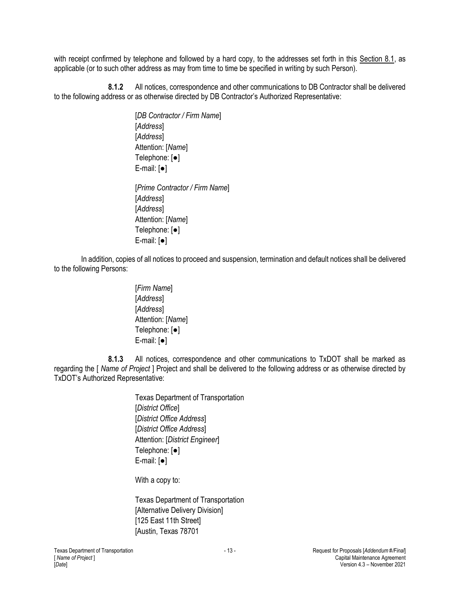with receipt confirmed by telephone and followed by a hard copy, to the addresses set forth in this Section 8.1, as applicable (or to such other address as may from time to time be specified in writing by such Person).

**8.1.2** All notices, correspondence and other communications to DB Contractor shall be delivered to the following address or as otherwise directed by DB Contractor's Authorized Representative:

> [*DB Contractor / Firm Name*] [*Address*] [*Address*] Attention: [*Name*] Telephone: [●] E-mail: [●] [*Prime Contractor / Firm Name*]

[*Address*] [*Address*] Attention: [*Name*] Telephone: [●] E-mail: [●]

In addition, copies of all notices to proceed and suspension, termination and default notices shall be delivered to the following Persons:

> [*Firm Name*] [*Address*] [*Address*] Attention: [*Name*] Telephone: [●] E-mail: [●]

**8.1.3** All notices, correspondence and other communications to TxDOT shall be marked as regarding the [ *Name of Project* ] Project and shall be delivered to the following address or as otherwise directed by TxDOT's Authorized Representative:

> Texas Department of Transportation [*District Office*] [*District Office Address*] [*District Office Address*] Attention: [*District Engineer*] Telephone: [●] E-mail: [●]

With a copy to:

Texas Department of Transportation [Alternative Delivery Division] [125 East 11th Street] [Austin, Texas 78701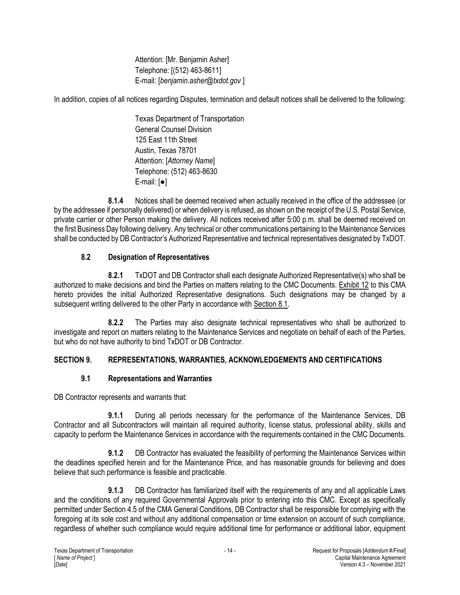Attention: [Mr. Benjamin Asher] Telephone: [(512) 463-8611] E-mail: [*benjamin.asher@txdot.gov* ]

In addition, copies of all notices regarding Disputes, termination and default notices shall be delivered to the following:

Texas Department of Transportation General Counsel Division 125 East 11th Street Austin, Texas 78701 Attention: [*Attorney Name*] Telephone: (512) 463-8630 E-mail: [●]

**8.1.4** Notices shall be deemed received when actually received in the office of the addressee (or by the addressee if personally delivered) or when delivery is refused, as shown on the receipt of the U.S. Postal Service, private carrier or other Person making the delivery. All notices received after 5:00 p.m. shall be deemed received on the first Business Day following delivery. Any technical or other communications pertaining to the Maintenance Services shall be conducted by DB Contractor's Authorized Representative and technical representatives designated by TxDOT.

# **8.2 Designation of Representatives**

**8.2.1** TxDOT and DB Contractor shall each designate Authorized Representative(s) who shall be authorized to make decisions and bind the Parties on matters relating to the CMC Documents. Exhibit 12 to this CMA hereto provides the initial Authorized Representative designations. Such designations may be changed by a subsequent writing delivered to the other Party in accordance with Section 8.1.

**8.2.2** The Parties may also designate technical representatives who shall be authorized to investigate and report on matters relating to the Maintenance Services and negotiate on behalf of each of the Parties, but who do not have authority to bind TxDOT or DB Contractor.

# **SECTION 9. REPRESENTATIONS, WARRANTIES, ACKNOWLEDGEMENTS AND CERTIFICATIONS**

## **9.1 Representations and Warranties**

DB Contractor represents and warrants that:

**9.1.1** During all periods necessary for the performance of the Maintenance Services, DB Contractor and all Subcontractors will maintain all required authority, license status, professional ability, skills and capacity to perform the Maintenance Services in accordance with the requirements contained in the CMC Documents.

**9.1.2** DB Contractor has evaluated the feasibility of performing the Maintenance Services within the deadlines specified herein and for the Maintenance Price, and has reasonable grounds for believing and does believe that such performance is feasible and practicable.

**9.1.3** DB Contractor has familiarized itself with the requirements of any and all applicable Laws and the conditions of any required Governmental Approvals prior to entering into this CMC. Except as specifically permitted under Section 4.5 of the CMA General Conditions, DB Contractor shall be responsible for complying with the foregoing at its sole cost and without any additional compensation or time extension on account of such compliance, regardless of whether such compliance would require additional time for performance or additional labor, equipment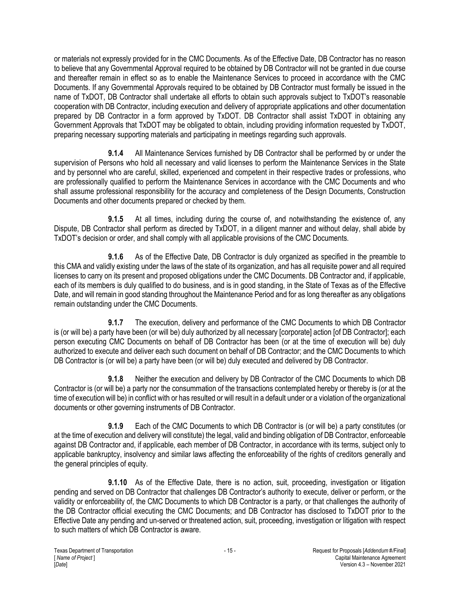or materials not expressly provided for in the CMC Documents. As of the Effective Date, DB Contractor has no reason to believe that any Governmental Approval required to be obtained by DB Contractor will not be granted in due course and thereafter remain in effect so as to enable the Maintenance Services to proceed in accordance with the CMC Documents. If any Governmental Approvals required to be obtained by DB Contractor must formally be issued in the name of TxDOT, DB Contractor shall undertake all efforts to obtain such approvals subject to TxDOT's reasonable cooperation with DB Contractor, including execution and delivery of appropriate applications and other documentation prepared by DB Contractor in a form approved by TxDOT. DB Contractor shall assist TxDOT in obtaining any Government Approvals that TxDOT may be obligated to obtain, including providing information requested by TxDOT, preparing necessary supporting materials and participating in meetings regarding such approvals.

**9.1.4** All Maintenance Services furnished by DB Contractor shall be performed by or under the supervision of Persons who hold all necessary and valid licenses to perform the Maintenance Services in the State and by personnel who are careful, skilled, experienced and competent in their respective trades or professions, who are professionally qualified to perform the Maintenance Services in accordance with the CMC Documents and who shall assume professional responsibility for the accuracy and completeness of the Design Documents, Construction Documents and other documents prepared or checked by them.

**9.1.5** At all times, including during the course of, and notwithstanding the existence of, any Dispute, DB Contractor shall perform as directed by TxDOT, in a diligent manner and without delay, shall abide by TxDOT's decision or order, and shall comply with all applicable provisions of the CMC Documents.

**9.1.6** As of the Effective Date, DB Contractor is duly organized as specified in the preamble to this CMA and validly existing under the laws of the state of its organization, and has all requisite power and all required licenses to carry on its present and proposed obligations under the CMC Documents. DB Contractor and, if applicable, each of its members is duly qualified to do business, and is in good standing, in the State of Texas as of the Effective Date, and will remain in good standing throughout the Maintenance Period and for as long thereafter as any obligations remain outstanding under the CMC Documents.

**9.1.7** The execution, delivery and performance of the CMC Documents to which DB Contractor is (or will be) a party have been (or will be) duly authorized by all necessary [corporate] action [of DB Contractor]; each person executing CMC Documents on behalf of DB Contractor has been (or at the time of execution will be) duly authorized to execute and deliver each such document on behalf of DB Contractor; and the CMC Documents to which DB Contractor is (or will be) a party have been (or will be) duly executed and delivered by DB Contractor.

**9.1.8** Neither the execution and delivery by DB Contractor of the CMC Documents to which DB Contractor is (or will be) a party nor the consummation of the transactions contemplated hereby or thereby is (or at the time of execution will be) in conflict with or has resulted or will result in a default under or a violation of the organizational documents or other governing instruments of DB Contractor.

**9.1.9** Each of the CMC Documents to which DB Contractor is (or will be) a party constitutes (or at the time of execution and delivery will constitute) the legal, valid and binding obligation of DB Contractor, enforceable against DB Contractor and, if applicable, each member of DB Contractor, in accordance with its terms, subject only to applicable bankruptcy, insolvency and similar laws affecting the enforceability of the rights of creditors generally and the general principles of equity.

**9.1.10** As of the Effective Date, there is no action, suit, proceeding, investigation or litigation pending and served on DB Contractor that challenges DB Contractor's authority to execute, deliver or perform, or the validity or enforceability of, the CMC Documents to which DB Contractor is a party, or that challenges the authority of the DB Contractor official executing the CMC Documents; and DB Contractor has disclosed to TxDOT prior to the Effective Date any pending and un-served or threatened action, suit, proceeding, investigation or litigation with respect to such matters of which DB Contractor is aware.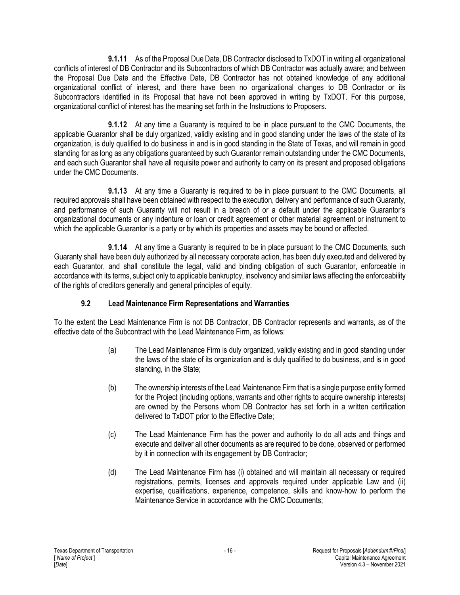**9.1.11** As of the Proposal Due Date, DB Contractor disclosed to TxDOT in writing all organizational conflicts of interest of DB Contractor and its Subcontractors of which DB Contractor was actually aware; and between the Proposal Due Date and the Effective Date, DB Contractor has not obtained knowledge of any additional organizational conflict of interest, and there have been no organizational changes to DB Contractor or its Subcontractors identified in its Proposal that have not been approved in writing by TxDOT. For this purpose, organizational conflict of interest has the meaning set forth in the Instructions to Proposers.

**9.1.12** At any time a Guaranty is required to be in place pursuant to the CMC Documents, the applicable Guarantor shall be duly organized, validly existing and in good standing under the laws of the state of its organization, is duly qualified to do business in and is in good standing in the State of Texas, and will remain in good standing for as long as any obligations guaranteed by such Guarantor remain outstanding under the CMC Documents, and each such Guarantor shall have all requisite power and authority to carry on its present and proposed obligations under the CMC Documents.

**9.1.13** At any time a Guaranty is required to be in place pursuant to the CMC Documents, all required approvals shall have been obtained with respect to the execution, delivery and performance of such Guaranty, and performance of such Guaranty will not result in a breach of or a default under the applicable Guarantor's organizational documents or any indenture or loan or credit agreement or other material agreement or instrument to which the applicable Guarantor is a party or by which its properties and assets may be bound or affected.

**9.1.14** At any time a Guaranty is required to be in place pursuant to the CMC Documents, such Guaranty shall have been duly authorized by all necessary corporate action, has been duly executed and delivered by each Guarantor, and shall constitute the legal, valid and binding obligation of such Guarantor, enforceable in accordance with its terms, subject only to applicable bankruptcy, insolvency and similar laws affecting the enforceability of the rights of creditors generally and general principles of equity.

## **9.2 Lead Maintenance Firm Representations and Warranties**

To the extent the Lead Maintenance Firm is not DB Contractor, DB Contractor represents and warrants, as of the effective date of the Subcontract with the Lead Maintenance Firm, as follows:

- (a) The Lead Maintenance Firm is duly organized, validly existing and in good standing under the laws of the state of its organization and is duly qualified to do business, and is in good standing, in the State;
- (b) The ownership interests of the Lead Maintenance Firm that is a single purpose entity formed for the Project (including options, warrants and other rights to acquire ownership interests) are owned by the Persons whom DB Contractor has set forth in a written certification delivered to TxDOT prior to the Effective Date;
- (c) The Lead Maintenance Firm has the power and authority to do all acts and things and execute and deliver all other documents as are required to be done, observed or performed by it in connection with its engagement by DB Contractor;
- (d) The Lead Maintenance Firm has (i) obtained and will maintain all necessary or required registrations, permits, licenses and approvals required under applicable Law and (ii) expertise, qualifications, experience, competence, skills and know-how to perform the Maintenance Service in accordance with the CMC Documents;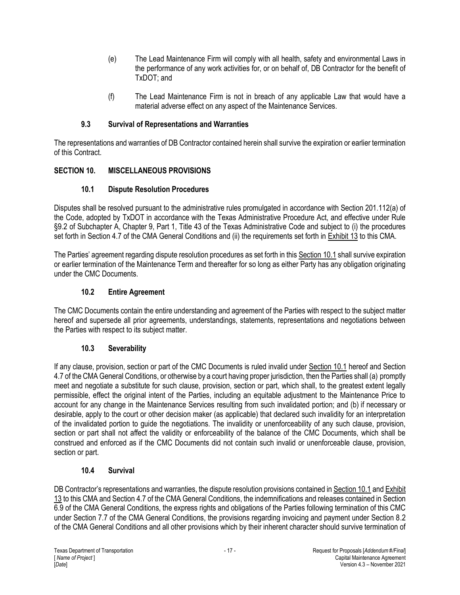- (e) The Lead Maintenance Firm will comply with all health, safety and environmental Laws in the performance of any work activities for, or on behalf of, DB Contractor for the benefit of TxDOT; and
- (f) The Lead Maintenance Firm is not in breach of any applicable Law that would have a material adverse effect on any aspect of the Maintenance Services.

#### **9.3 Survival of Representations and Warranties**

The representations and warranties of DB Contractor contained herein shall survive the expiration or earlier termination of this Contract.

## **SECTION 10. MISCELLANEOUS PROVISIONS**

## **10.1 Dispute Resolution Procedures**

Disputes shall be resolved pursuant to the administrative rules promulgated in accordance with Section 201.112(a) of the Code, adopted by TxDOT in accordance with the Texas Administrative Procedure Act, and effective under Rule §9.2 of Subchapter A, Chapter 9, Part 1, Title 43 of the Texas Administrative Code and subject to (i) the procedures set forth in Section 4.7 of the CMA General Conditions and (ii) the requirements set forth in Exhibit 13 to this CMA.

The Parties' agreement regarding dispute resolution procedures as set forth in this Section 10.1 shall survive expiration or earlier termination of the Maintenance Term and thereafter for so long as either Party has any obligation originating under the CMC Documents.

## **10.2 Entire Agreement**

The CMC Documents contain the entire understanding and agreement of the Parties with respect to the subject matter hereof and supersede all prior agreements, understandings, statements, representations and negotiations between the Parties with respect to its subject matter.

## **10.3 Severability**

If any clause, provision, section or part of the CMC Documents is ruled invalid under Section 10.1 hereof and Section 4.7 of the CMA General Conditions, or otherwise by a court having proper jurisdiction, then the Parties shall (a) promptly meet and negotiate a substitute for such clause, provision, section or part, which shall, to the greatest extent legally permissible, effect the original intent of the Parties, including an equitable adjustment to the Maintenance Price to account for any change in the Maintenance Services resulting from such invalidated portion; and (b) if necessary or desirable, apply to the court or other decision maker (as applicable) that declared such invalidity for an interpretation of the invalidated portion to guide the negotiations. The invalidity or unenforceability of any such clause, provision, section or part shall not affect the validity or enforceability of the balance of the CMC Documents, which shall be construed and enforced as if the CMC Documents did not contain such invalid or unenforceable clause, provision, section or part.

## **10.4 Survival**

DB Contractor's representations and warranties, the dispute resolution provisions contained in Section 10.1 and Exhibit 13 to this CMA and Section 4.7 of the CMA General Conditions, the indemnifications and releases contained in Section 6.9 of the CMA General Conditions, the express rights and obligations of the Parties following termination of this CMC under Section 7.7 of the CMA General Conditions, the provisions regarding invoicing and payment under Section 8.2 of the CMA General Conditions and all other provisions which by their inherent character should survive termination of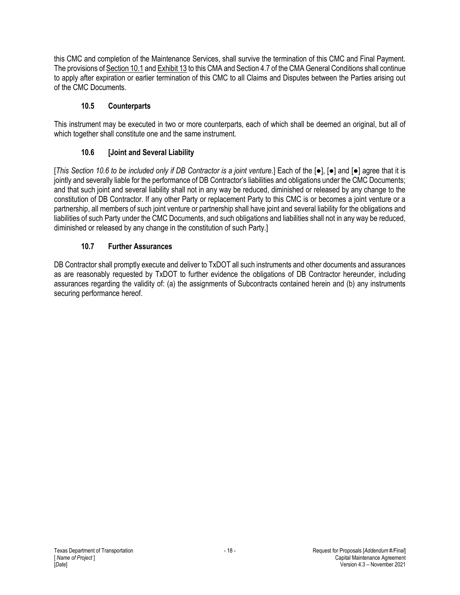this CMC and completion of the Maintenance Services, shall survive the termination of this CMC and Final Payment. The provisions of Section 10.1 and Exhibit 13 to this CMA and Section 4.7 of the CMA General Conditions shall continue to apply after expiration or earlier termination of this CMC to all Claims and Disputes between the Parties arising out of the CMC Documents.

# **10.5 Counterparts**

This instrument may be executed in two or more counterparts, each of which shall be deemed an original, but all of which together shall constitute one and the same instrument.

# **10.6 [Joint and Several Liability**

[*This Section 10.6 to be included only if DB Contractor is a joint venture.*] Each of the [●], [●] and [●] agree that it is jointly and severally liable for the performance of DB Contractor's liabilities and obligations under the CMC Documents; and that such joint and several liability shall not in any way be reduced, diminished or released by any change to the constitution of DB Contractor. If any other Party or replacement Party to this CMC is or becomes a joint venture or a partnership, all members of such joint venture or partnership shall have joint and several liability for the obligations and liabilities of such Party under the CMC Documents, and such obligations and liabilities shall not in any way be reduced, diminished or released by any change in the constitution of such Party.]

# **10.7 Further Assurances**

DB Contractor shall promptly execute and deliver to TxDOT all such instruments and other documents and assurances as are reasonably requested by TxDOT to further evidence the obligations of DB Contractor hereunder, including assurances regarding the validity of: (a) the assignments of Subcontracts contained herein and (b) any instruments securing performance hereof.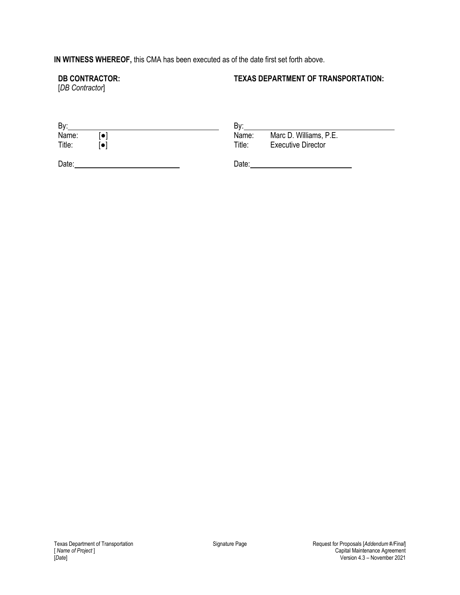# **IN WITNESS WHEREOF,** this CMA has been executed as of the date first set forth above.

#### **DB CONTRACTOR:**

#### **TEXAS DEPARTMENT OF TRANSPORTATION:**

[*DB Contractor*]

| By:             |          | Bv:             |                                                     |
|-----------------|----------|-----------------|-----------------------------------------------------|
| Name:<br>Title: | o<br>l O | Name:<br>Title: | Marc D. Williams, P.E.<br><b>Executive Director</b> |
| Date:           |          | Date:           |                                                     |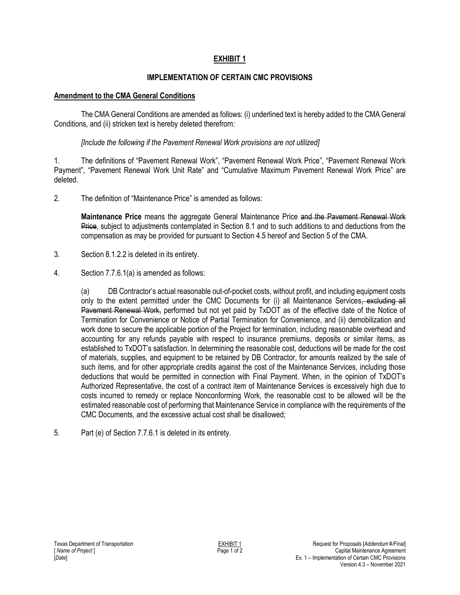#### **IMPLEMENTATION OF CERTAIN CMC PROVISIONS**

#### **Amendment to the CMA General Conditions**

The CMA General Conditions are amended as follows: (i) underlined text is hereby added to the CMA General Conditions, and (ii) stricken text is hereby deleted therefrom:

#### *[Include the following if the Pavement Renewal Work provisions are not utilized]*

1. The definitions of "Pavement Renewal Work", "Pavement Renewal Work Price", "Pavement Renewal Work Payment", "Pavement Renewal Work Unit Rate" and "Cumulative Maximum Pavement Renewal Work Price" are deleted.

2. The definition of "Maintenance Price" is amended as follows:

**Maintenance Price** means the aggregate General Maintenance Price and the Pavement Renewal Work Price, subject to adjustments contemplated in Section 8.1 and to such additions to and deductions from the compensation as may be provided for pursuant to Section 4.5 hereof and Section 5 of the CMA.

- 3. Section 8.1.2.2 is deleted in its entirety.
- 4. Section 7.7.6.1(a) is amended as follows:

(a) DB Contractor's actual reasonable out-of-pocket costs, without profit, and including equipment costs only to the extent permitted under the CMC Documents for (i) all Maintenance Services, excluding all Pavement Renewal Work, performed but not yet paid by TxDOT as of the effective date of the Notice of Termination for Convenience or Notice of Partial Termination for Convenience, and (ii) demobilization and work done to secure the applicable portion of the Project for termination, including reasonable overhead and accounting for any refunds payable with respect to insurance premiums, deposits or similar items, as established to TxDOT's satisfaction. In determining the reasonable cost, deductions will be made for the cost of materials, supplies, and equipment to be retained by DB Contractor, for amounts realized by the sale of such items, and for other appropriate credits against the cost of the Maintenance Services, including those deductions that would be permitted in connection with Final Payment. When, in the opinion of TxDOT's Authorized Representative, the cost of a contract item of Maintenance Services is excessively high due to costs incurred to remedy or replace Nonconforming Work, the reasonable cost to be allowed will be the estimated reasonable cost of performing that Maintenance Service in compliance with the requirements of the CMC Documents, and the excessive actual cost shall be disallowed;

5. Part (e) of Section 7.7.6.1 is deleted in its entirety.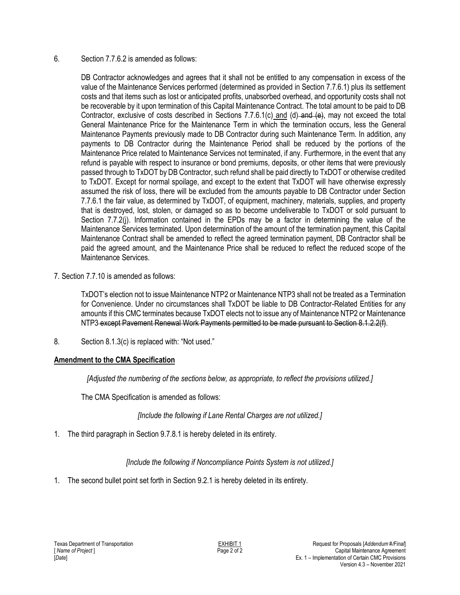#### 6. Section 7.7.6.2 is amended as follows:

DB Contractor acknowledges and agrees that it shall not be entitled to any compensation in excess of the value of the Maintenance Services performed (determined as provided in Section 7.7.6.1) plus its settlement costs and that items such as lost or anticipated profits, unabsorbed overhead, and opportunity costs shall not be recoverable by it upon termination of this Capital Maintenance Contract. The total amount to be paid to DB Contractor, exclusive of costs described in Sections 7.7.6.1(c) and (d) and (e), may not exceed the total General Maintenance Price for the Maintenance Term in which the termination occurs, less the General Maintenance Payments previously made to DB Contractor during such Maintenance Term. In addition, any payments to DB Contractor during the Maintenance Period shall be reduced by the portions of the Maintenance Price related to Maintenance Services not terminated, if any. Furthermore, in the event that any refund is payable with respect to insurance or bond premiums, deposits, or other items that were previously passed through to TxDOT by DB Contractor, such refund shall be paid directly to TxDOT or otherwise credited to TxDOT. Except for normal spoilage, and except to the extent that TxDOT will have otherwise expressly assumed the risk of loss, there will be excluded from the amounts payable to DB Contractor under Section 7.7.6.1 the fair value, as determined by TxDOT, of equipment, machinery, materials, supplies, and property that is destroyed, lost, stolen, or damaged so as to become undeliverable to TxDOT or sold pursuant to Section 7.7.2(j). Information contained in the EPDs may be a factor in determining the value of the Maintenance Services terminated. Upon determination of the amount of the termination payment, this Capital Maintenance Contract shall be amended to reflect the agreed termination payment, DB Contractor shall be paid the agreed amount, and the Maintenance Price shall be reduced to reflect the reduced scope of the Maintenance Services.

7. Section 7.7.10 is amended as follows:

TxDOT's election not to issue Maintenance NTP2 or Maintenance NTP3 shall not be treated as a Termination for Convenience. Under no circumstances shall TxDOT be liable to DB Contractor-Related Entities for any amounts if this CMC terminates because TxDOT elects not to issue any of Maintenance NTP2 or Maintenance NTP3 except Pavement Renewal Work Payments permitted to be made pursuant to Section 8.1.2.2(f).

8. Section 8.1.3(c) is replaced with: "Not used."

## **Amendment to the CMA Specification**

*[Adjusted the numbering of the sections below, as appropriate, to reflect the provisions utilized.]*

The CMA Specification is amended as follows:

*[Include the following if Lane Rental Charges are not utilized.]*

1. The third paragraph in Section 9.7.8.1 is hereby deleted in its entirety.

*[Include the following if Noncompliance Points System is not utilized.]*

1. The second bullet point set forth in Section 9.2.1 is hereby deleted in its entirety.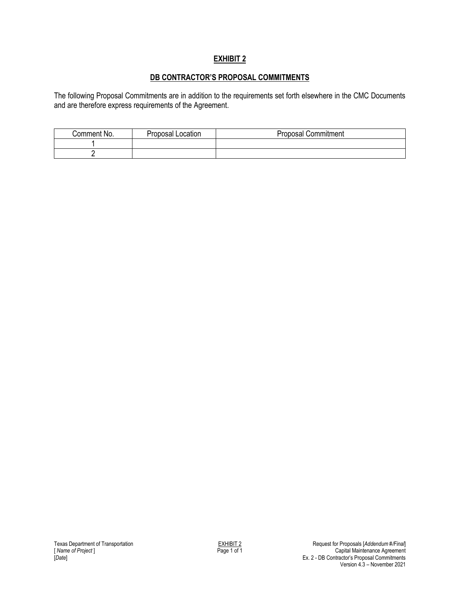## **DB CONTRACTOR'S PROPOSAL COMMITMENTS**

The following Proposal Commitments are in addition to the requirements set forth elsewhere in the CMC Documents and are therefore express requirements of the Agreement.

| Comment No. | Location<br>Proposal | Commitment<br>Proposal |
|-------------|----------------------|------------------------|
|             |                      |                        |
|             |                      |                        |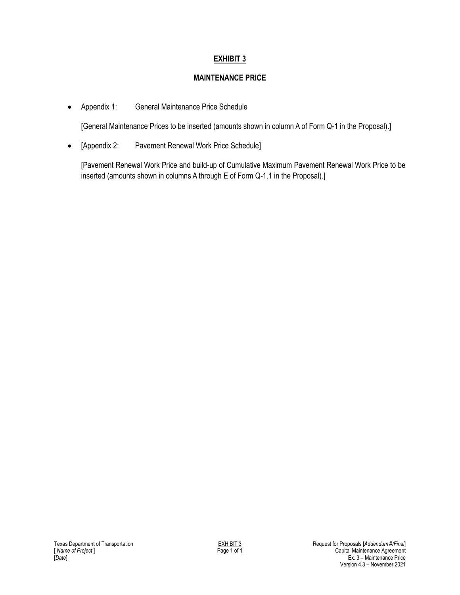## **MAINTENANCE PRICE**

Appendix 1: General Maintenance Price Schedule

[General Maintenance Prices to be inserted (amounts shown in column A of Form Q-1 in the Proposal).]

[Appendix 2: Pavement Renewal Work Price Schedule]

[Pavement Renewal Work Price and build-up of Cumulative Maximum Pavement Renewal Work Price to be inserted (amounts shown in columns A through E of Form Q-1.1 in the Proposal).]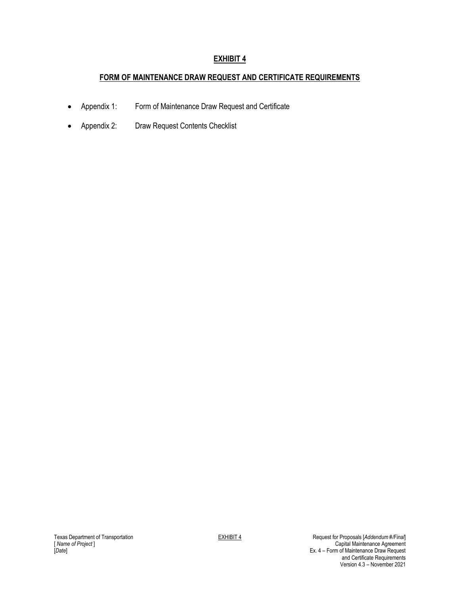#### **FORM OF MAINTENANCE DRAW REQUEST AND CERTIFICATE REQUIREMENTS**

- Appendix 1: Form of Maintenance Draw Request and Certificate
- Appendix 2: Draw Request Contents Checklist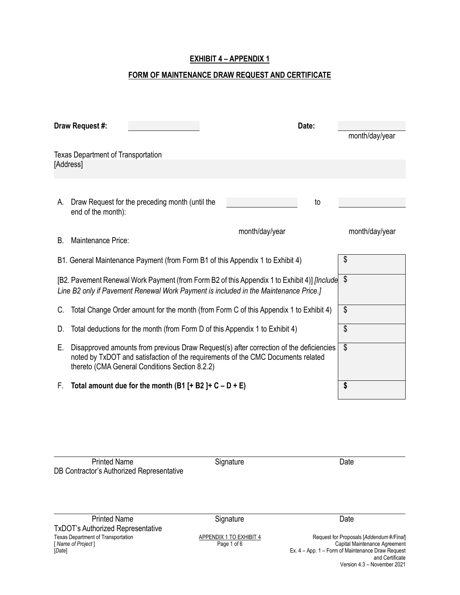#### **EXHIBIT 4 – APPENDIX 1**

#### **FORM OF MAINTENANCE DRAW REQUEST AND CERTIFICATE**

| Draw Request #:                           |                                                                                                                                                                                                                              |                | Date: | month/day/year            |
|-------------------------------------------|------------------------------------------------------------------------------------------------------------------------------------------------------------------------------------------------------------------------------|----------------|-------|---------------------------|
| <b>Texas Department of Transportation</b> |                                                                                                                                                                                                                              |                |       |                           |
| [Address]                                 |                                                                                                                                                                                                                              |                |       |                           |
|                                           |                                                                                                                                                                                                                              |                |       |                           |
| А.<br>end of the month):                  | Draw Request for the preceding month (until the                                                                                                                                                                              |                | to    |                           |
| Maintenance Price:<br>B.                  |                                                                                                                                                                                                                              | month/day/year |       | month/day/year            |
|                                           | B1. General Maintenance Payment (from Form B1 of this Appendix 1 to Exhibit 4)                                                                                                                                               |                |       | \$                        |
|                                           | [B2. Pavement Renewal Work Payment (from Form B2 of this Appendix 1 to Exhibit 4)] [Include<br>Line B2 only if Pavement Renewal Work Payment is included in the Maintenance Price.]                                          |                |       | \$                        |
|                                           | Total Change Order amount for the month (from Form C of this Appendix 1 to Exhibit 4)                                                                                                                                        |                |       | \$                        |
| D.                                        | Total deductions for the month (from Form D of this Appendix 1 to Exhibit 4)                                                                                                                                                 |                |       | \$                        |
| Е.                                        | Disapproved amounts from previous Draw Request(s) after correction of the deficiencies<br>noted by TxDOT and satisfaction of the requirements of the CMC Documents related<br>thereto (CMA General Conditions Section 8.2.2) |                |       | $\boldsymbol{\mathsf{S}}$ |
| F.                                        | Total amount due for the month (B1 [+ B2 ]+ $C - D + E$ )                                                                                                                                                                    |                |       | \$                        |

Printed Name **Signature** Signature Date DB Contractor's Authorized Representative

Texas Department of Transportation **APPENDIX 1 TO EXHIBIT 4**<br>
Texas Department of Transportation **APPENDIX 1 TO EXHIBIT 4**<br>
Page 1 of 6 **Richard Capital Maintenance Agreement**<br>
Ex. 4 – App. 1 – Form of Maintenance Draw Req Printed Name **Signature** Signature Date TxDOT's Authorized Representative

[ *Name of Project* ] Page 1 of 6 Capital Maintenance Agreement [*Date*] Ex. 4 – App. 1 – Form of Maintenance Draw Request and Certificate Version 4.3 – November 2021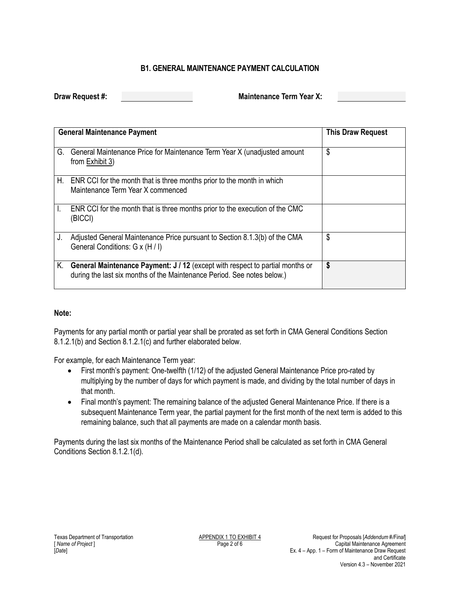#### **B1. GENERAL MAINTENANCE PAYMENT CALCULATION**

**Draw Request #: Maintenance Term Year X: Maintenance Term Year X:** 

|    | <b>General Maintenance Payment</b>                                                                                                                       | <b>This Draw Request</b> |
|----|----------------------------------------------------------------------------------------------------------------------------------------------------------|--------------------------|
|    | G. General Maintenance Price for Maintenance Term Year X (unadjusted amount<br>from Exhibit 3)                                                           | \$                       |
|    | H. ENR CCI for the month that is three months prior to the month in which<br>Maintenance Term Year X commenced                                           |                          |
| L. | ENR CCI for the month that is three months prior to the execution of the CMC<br>(BICCI)                                                                  |                          |
| J. | Adjusted General Maintenance Price pursuant to Section 8.1.3(b) of the CMA<br>General Conditions: G x (H / I)                                            | \$                       |
| Κ. | General Maintenance Payment: J / 12 (except with respect to partial months or<br>during the last six months of the Maintenance Period. See notes below.) | \$                       |

#### **Note:**

Payments for any partial month or partial year shall be prorated as set forth in CMA General Conditions Section 8.1.2.1(b) and Section 8.1.2.1(c) and further elaborated below.

For example, for each Maintenance Term year:

- First month's payment: One-twelfth (1/12) of the adjusted General Maintenance Price pro-rated by multiplying by the number of days for which payment is made, and dividing by the total number of days in that month.
- Final month's payment: The remaining balance of the adjusted General Maintenance Price. If there is a subsequent Maintenance Term year, the partial payment for the first month of the next term is added to this remaining balance, such that all payments are made on a calendar month basis.

Payments during the last six months of the Maintenance Period shall be calculated as set forth in CMA General Conditions Section 8.1.2.1(d).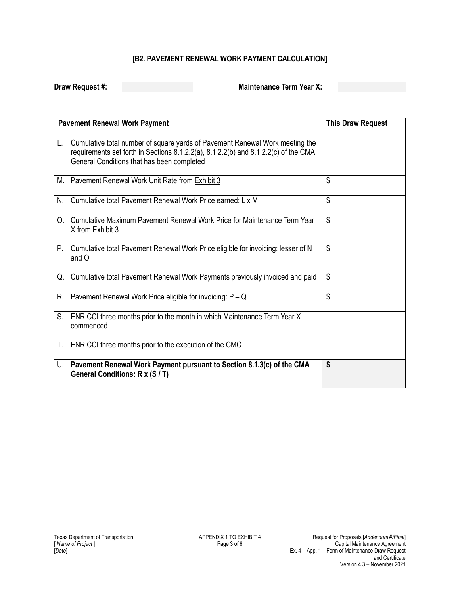# **[B2. PAVEMENT RENEWAL WORK PAYMENT CALCULATION]**

**Draw Request #: Maintenance Term Year X: Maintenance Term Year X:** 

|                | <b>Pavement Renewal Work Payment</b>                                                                                                                                                                              | <b>This Draw Request</b> |
|----------------|-------------------------------------------------------------------------------------------------------------------------------------------------------------------------------------------------------------------|--------------------------|
| L.             | Cumulative total number of square yards of Pavement Renewal Work meeting the<br>requirements set forth in Sections 8.1.2.2(a), 8.1.2.2(b) and 8.1.2.2(c) of the CMA<br>General Conditions that has been completed |                          |
|                | M. Pavement Renewal Work Unit Rate from Exhibit 3                                                                                                                                                                 | \$                       |
| N.             | Cumulative total Pavement Renewal Work Price earned: L x M                                                                                                                                                        | \$                       |
| O <sub>1</sub> | Cumulative Maximum Pavement Renewal Work Price for Maintenance Term Year<br>X from Exhibit 3                                                                                                                      | \$                       |
| P.             | Cumulative total Pavement Renewal Work Price eligible for invoicing: lesser of N<br>and O                                                                                                                         | \$                       |
|                | Q. Cumulative total Pavement Renewal Work Payments previously invoiced and paid                                                                                                                                   | \$                       |
| R.             | Pavement Renewal Work Price eligible for invoicing: P - Q                                                                                                                                                         | \$                       |
| S.             | ENR CCI three months prior to the month in which Maintenance Term Year X<br>commenced                                                                                                                             |                          |
|                | T. ENR CCI three months prior to the execution of the CMC                                                                                                                                                         |                          |
| U.             | Pavement Renewal Work Payment pursuant to Section 8.1.3(c) of the CMA<br>General Conditions: R x (S / T)                                                                                                          | \$                       |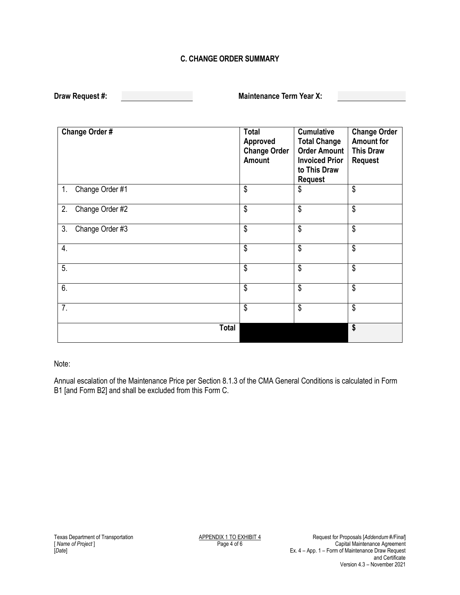#### **C. CHANGE ORDER SUMMARY**

**Draw Maintenance Term Year X:** 

| Change Order #        | <b>Total</b><br>Approved<br><b>Change Order</b><br>Amount | <b>Cumulative</b><br><b>Total Change</b><br><b>Order Amount</b><br><b>Invoiced Prior</b><br>to This Draw<br><b>Request</b> | <b>Change Order</b><br><b>Amount for</b><br><b>This Draw</b><br><b>Request</b> |
|-----------------------|-----------------------------------------------------------|----------------------------------------------------------------------------------------------------------------------------|--------------------------------------------------------------------------------|
| 1. Change Order #1    | \$                                                        | \$                                                                                                                         | \$                                                                             |
| Change Order #2<br>2. | \$                                                        | \$                                                                                                                         | \$                                                                             |
| 3.<br>Change Order #3 | \$                                                        | \$                                                                                                                         | \$                                                                             |
| 4.                    | \$                                                        | \$                                                                                                                         | \$                                                                             |
| 5.                    | \$                                                        | \$                                                                                                                         | \$                                                                             |
| 6.                    | \$                                                        | \$                                                                                                                         | \$                                                                             |
| $\overline{7}$ .      | \$                                                        | $\overline{\mathsf{s}}$                                                                                                    | $\overline{\mathsf{s}}$                                                        |
| <b>Total</b>          |                                                           |                                                                                                                            | \$                                                                             |

#### Note:

Annual escalation of the Maintenance Price per Section 8.1.3 of the CMA General Conditions is calculated in Form B1 [and Form B2] and shall be excluded from this Form C.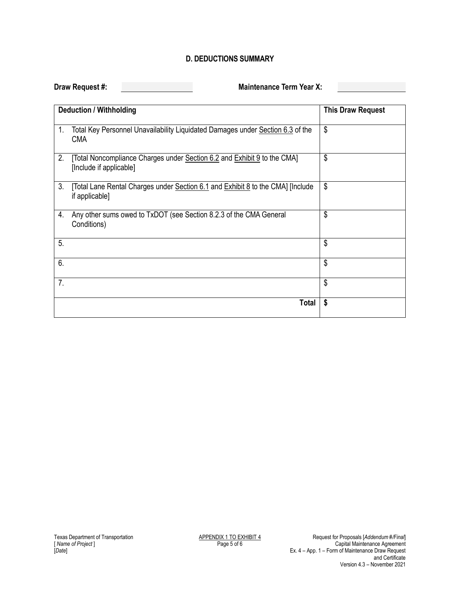#### **D. DEDUCTIONS SUMMARY**

**Draw Request #: Maintenance Term Year X: Maintenance Term Year X:** 

| <b>Deduction / Withholding</b>                                                                                      | <b>This Draw Request</b> |
|---------------------------------------------------------------------------------------------------------------------|--------------------------|
| Total Key Personnel Unavailability Liquidated Damages under Section 6.3 of the<br>$1_{\cdot}$<br><b>CMA</b>         | \$                       |
| 2.<br>[Total Noncompliance Charges under Section 6.2 and Exhibit 9 to the CMA]<br>[Include if applicable]           | \$                       |
| 3 <sub>1</sub><br>[Total Lane Rental Charges under Section 6.1 and Exhibit 8 to the CMA] [Include<br>if applicable] | \$                       |
| 4.<br>Any other sums owed to TxDOT (see Section 8.2.3 of the CMA General<br>Conditions)                             | \$                       |
| 5.                                                                                                                  | \$                       |
| 6.                                                                                                                  | \$                       |
| 7.                                                                                                                  | \$                       |
|                                                                                                                     | \$<br><b>Total</b>       |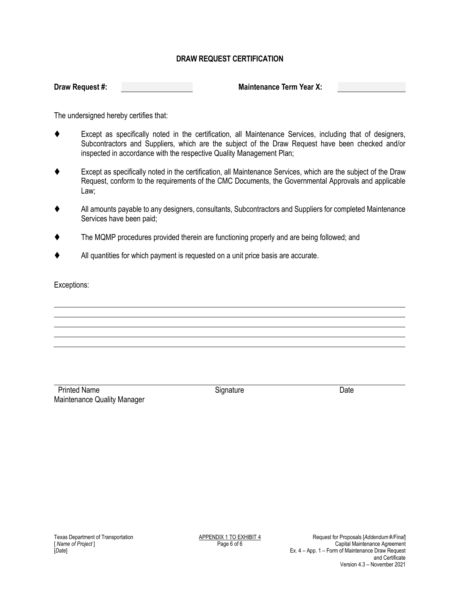#### **DRAW REQUEST CERTIFICATION**

**Draw Request #: Maintenance Term Year X: Maintenance Term Year X:** 

The undersigned hereby certifies that:

- Except as specifically noted in the certification, all Maintenance Services, including that of designers, Subcontractors and Suppliers, which are the subject of the Draw Request have been checked and/or inspected in accordance with the respective Quality Management Plan;
- Except as specifically noted in the certification, all Maintenance Services, which are the subject of the Draw Request, conform to the requirements of the CMC Documents, the Governmental Approvals and applicable Law;
- All amounts payable to any designers, consultants, Subcontractors and Suppliers for completed Maintenance Services have been paid;
- The MQMP procedures provided therein are functioning properly and are being followed; and
- All quantities for which payment is requested on a unit price basis are accurate.

Exceptions:

Printed Name Date **Signature** Date **Contract Signature** Date Maintenance Quality Manager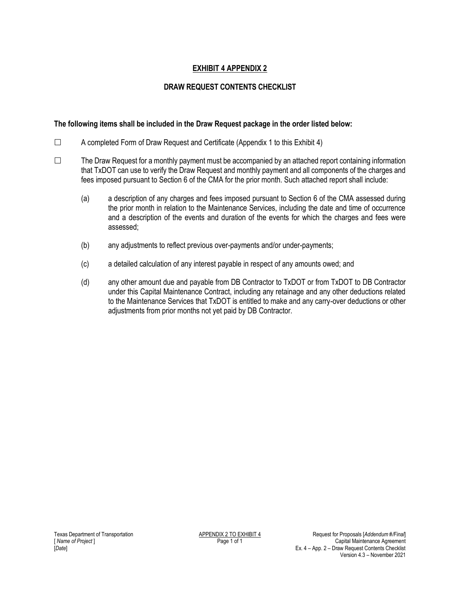## **EXHIBIT 4 APPENDIX 2**

#### **DRAW REQUEST CONTENTS CHECKLIST**

#### **The following items shall be included in the Draw Request package in the order listed below:**

- $\Box$  A completed Form of Draw Request and Certificate (Appendix 1 to this Exhibit 4)
- $\Box$  The Draw Request for a monthly payment must be accompanied by an attached report containing information that TxDOT can use to verify the Draw Request and monthly payment and all components of the charges and fees imposed pursuant to Section 6 of the CMA for the prior month. Such attached report shall include:
	- (a) a description of any charges and fees imposed pursuant to Section 6 of the CMA assessed during the prior month in relation to the Maintenance Services, including the date and time of occurrence and a description of the events and duration of the events for which the charges and fees were assessed;
	- (b) any adjustments to reflect previous over-payments and/or under-payments;
	- (c) a detailed calculation of any interest payable in respect of any amounts owed; and
	- (d) any other amount due and payable from DB Contractor to TxDOT or from TxDOT to DB Contractor under this Capital Maintenance Contract, including any retainage and any other deductions related to the Maintenance Services that TxDOT is entitled to make and any carry-over deductions or other adjustments from prior months not yet paid by DB Contractor.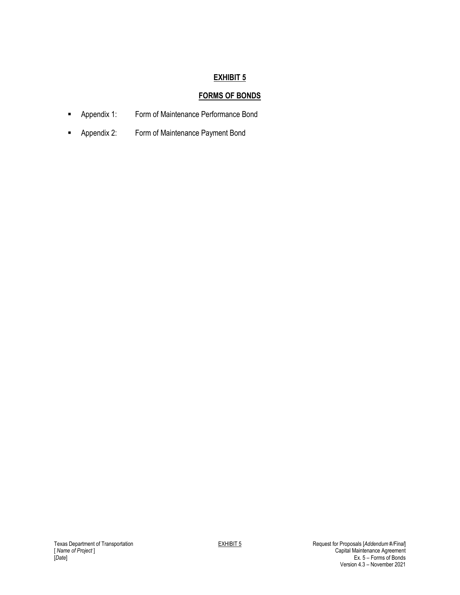# **FORMS OF BONDS**

- **-** Appendix 1: Form of Maintenance Performance Bond
- **-** Appendix 2: Form of Maintenance Payment Bond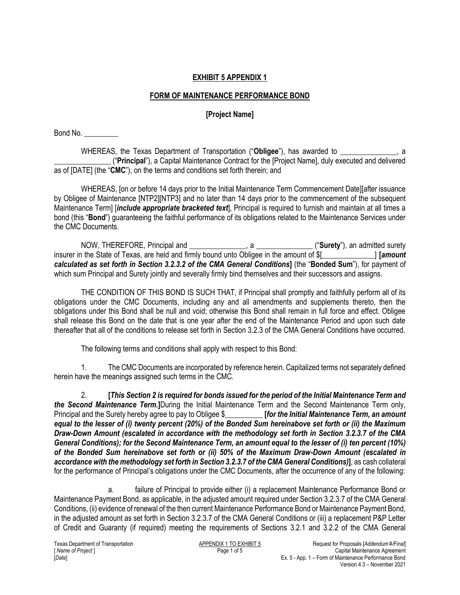## **EXHIBIT 5 APPENDIX 1**

## **FORM OF MAINTENANCE PERFORMANCE BOND**

## **[Project Name]**

Bond No. \_\_\_\_\_\_\_\_\_

WHEREAS, the Texas Department of Transportation ("**Obligee**"), has awarded to \_\_\_\_\_\_\_\_\_\_\_\_\_\_\_, a \_\_\_\_\_\_\_\_\_\_\_\_\_\_\_ ("**Principal**"), a Capital Maintenance Contract for the [Project Name], duly executed and delivered as of [DATE] (the "**CMC**"), on the terms and conditions set forth therein; and

WHEREAS, [on or before 14 days prior to the Initial Maintenance Term Commencement Date][after issuance by Obligee of Maintenance [NTP2][NTP3] and no later than 14 days prior to the commencement of the subsequent Maintenance Term] [*include appropriate bracketed text*], Principal is required to furnish and maintain at all times a bond (this "**Bond**") guaranteeing the faithful performance of its obligations related to the Maintenance Services under the CMC Documents.

NOW, THEREFORE, Principal and \_\_\_\_\_\_\_\_\_\_\_\_\_\_\_, a \_\_\_\_\_\_\_\_\_\_\_\_\_\_\_ ("**Surety**"), an admitted surety insurer in the State of Texas, are held and firmly bound unto Obligee in the amount of \$[\_\_\_\_\_\_\_\_\_\_\_\_\_\_] **[***amount calculated as set forth in Section 3.2.3.2 of the CMA General Conditions***]** (the "**Bonded Sum**"), for payment of which sum Principal and Surety jointly and severally firmly bind themselves and their successors and assigns.

THE CONDITION OF THIS BOND IS SUCH THAT, if Principal shall promptly and faithfully perform all of its obligations under the CMC Documents, including any and all amendments and supplements thereto, then the obligations under this Bond shall be null and void; otherwise this Bond shall remain in full force and effect. Obligee shall release this Bond on the date that is one year after the end of the Maintenance Period and upon such date thereafter that all of the conditions to release set forth in Section 3.2.3 of the CMA General Conditions have occurred.

The following terms and conditions shall apply with respect to this Bond:

1. The CMC Documents are incorporated by reference herein. Capitalized terms not separately defined herein have the meanings assigned such terms in the CMC.

2. **[***This Section 2 is required for bonds issued for the period of the Initial Maintenance Term and the Second Maintenance Term.***]**During the Initial Maintenance Term and the Second Maintenance Term only, Principal and the Surety hereby agree to pay to Obligee \$\_\_\_\_\_\_\_\_\_\_ **[***for the Initial Maintenance Term, an amount equal to the lesser of (i) twenty percent (20%) of the Bonded Sum hereinabove set forth or (ii) the Maximum Draw-Down Amount (escalated in accordance with the methodology set forth in Section 3.2.3.7 of the CMA General Conditions); for the Second Maintenance Term, an amount equal to the lesser of (i) ten percent (10%) of the Bonded Sum hereinabove set forth or (ii) 50% of the Maximum Draw-Down Amount (escalated in accordance with the methodology set forth in Section 3.2.3.7 of the CMA General Conditions)***]**, as cash collateral for the performance of Principal's obligations under the CMC Documents, after the occurrence of any of the following:

a. failure of Principal to provide either (i) a replacement Maintenance Performance Bond or Maintenance Payment Bond, as applicable, in the adjusted amount required under Section 3.2.3.7 of the CMA General Conditions, (ii) evidence of renewal of the then current Maintenance Performance Bond or Maintenance Payment Bond, in the adjusted amount as set forth in Section 3.2.3.7 of the CMA General Conditions or (iii) a replacement P&P Letter of Credit and Guaranty (if required) meeting the requirements of Sections 3.2.1 and 3.2.2 of the CMA General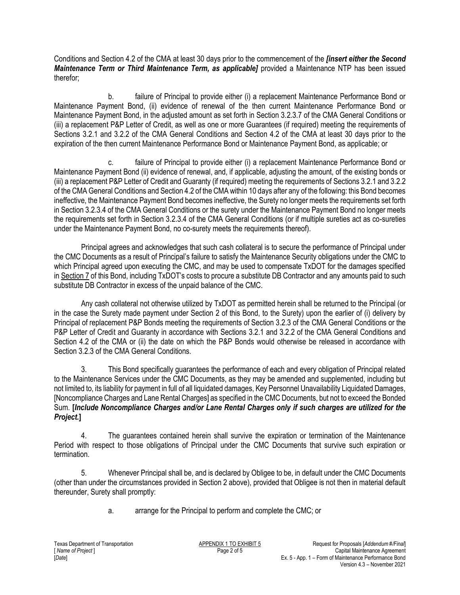Conditions and Section 4.2 of the CMA at least 30 days prior to the commencement of the *[insert either the Second Maintenance Term or Third Maintenance Term, as applicable]* provided a Maintenance NTP has been issued therefor;

b. failure of Principal to provide either (i) a replacement Maintenance Performance Bond or Maintenance Payment Bond, (ii) evidence of renewal of the then current Maintenance Performance Bond or Maintenance Payment Bond, in the adjusted amount as set forth in Section 3.2.3.7 of the CMA General Conditions or (iii) a replacement P&P Letter of Credit, as well as one or more Guarantees (if required) meeting the requirements of Sections 3.2.1 and 3.2.2 of the CMA General Conditions and Section 4.2 of the CMA at least 30 days prior to the expiration of the then current Maintenance Performance Bond or Maintenance Payment Bond, as applicable; or

c. failure of Principal to provide either (i) a replacement Maintenance Performance Bond or Maintenance Payment Bond (ii) evidence of renewal, and, if applicable, adjusting the amount, of the existing bonds or (iii) a replacement P&P Letter of Credit and Guaranty (if required) meeting the requirements of Sections 3.2.1 and 3.2.2 of the CMA General Conditions and Section 4.2 of the CMA within 10 days after any of the following: this Bond becomes ineffective, the Maintenance Payment Bond becomes ineffective, the Surety no longer meets the requirements set forth in Section 3.2.3.4 of the CMA General Conditions or the surety under the Maintenance Payment Bond no longer meets the requirements set forth in Section 3.2.3.4 of the CMA General Conditions (or if multiple sureties act as co-sureties under the Maintenance Payment Bond, no co-surety meets the requirements thereof).

Principal agrees and acknowledges that such cash collateral is to secure the performance of Principal under the CMC Documents as a result of Principal's failure to satisfy the Maintenance Security obligations under the CMC to which Principal agreed upon executing the CMC, and may be used to compensate TxDOT for the damages specified in Section 7 of this Bond, including TxDOT's costs to procure a substitute DB Contractor and any amounts paid to such substitute DB Contractor in excess of the unpaid balance of the CMC.

Any cash collateral not otherwise utilized by TxDOT as permitted herein shall be returned to the Principal (or in the case the Surety made payment under Section 2 of this Bond, to the Surety) upon the earlier of (i) delivery by Principal of replacement P&P Bonds meeting the requirements of Section 3.2.3 of the CMA General Conditions or the P&P Letter of Credit and Guaranty in accordance with Sections 3.2.1 and 3.2.2 of the CMA General Conditions and Section 4.2 of the CMA or (ii) the date on which the P&P Bonds would otherwise be released in accordance with Section 3.2.3 of the CMA General Conditions.

3. This Bond specifically guarantees the performance of each and every obligation of Principal related to the Maintenance Services under the CMC Documents, as they may be amended and supplemented, including but not limited to, its liability for payment in full of all liquidated damages, Key Personnel Unavailability Liquidated Damages, [Noncompliance Charges and Lane Rental Charges] as specified in the CMC Documents, but not to exceed the Bonded Sum. **[***Include Noncompliance Charges and/or Lane Rental Charges only if such charges are utilized for the Project.***]**

4. The guarantees contained herein shall survive the expiration or termination of the Maintenance Period with respect to those obligations of Principal under the CMC Documents that survive such expiration or termination.

5. Whenever Principal shall be, and is declared by Obligee to be, in default under the CMC Documents (other than under the circumstances provided in Section 2 above), provided that Obligee is not then in material default thereunder, Surety shall promptly:

a. arrange for the Principal to perform and complete the CMC; or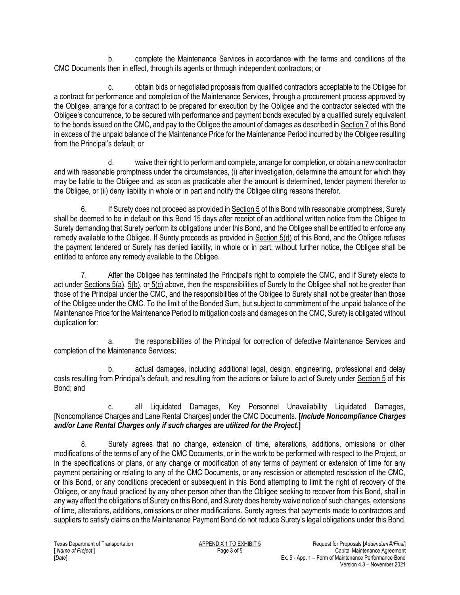b. complete the Maintenance Services in accordance with the terms and conditions of the CMC Documents then in effect, through its agents or through independent contractors; or

c. obtain bids or negotiated proposals from qualified contractors acceptable to the Obligee for a contract for performance and completion of the Maintenance Services, through a procurement process approved by the Obligee, arrange for a contract to be prepared for execution by the Obligee and the contractor selected with the Obligee's concurrence, to be secured with performance and payment bonds executed by a qualified surety equivalent to the bonds issued on the CMC, and pay to the Obligee the amount of damages as described in Section 7 of this Bond in excess of the unpaid balance of the Maintenance Price for the Maintenance Period incurred by the Obligee resulting from the Principal's default; or

d. waive their right to perform and complete, arrange for completion, or obtain a new contractor and with reasonable promptness under the circumstances, (i) after investigation, determine the amount for which they may be liable to the Obligee and, as soon as practicable after the amount is determined, tender payment therefor to the Obligee, or (ii) deny liability in whole or in part and notify the Obligee citing reasons therefor.

6. If Surety does not proceed as provided in Section 5 of this Bond with reasonable promptness, Surety shall be deemed to be in default on this Bond 15 days after receipt of an additional written notice from the Obligee to Surety demanding that Surety perform its obligations under this Bond, and the Obligee shall be entitled to enforce any remedy available to the Obligee. If Surety proceeds as provided in Section 5(d) of this Bond, and the Obligee refuses the payment tendered or Surety has denied liability, in whole or in part, without further notice, the Obligee shall be entitled to enforce any remedy available to the Obligee.

7. After the Obligee has terminated the Principal's right to complete the CMC, and if Surety elects to act under Sections 5(a), 5(b), or 5(c) above, then the responsibilities of Surety to the Obligee shall not be greater than those of the Principal under the CMC, and the responsibilities of the Obligee to Surety shall not be greater than those of the Obligee under the CMC. To the limit of the Bonded Sum, but subject to commitment of the unpaid balance of the Maintenance Price for the Maintenance Period to mitigation costs and damages on the CMC, Surety is obligated without duplication for:

a. the responsibilities of the Principal for correction of defective Maintenance Services and completion of the Maintenance Services;

b. actual damages, including additional legal, design, engineering, professional and delay costs resulting from Principal's default, and resulting from the actions or failure to act of Surety under Section 5 of this Bond; and

c. all Liquidated Damages, Key Personnel Unavailability Liquidated Damages, [Noncompliance Charges and Lane Rental Charges] under the CMC Documents. **[***Include Noncompliance Charges and/or Lane Rental Charges only if such charges are utilized for the Project.***]**

8. Surety agrees that no change, extension of time, alterations, additions, omissions or other modifications of the terms of any of the CMC Documents, or in the work to be performed with respect to the Project, or in the specifications or plans, or any change or modification of any terms of payment or extension of time for any payment pertaining or relating to any of the CMC Documents, or any rescission or attempted rescission of the CMC, or this Bond, or any conditions precedent or subsequent in this Bond attempting to limit the right of recovery of the Obligee, or any fraud practiced by any other person other than the Obligee seeking to recover from this Bond, shall in any way affect the obligations of Surety on this Bond, and Surety does hereby waive notice of such changes, extensions of time, alterations, additions, omissions or other modifications. Surety agrees that payments made to contractors and suppliers to satisfy claims on the Maintenance Payment Bond do not reduce Surety's legal obligations under this Bond.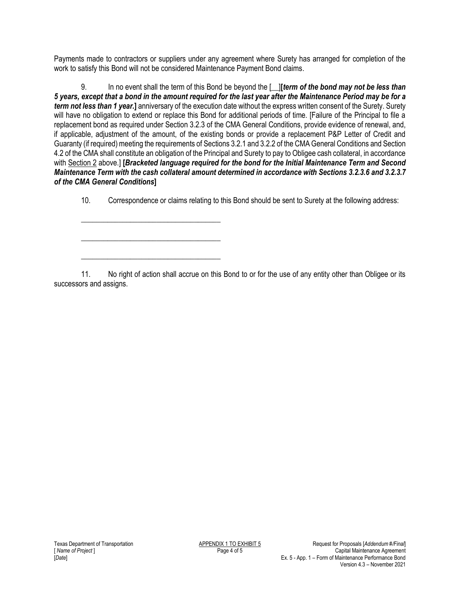Payments made to contractors or suppliers under any agreement where Surety has arranged for completion of the work to satisfy this Bond will not be considered Maintenance Payment Bond claims.

9. In no event shall the term of this Bond be beyond the [\_\_]**[***term of the bond may not be less than 5 years, except that a bond in the amount required for the last year after the Maintenance Period may be for a term not less than 1 year.***]** anniversary of the execution date without the express written consent of the Surety. Surety will have no obligation to extend or replace this Bond for additional periods of time. [Failure of the Principal to file a replacement bond as required under Section 3.2.3 of the CMA General Conditions, provide evidence of renewal, and, if applicable, adjustment of the amount, of the existing bonds or provide a replacement P&P Letter of Credit and Guaranty (if required) meeting the requirements of Sections 3.2.1 and 3.2.2 of the CMA General Conditions and Section 4.2 of the CMA shall constitute an obligation of the Principal and Surety to pay to Obligee cash collateral, in accordance with Section 2 above.] **[***Bracketed language required for the bond for the Initial Maintenance Term and Second Maintenance Term with the cash collateral amount determined in accordance with Sections 3.2.3.6 and 3.2.3.7 of the CMA General Conditions***]**

10. Correspondence or claims relating to this Bond should be sent to Surety at the following address:

11. No right of action shall accrue on this Bond to or for the use of any entity other than Obligee or its successors and assigns.

\_\_\_\_\_\_\_\_\_\_\_\_\_\_\_\_\_\_\_\_\_\_\_\_\_\_\_\_\_\_\_\_\_\_\_\_\_

\_\_\_\_\_\_\_\_\_\_\_\_\_\_\_\_\_\_\_\_\_\_\_\_\_\_\_\_\_\_\_\_\_\_\_\_\_

\_\_\_\_\_\_\_\_\_\_\_\_\_\_\_\_\_\_\_\_\_\_\_\_\_\_\_\_\_\_\_\_\_\_\_\_\_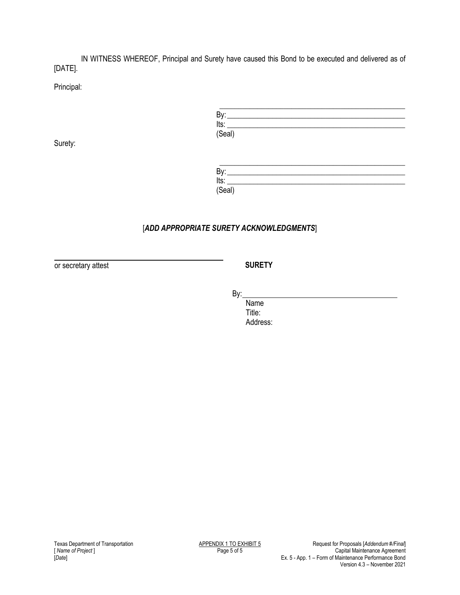IN WITNESS WHEREOF, Principal and Surety have caused this Bond to be executed and delivered as of [DATE].

Principal:

| By:    |  |  |  |
|--------|--|--|--|
| Its:   |  |  |  |
| (Seal) |  |  |  |

Surety:

| Bv.                 |  |  |  |
|---------------------|--|--|--|
| Its:                |  |  |  |
| $(Se\overline{al})$ |  |  |  |

## [*ADD APPROPRIATE SURETY ACKNOWLEDGMENTS*]

or secretary attest **SURETY** 

By:

Name Title: Address: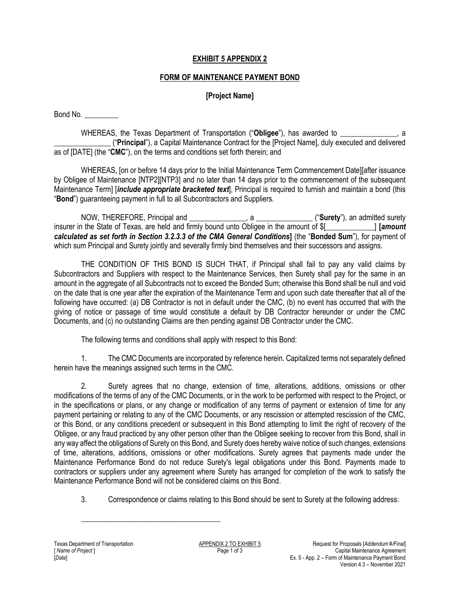### **EXHIBIT 5 APPENDIX 2**

#### **FORM OF MAINTENANCE PAYMENT BOND**

## **[Project Name]**

Bond No.

WHEREAS, the Texas Department of Transportation ("**Obligee**"), has awarded to \_\_\_\_\_\_\_\_\_\_\_\_\_\_\_, a \_\_\_\_\_\_\_\_\_\_\_\_\_\_\_ ("**Principal**"), a Capital Maintenance Contract for the [Project Name], duly executed and delivered as of [DATE] (the "**CMC**"), on the terms and conditions set forth therein; and

WHEREAS, [on or before 14 days prior to the Initial Maintenance Term Commencement Date][after issuance by Obligee of Maintenance [NTP2][NTP3] and no later than 14 days prior to the commencement of the subsequent Maintenance Term] [*include appropriate bracketed text*], Principal is required to furnish and maintain a bond (this "**Bond**") guaranteeing payment in full to all Subcontractors and Suppliers.

NOW, THEREFORE, Principal and \_\_\_\_\_\_\_\_\_\_\_\_\_\_\_, a \_\_\_\_\_\_\_\_\_\_\_\_\_\_\_ ("**Surety**"), an admitted surety insurer in the State of Texas, are held and firmly bound unto Obligee in the amount of \$[\_\_\_\_\_\_\_\_\_\_\_\_\_] **[***amount calculated as set forth in Section 3.2.3.3 of the CMA General Conditions***]** (the "**Bonded Sum**"), for payment of which sum Principal and Surety jointly and severally firmly bind themselves and their successors and assigns.

THE CONDITION OF THIS BOND IS SUCH THAT, if Principal shall fail to pay any valid claims by Subcontractors and Suppliers with respect to the Maintenance Services, then Surety shall pay for the same in an amount in the aggregate of all Subcontracts not to exceed the Bonded Sum; otherwise this Bond shall be null and void on the date that is one year after the expiration of the Maintenance Term and upon such date thereafter that all of the following have occurred: (a) DB Contractor is not in default under the CMC, (b) no event has occurred that with the giving of notice or passage of time would constitute a default by DB Contractor hereunder or under the CMC Documents, and (c) no outstanding Claims are then pending against DB Contractor under the CMC.

The following terms and conditions shall apply with respect to this Bond:

1. The CMC Documents are incorporated by reference herein. Capitalized terms not separately defined herein have the meanings assigned such terms in the CMC.

2. Surety agrees that no change, extension of time, alterations, additions, omissions or other modifications of the terms of any of the CMC Documents, or in the work to be performed with respect to the Project, or in the specifications or plans, or any change or modification of any terms of payment or extension of time for any payment pertaining or relating to any of the CMC Documents, or any rescission or attempted rescission of the CMC, or this Bond, or any conditions precedent or subsequent in this Bond attempting to limit the right of recovery of the Obligee, or any fraud practiced by any other person other than the Obligee seeking to recover from this Bond, shall in any way affect the obligations of Surety on this Bond, and Surety does hereby waive notice of such changes, extensions of time, alterations, additions, omissions or other modifications. Surety agrees that payments made under the Maintenance Performance Bond do not reduce Surety's legal obligations under this Bond. Payments made to contractors or suppliers under any agreement where Surety has arranged for completion of the work to satisfy the Maintenance Performance Bond will not be considered claims on this Bond.

3. Correspondence or claims relating to this Bond should be sent to Surety at the following address:

\_\_\_\_\_\_\_\_\_\_\_\_\_\_\_\_\_\_\_\_\_\_\_\_\_\_\_\_\_\_\_\_\_\_\_\_\_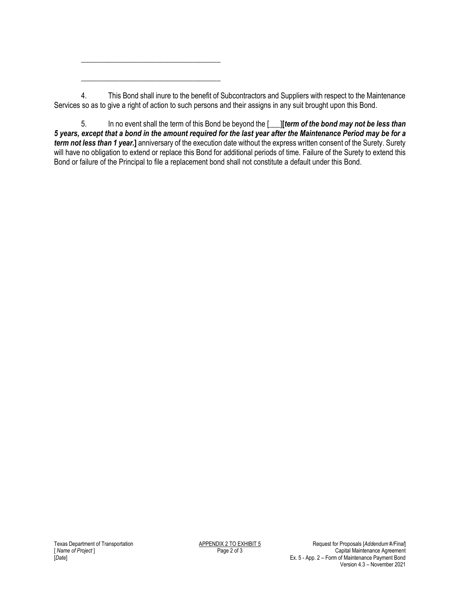4. This Bond shall inure to the benefit of Subcontractors and Suppliers with respect to the Maintenance Services so as to give a right of action to such persons and their assigns in any suit brought upon this Bond.

\_\_\_\_\_\_\_\_\_\_\_\_\_\_\_\_\_\_\_\_\_\_\_\_\_\_\_\_\_\_\_\_\_\_\_\_\_

\_\_\_\_\_\_\_\_\_\_\_\_\_\_\_\_\_\_\_\_\_\_\_\_\_\_\_\_\_\_\_\_\_\_\_\_\_

5. In no event shall the term of this Bond be beyond the [\_\_\_]**[***term of the bond may not be less than 5 years, except that a bond in the amount required for the last year after the Maintenance Period may be for a term not less than 1 year.***]** anniversary of the execution date without the express written consent of the Surety. Surety will have no obligation to extend or replace this Bond for additional periods of time. Failure of the Surety to extend this Bond or failure of the Principal to file a replacement bond shall not constitute a default under this Bond.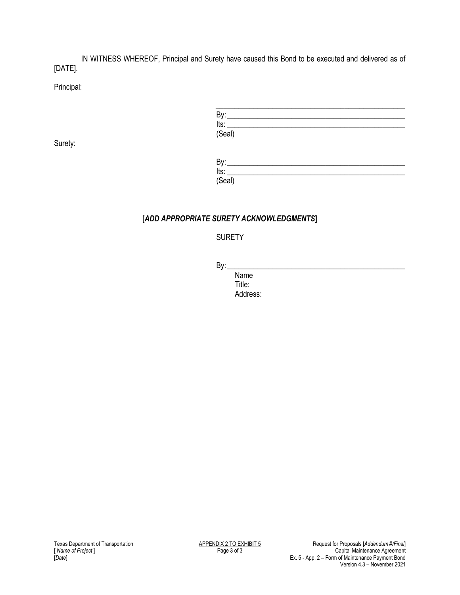IN WITNESS WHEREOF, Principal and Surety have caused this Bond to be executed and delivered as of [DATE].

Principal:

Surety:

| Bv:             |  |  |
|-----------------|--|--|
|                 |  |  |
| $Its:$ $(Seal)$ |  |  |

| By:    |  |  |  |
|--------|--|--|--|
| Its:   |  |  |  |
| (Seal) |  |  |  |

## **[***ADD APPROPRIATE SURETY ACKNOWLEDGMENTS***]**

## SURETY

By: \_\_\_\_\_\_\_\_\_\_\_\_\_\_\_\_\_\_\_\_\_\_\_\_\_\_\_\_\_\_\_\_\_\_\_\_\_\_\_\_\_\_\_\_\_\_\_

Name Title: Address: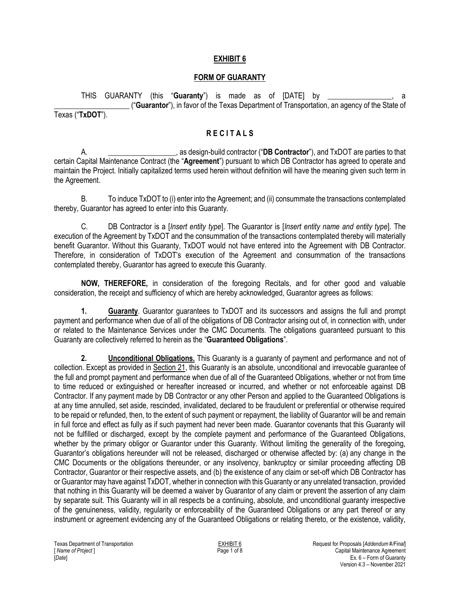#### **EXHIBIT 6**

#### **FORM OF GUARANTY**

THIS GUARANTY (this "**Guaranty**") is made as of [DATE] by \_\_\_\_\_\_\_\_\_\_\_\_\_\_\_\_\_, a \_\_\_\_\_\_\_\_\_\_\_\_\_\_\_\_\_\_\_\_ ("**Guarantor**"), in favor of the Texas Department of Transportation, an agency of the State of Texas ("**TxDOT**").

#### **R E C I T A L S**

A. \_\_\_\_\_\_\_\_\_\_\_\_\_\_\_\_\_\_, as design-build contractor ("**DB Contractor**"), and TxDOT are parties to that certain Capital Maintenance Contract (the "**Agreement**") pursuant to which DB Contractor has agreed to operate and maintain the Project. Initially capitalized terms used herein without definition will have the meaning given such term in the Agreement.

B. To induce TxDOT to (i) enter into the Agreement; and (ii) consummate the transactions contemplated thereby, Guarantor has agreed to enter into this Guaranty.

C. DB Contractor is a [*Insert entity type*]. The Guarantor is [*Insert entity name and entity type*]. The execution of the Agreement by TxDOT and the consummation of the transactions contemplated thereby will materially benefit Guarantor. Without this Guaranty, TxDOT would not have entered into the Agreement with DB Contractor. Therefore, in consideration of TxDOT's execution of the Agreement and consummation of the transactions contemplated thereby, Guarantor has agreed to execute this Guaranty.

**NOW, THEREFORE,** in consideration of the foregoing Recitals, and for other good and valuable consideration, the receipt and sufficiency of which are hereby acknowledged, Guarantor agrees as follows:

**1. Guaranty**. Guarantor guarantees to TxDOT and its successors and assigns the full and prompt payment and performance when due of all of the obligations of DB Contractor arising out of, in connection with, under or related to the Maintenance Services under the CMC Documents. The obligations guaranteed pursuant to this Guaranty are collectively referred to herein as the "**Guaranteed Obligations**".

**2. Unconditional Obligations.** This Guaranty is a guaranty of payment and performance and not of collection. Except as provided in Section 21, this Guaranty is an absolute, unconditional and irrevocable guarantee of the full and prompt payment and performance when due of all of the Guaranteed Obligations, whether or not from time to time reduced or extinguished or hereafter increased or incurred, and whether or not enforceable against DB Contractor. If any payment made by DB Contractor or any other Person and applied to the Guaranteed Obligations is at any time annulled, set aside, rescinded, invalidated, declared to be fraudulent or preferential or otherwise required to be repaid or refunded, then, to the extent of such payment or repayment, the liability of Guarantor will be and remain in full force and effect as fully as if such payment had never been made. Guarantor covenants that this Guaranty will not be fulfilled or discharged, except by the complete payment and performance of the Guaranteed Obligations, whether by the primary obligor or Guarantor under this Guaranty. Without limiting the generality of the foregoing, Guarantor's obligations hereunder will not be released, discharged or otherwise affected by: (a) any change in the CMC Documents or the obligations thereunder, or any insolvency, bankruptcy or similar proceeding affecting DB Contractor, Guarantor or their respective assets, and (b) the existence of any claim or set-off which DB Contractor has or Guarantor may have against TxDOT, whether in connection with this Guaranty or any unrelated transaction, provided that nothing in this Guaranty will be deemed a waiver by Guarantor of any claim or prevent the assertion of any claim by separate suit. This Guaranty will in all respects be a continuing, absolute, and unconditional guaranty irrespective of the genuineness, validity, regularity or enforceability of the Guaranteed Obligations or any part thereof or any instrument or agreement evidencing any of the Guaranteed Obligations or relating thereto, or the existence, validity,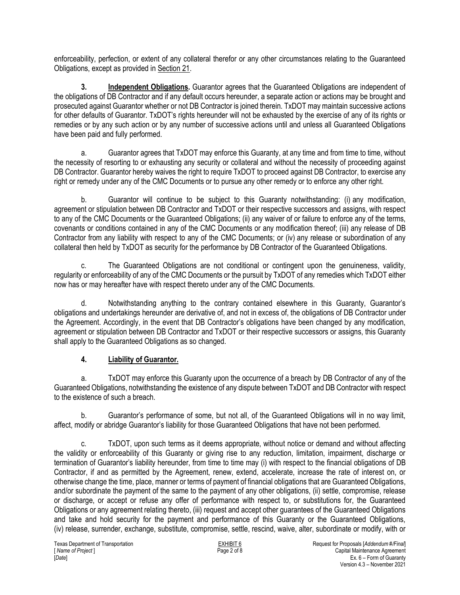enforceability, perfection, or extent of any collateral therefor or any other circumstances relating to the Guaranteed Obligations, except as provided in Section 21.

**3. Independent Obligations.** Guarantor agrees that the Guaranteed Obligations are independent of the obligations of DB Contractor and if any default occurs hereunder, a separate action or actions may be brought and prosecuted against Guarantor whether or not DB Contractor is joined therein. TxDOT may maintain successive actions for other defaults of Guarantor. TxDOT's rights hereunder will not be exhausted by the exercise of any of its rights or remedies or by any such action or by any number of successive actions until and unless all Guaranteed Obligations have been paid and fully performed.

a. Guarantor agrees that TxDOT may enforce this Guaranty, at any time and from time to time, without the necessity of resorting to or exhausting any security or collateral and without the necessity of proceeding against DB Contractor. Guarantor hereby waives the right to require TxDOT to proceed against DB Contractor, to exercise any right or remedy under any of the CMC Documents or to pursue any other remedy or to enforce any other right.

b. Guarantor will continue to be subject to this Guaranty notwithstanding: (i) any modification, agreement or stipulation between DB Contractor and TxDOT or their respective successors and assigns, with respect to any of the CMC Documents or the Guaranteed Obligations; (ii) any waiver of or failure to enforce any of the terms, covenants or conditions contained in any of the CMC Documents or any modification thereof; (iii) any release of DB Contractor from any liability with respect to any of the CMC Documents; or (iv) any release or subordination of any collateral then held by TxDOT as security for the performance by DB Contractor of the Guaranteed Obligations.

c. The Guaranteed Obligations are not conditional or contingent upon the genuineness, validity, regularity or enforceability of any of the CMC Documents or the pursuit by TxDOT of any remedies which TxDOT either now has or may hereafter have with respect thereto under any of the CMC Documents.

d. Notwithstanding anything to the contrary contained elsewhere in this Guaranty, Guarantor's obligations and undertakings hereunder are derivative of, and not in excess of, the obligations of DB Contractor under the Agreement. Accordingly, in the event that DB Contractor's obligations have been changed by any modification, agreement or stipulation between DB Contractor and TxDOT or their respective successors or assigns, this Guaranty shall apply to the Guaranteed Obligations as so changed.

## **4. Liability of Guarantor.**

a. TxDOT may enforce this Guaranty upon the occurrence of a breach by DB Contractor of any of the Guaranteed Obligations, notwithstanding the existence of any dispute between TxDOT and DB Contractor with respect to the existence of such a breach.

b. Guarantor's performance of some, but not all, of the Guaranteed Obligations will in no way limit, affect, modify or abridge Guarantor's liability for those Guaranteed Obligations that have not been performed.

c. TxDOT, upon such terms as it deems appropriate, without notice or demand and without affecting the validity or enforceability of this Guaranty or giving rise to any reduction, limitation, impairment, discharge or termination of Guarantor's liability hereunder, from time to time may (i) with respect to the financial obligations of DB Contractor, if and as permitted by the Agreement, renew, extend, accelerate, increase the rate of interest on, or otherwise change the time, place, manner or terms of payment of financial obligations that are Guaranteed Obligations, and/or subordinate the payment of the same to the payment of any other obligations, (ii) settle, compromise, release or discharge, or accept or refuse any offer of performance with respect to, or substitutions for, the Guaranteed Obligations or any agreement relating thereto, (iii) request and accept other guarantees of the Guaranteed Obligations and take and hold security for the payment and performance of this Guaranty or the Guaranteed Obligations, (iv) release, surrender, exchange, substitute, compromise, settle, rescind, waive, alter, subordinate or modify, with or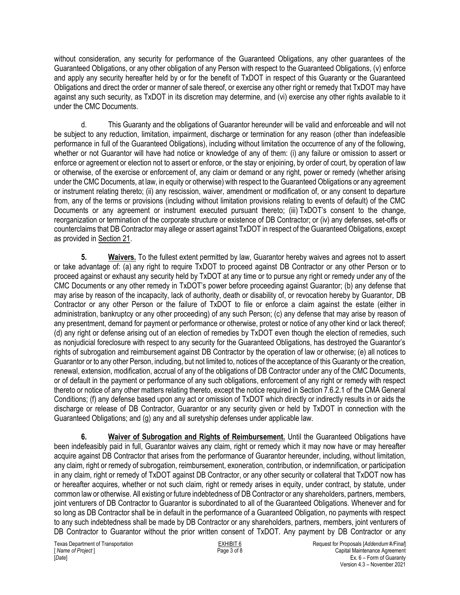without consideration, any security for performance of the Guaranteed Obligations, any other guarantees of the Guaranteed Obligations, or any other obligation of any Person with respect to the Guaranteed Obligations, (v) enforce and apply any security hereafter held by or for the benefit of TxDOT in respect of this Guaranty or the Guaranteed Obligations and direct the order or manner of sale thereof, or exercise any other right or remedy that TxDOT may have against any such security, as TxDOT in its discretion may determine, and (vi) exercise any other rights available to it under the CMC Documents.

d. This Guaranty and the obligations of Guarantor hereunder will be valid and enforceable and will not be subject to any reduction, limitation, impairment, discharge or termination for any reason (other than indefeasible performance in full of the Guaranteed Obligations), including without limitation the occurrence of any of the following, whether or not Guarantor will have had notice or knowledge of any of them: (i) any failure or omission to assert or enforce or agreement or election not to assert or enforce, or the stay or enjoining, by order of court, by operation of law or otherwise, of the exercise or enforcement of, any claim or demand or any right, power or remedy (whether arising under the CMC Documents, at law, in equity or otherwise) with respect to the Guaranteed Obligations or any agreement or instrument relating thereto; (ii) any rescission, waiver, amendment or modification of, or any consent to departure from, any of the terms or provisions (including without limitation provisions relating to events of default) of the CMC Documents or any agreement or instrument executed pursuant thereto; (iii) TxDOT's consent to the change, reorganization or termination of the corporate structure or existence of DB Contractor; or (iv) any defenses, set-offs or counterclaims that DB Contractor may allege or assert against TxDOT in respect of the Guaranteed Obligations, except as provided in Section 21.

**5. Waivers.** To the fullest extent permitted by law, Guarantor hereby waives and agrees not to assert or take advantage of: (a) any right to require TxDOT to proceed against DB Contractor or any other Person or to proceed against or exhaust any security held by TxDOT at any time or to pursue any right or remedy under any of the CMC Documents or any other remedy in TxDOT's power before proceeding against Guarantor; (b) any defense that may arise by reason of the incapacity, lack of authority, death or disability of, or revocation hereby by Guarantor, DB Contractor or any other Person or the failure of TxDOT to file or enforce a claim against the estate (either in administration, bankruptcy or any other proceeding) of any such Person; (c) any defense that may arise by reason of any presentment, demand for payment or performance or otherwise, protest or notice of any other kind or lack thereof; (d) any right or defense arising out of an election of remedies by TxDOT even though the election of remedies, such as nonjudicial foreclosure with respect to any security for the Guaranteed Obligations, has destroyed the Guarantor's rights of subrogation and reimbursement against DB Contractor by the operation of law or otherwise; (e) all notices to Guarantor or to any other Person, including, but not limited to, notices of the acceptance of this Guaranty or the creation, renewal, extension, modification, accrual of any of the obligations of DB Contractor under any of the CMC Documents, or of default in the payment or performance of any such obligations, enforcement of any right or remedy with respect thereto or notice of any other matters relating thereto, except the notice required in Section 7.6.2.1 of the CMA General Conditions; (f) any defense based upon any act or omission of TxDOT which directly or indirectly results in or aids the discharge or release of DB Contractor, Guarantor or any security given or held by TxDOT in connection with the Guaranteed Obligations; and (g) any and all suretyship defenses under applicable law.

**6. Waiver of Subrogation and Rights of Reimbursement.** Until the Guaranteed Obligations have been indefeasibly paid in full, Guarantor waives any claim, right or remedy which it may now have or may hereafter acquire against DB Contractor that arises from the performance of Guarantor hereunder, including, without limitation, any claim, right or remedy of subrogation, reimbursement, exoneration, contribution, or indemnification, or participation in any claim, right or remedy of TxDOT against DB Contractor, or any other security or collateral that TxDOT now has or hereafter acquires, whether or not such claim, right or remedy arises in equity, under contract, by statute, under common law or otherwise. All existing or future indebtedness of DB Contractor or any shareholders, partners, members, joint venturers of DB Contractor to Guarantor is subordinated to all of the Guaranteed Obligations. Whenever and for so long as DB Contractor shall be in default in the performance of a Guaranteed Obligation, no payments with respect to any such indebtedness shall be made by DB Contractor or any shareholders, partners, members, joint venturers of DB Contractor to Guarantor without the prior written consent of TxDOT. Any payment by DB Contractor or any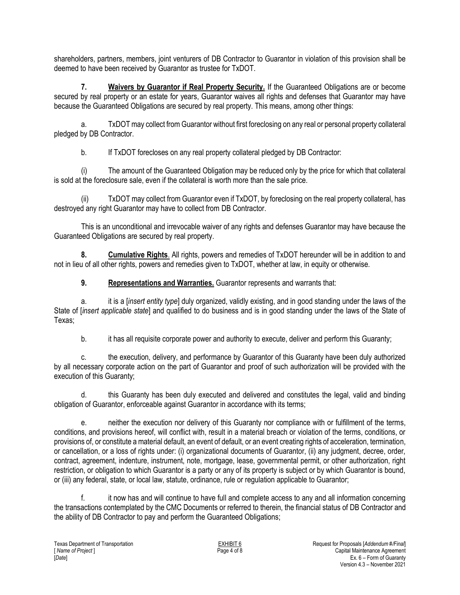shareholders, partners, members, joint venturers of DB Contractor to Guarantor in violation of this provision shall be deemed to have been received by Guarantor as trustee for TxDOT.

**7. Waivers by Guarantor if Real Property Security.** If the Guaranteed Obligations are or become secured by real property or an estate for years, Guarantor waives all rights and defenses that Guarantor may have because the Guaranteed Obligations are secured by real property. This means, among other things:

a. TxDOT may collect from Guarantor without first foreclosing on any real or personal property collateral pledged by DB Contractor.

b. If TxDOT forecloses on any real property collateral pledged by DB Contractor:

(i) The amount of the Guaranteed Obligation may be reduced only by the price for which that collateral is sold at the foreclosure sale, even if the collateral is worth more than the sale price.

(ii) TxDOT may collect from Guarantor even if TxDOT, by foreclosing on the real property collateral, has destroyed any right Guarantor may have to collect from DB Contractor.

This is an unconditional and irrevocable waiver of any rights and defenses Guarantor may have because the Guaranteed Obligations are secured by real property.

**8. Cumulative Rights**. All rights, powers and remedies of TxDOT hereunder will be in addition to and not in lieu of all other rights, powers and remedies given to TxDOT, whether at law, in equity or otherwise.

**9. Representations and Warranties.** Guarantor represents and warrants that:

a. it is a [*insert entity type*] duly organized, validly existing, and in good standing under the laws of the State of [*insert applicable state*] and qualified to do business and is in good standing under the laws of the State of Texas;

b. it has all requisite corporate power and authority to execute, deliver and perform this Guaranty;

c. the execution, delivery, and performance by Guarantor of this Guaranty have been duly authorized by all necessary corporate action on the part of Guarantor and proof of such authorization will be provided with the execution of this Guaranty;

this Guaranty has been duly executed and delivered and constitutes the legal, valid and binding obligation of Guarantor, enforceable against Guarantor in accordance with its terms;

e. neither the execution nor delivery of this Guaranty nor compliance with or fulfillment of the terms, conditions, and provisions hereof, will conflict with, result in a material breach or violation of the terms, conditions, or provisions of, or constitute a material default, an event of default, or an event creating rights of acceleration, termination, or cancellation, or a loss of rights under: (i) organizational documents of Guarantor, (ii) any judgment, decree, order, contract, agreement, indenture, instrument, note, mortgage, lease, governmental permit, or other authorization, right restriction, or obligation to which Guarantor is a party or any of its property is subject or by which Guarantor is bound, or (iii) any federal, state, or local law, statute, ordinance, rule or regulation applicable to Guarantor;

f. it now has and will continue to have full and complete access to any and all information concerning the transactions contemplated by the CMC Documents or referred to therein, the financial status of DB Contractor and the ability of DB Contractor to pay and perform the Guaranteed Obligations;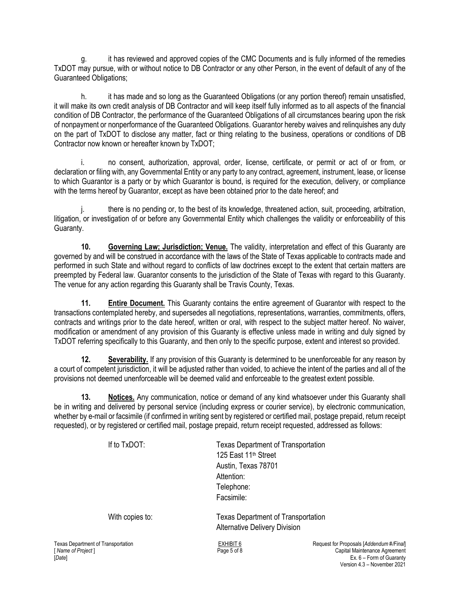g. it has reviewed and approved copies of the CMC Documents and is fully informed of the remedies TxDOT may pursue, with or without notice to DB Contractor or any other Person, in the event of default of any of the Guaranteed Obligations;

h. it has made and so long as the Guaranteed Obligations (or any portion thereof) remain unsatisfied, it will make its own credit analysis of DB Contractor and will keep itself fully informed as to all aspects of the financial condition of DB Contractor, the performance of the Guaranteed Obligations of all circumstances bearing upon the risk of nonpayment or nonperformance of the Guaranteed Obligations. Guarantor hereby waives and relinquishes any duty on the part of TxDOT to disclose any matter, fact or thing relating to the business, operations or conditions of DB Contractor now known or hereafter known by TxDOT;

i. no consent, authorization, approval, order, license, certificate, or permit or act of or from, or declaration or filing with, any Governmental Entity or any party to any contract, agreement, instrument, lease, or license to which Guarantor is a party or by which Guarantor is bound, is required for the execution, delivery, or compliance with the terms hereof by Guarantor, except as have been obtained prior to the date hereof; and

j. there is no pending or, to the best of its knowledge, threatened action, suit, proceeding, arbitration, litigation, or investigation of or before any Governmental Entity which challenges the validity or enforceability of this Guaranty.

**10. Governing Law; Jurisdiction; Venue.** The validity, interpretation and effect of this Guaranty are governed by and will be construed in accordance with the laws of the State of Texas applicable to contracts made and performed in such State and without regard to conflicts of law doctrines except to the extent that certain matters are preempted by Federal law. Guarantor consents to the jurisdiction of the State of Texas with regard to this Guaranty. The venue for any action regarding this Guaranty shall be Travis County, Texas.

**11. Entire Document.** This Guaranty contains the entire agreement of Guarantor with respect to the transactions contemplated hereby, and supersedes all negotiations, representations, warranties, commitments, offers, contracts and writings prior to the date hereof, written or oral, with respect to the subject matter hereof. No waiver, modification or amendment of any provision of this Guaranty is effective unless made in writing and duly signed by TxDOT referring specifically to this Guaranty, and then only to the specific purpose, extent and interest so provided.

**12. Severability.** If any provision of this Guaranty is determined to be unenforceable for any reason by a court of competent jurisdiction, it will be adjusted rather than voided, to achieve the intent of the parties and all of the provisions not deemed unenforceable will be deemed valid and enforceable to the greatest extent possible.

**13. Notices.** Any communication, notice or demand of any kind whatsoever under this Guaranty shall be in writing and delivered by personal service (including express or courier service), by electronic communication, whether by e-mail or facsimile (if confirmed in writing sent by registered or certified mail, postage prepaid, return receipt requested), or by registered or certified mail, postage prepaid, return receipt requested, addressed as follows:

| If to $TxDOT$ : | <b>Texas Department of Transportation</b><br>125 East 11 <sup>th</sup> Street<br>Austin, Texas 78701<br>Attention:<br>Telephone:<br>Facsimile: |
|-----------------|------------------------------------------------------------------------------------------------------------------------------------------------|
| With copies to: | <b>Texas Department of Transportation</b><br><b>Alternative Delivery Division</b>                                                              |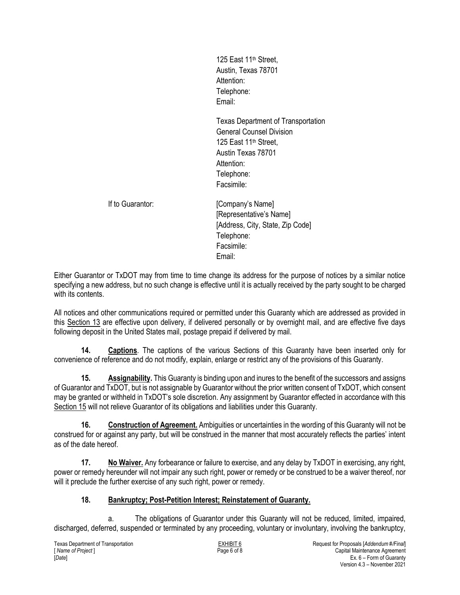125 East 11<sup>th</sup> Street, Austin, Texas 78701 Attention: Telephone: Email:

Texas Department of Transportation General Counsel Division 125 East 11<sup>th</sup> Street. Austin Texas 78701 Attention: Telephone: Facsimile:

If to Guarantor: **If to Guarantor: If to Guarantor: If to Guarantor If the Guarantor If the Guarantor If the Guarantor If the Guarantor If the Guarantor If the Guarantor If the Guarantor If the Guaranto** [Representative's Name] [Address, City, State, Zip Code] Telephone: Facsimile: Email:

Either Guarantor or TxDOT may from time to time change its address for the purpose of notices by a similar notice specifying a new address, but no such change is effective until it is actually received by the party sought to be charged with its contents

All notices and other communications required or permitted under this Guaranty which are addressed as provided in this Section 13 are effective upon delivery, if delivered personally or by overnight mail, and are effective five days following deposit in the United States mail, postage prepaid if delivered by mail.

**14. Captions**. The captions of the various Sections of this Guaranty have been inserted only for convenience of reference and do not modify, explain, enlarge or restrict any of the provisions of this Guaranty.

**15. Assignability.** This Guaranty is binding upon and inures to the benefit of the successors and assigns of Guarantor and TxDOT, but is not assignable by Guarantor without the prior written consent of TxDOT, which consent may be granted or withheld in TxDOT's sole discretion. Any assignment by Guarantor effected in accordance with this Section 15 will not relieve Guarantor of its obligations and liabilities under this Guaranty.

**16. Construction of Agreement.** Ambiguities or uncertainties in the wording of this Guaranty will not be construed for or against any party, but will be construed in the manner that most accurately reflects the parties' intent as of the date hereof.

**17. No Waiver.** Any forbearance or failure to exercise, and any delay by TxDOT in exercising, any right, power or remedy hereunder will not impair any such right, power or remedy or be construed to be a waiver thereof, nor will it preclude the further exercise of any such right, power or remedy.

### **18. Bankruptcy; Post-Petition Interest; Reinstatement of Guaranty.**

a. The obligations of Guarantor under this Guaranty will not be reduced, limited, impaired, discharged, deferred, suspended or terminated by any proceeding, voluntary or involuntary, involving the bankruptcy,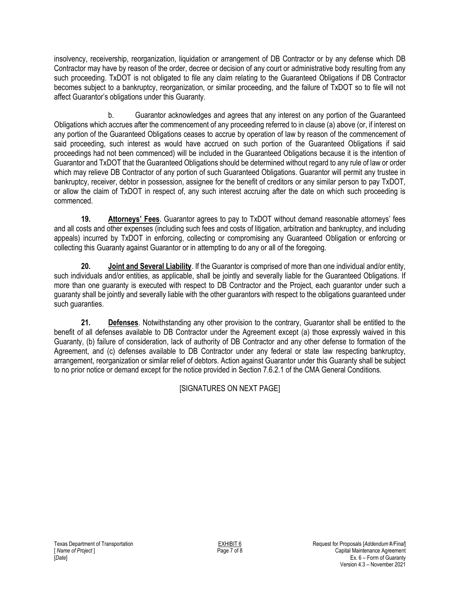insolvency, receivership, reorganization, liquidation or arrangement of DB Contractor or by any defense which DB Contractor may have by reason of the order, decree or decision of any court or administrative body resulting from any such proceeding. TxDOT is not obligated to file any claim relating to the Guaranteed Obligations if DB Contractor becomes subject to a bankruptcy, reorganization, or similar proceeding, and the failure of TxDOT so to file will not affect Guarantor's obligations under this Guaranty.

b. Guarantor acknowledges and agrees that any interest on any portion of the Guaranteed Obligations which accrues after the commencement of any proceeding referred to in clause (a) above (or, if interest on any portion of the Guaranteed Obligations ceases to accrue by operation of law by reason of the commencement of said proceeding, such interest as would have accrued on such portion of the Guaranteed Obligations if said proceedings had not been commenced) will be included in the Guaranteed Obligations because it is the intention of Guarantor and TxDOT that the Guaranteed Obligations should be determined without regard to any rule of law or order which may relieve DB Contractor of any portion of such Guaranteed Obligations. Guarantor will permit any trustee in bankruptcy, receiver, debtor in possession, assignee for the benefit of creditors or any similar person to pay TxDOT, or allow the claim of TxDOT in respect of, any such interest accruing after the date on which such proceeding is commenced.

**19. Attorneys' Fees**. Guarantor agrees to pay to TxDOT without demand reasonable attorneys' fees and all costs and other expenses (including such fees and costs of litigation, arbitration and bankruptcy, and including appeals) incurred by TxDOT in enforcing, collecting or compromising any Guaranteed Obligation or enforcing or collecting this Guaranty against Guarantor or in attempting to do any or all of the foregoing.

**20. Joint and Several Liability**. If the Guarantor is comprised of more than one individual and/or entity, such individuals and/or entities, as applicable, shall be jointly and severally liable for the Guaranteed Obligations. If more than one guaranty is executed with respect to DB Contractor and the Project, each guarantor under such a guaranty shall be jointly and severally liable with the other guarantors with respect to the obligations guaranteed under such guaranties.

**21. Defenses**. Notwithstanding any other provision to the contrary, Guarantor shall be entitled to the benefit of all defenses available to DB Contractor under the Agreement except (a) those expressly waived in this Guaranty, (b) failure of consideration, lack of authority of DB Contractor and any other defense to formation of the Agreement, and (c) defenses available to DB Contractor under any federal or state law respecting bankruptcy, arrangement, reorganization or similar relief of debtors. Action against Guarantor under this Guaranty shall be subject to no prior notice or demand except for the notice provided in Section 7.6.2.1 of the CMA General Conditions.

[SIGNATURES ON NEXT PAGE]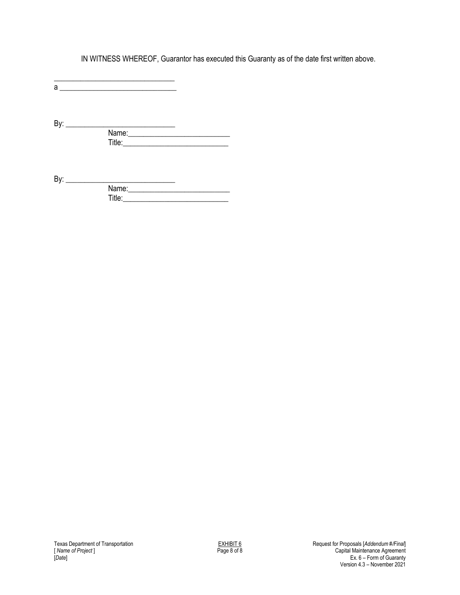IN WITNESS WHEREOF, Guarantor has executed this Guaranty as of the date first written above.

\_\_\_\_\_\_\_\_\_\_\_\_\_\_\_\_\_\_\_\_\_\_\_\_\_\_\_\_\_\_\_\_ a \_\_\_\_\_\_\_\_\_\_\_\_\_\_\_\_\_\_\_\_\_\_\_\_\_\_\_\_\_\_\_

By: \_\_\_\_\_\_\_\_\_\_\_\_\_\_\_\_\_\_\_\_\_\_\_\_\_\_\_\_\_ Name:\_\_\_\_\_\_\_\_\_\_\_\_\_\_\_\_\_\_\_\_\_\_\_\_\_\_\_ Title:\_\_\_\_\_\_\_\_\_\_\_\_\_\_\_\_\_\_\_\_\_\_\_\_\_\_\_\_

By: \_\_\_\_\_\_\_\_\_\_\_\_\_\_\_\_\_\_\_\_\_\_\_\_\_\_\_\_\_ Name:\_\_\_\_\_\_\_\_\_\_\_\_\_\_\_\_\_\_\_\_\_\_\_\_\_\_\_ Title:\_\_\_\_\_\_\_\_\_\_\_\_\_\_\_\_\_\_\_\_\_\_\_\_\_\_\_\_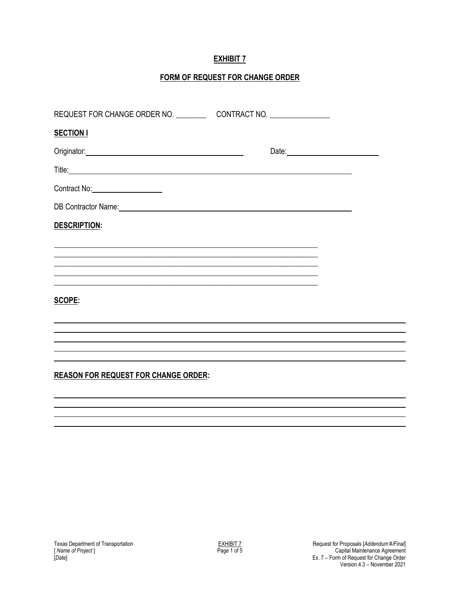## **EXHIBIT 7**

## **FORM OF REQUEST FOR CHANGE ORDER**

| <b>SECTION I</b>                                                                                                                                                                                                               |  |
|--------------------------------------------------------------------------------------------------------------------------------------------------------------------------------------------------------------------------------|--|
| Originator: 2000 Content Content Content Content Content Content Content Content Content Content Content Content Content Content Content Content Content Content Content Content Content Content Content Content Content Conte |  |
|                                                                                                                                                                                                                                |  |
|                                                                                                                                                                                                                                |  |
| DB Contractor Name: 2008 Contractor Name: 2008 Contractor Name: 2008 Contractor Name: 2008 Contractor Name: 2008 Contractor Name: 2008 Contractor Name: 2008 Contractor Name: 2008 Contractor Name: 2008 Contractor Name: 2008 |  |
| DESCRIPTION:                                                                                                                                                                                                                   |  |
|                                                                                                                                                                                                                                |  |
|                                                                                                                                                                                                                                |  |
| <u> 1989 - Johann Stoff, amerikansk politiker (d. 1989)</u>                                                                                                                                                                    |  |
| <b>SCOPE:</b>                                                                                                                                                                                                                  |  |
|                                                                                                                                                                                                                                |  |
|                                                                                                                                                                                                                                |  |
|                                                                                                                                                                                                                                |  |
| <b>REASON FOR REQUEST FOR CHANGE ORDER:</b>                                                                                                                                                                                    |  |
|                                                                                                                                                                                                                                |  |
|                                                                                                                                                                                                                                |  |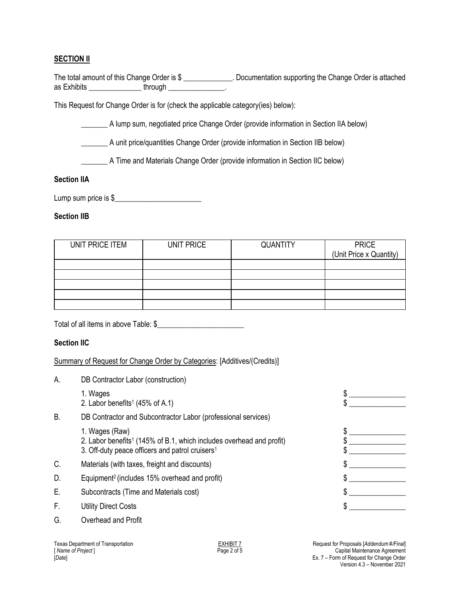### **SECTION II**

| The total amount of this Change Order is \$ |         | Documentation supporting the Change Order is attached |
|---------------------------------------------|---------|-------------------------------------------------------|
| as Exhibits                                 | through |                                                       |

This Request for Change Order is for (check the applicable category(ies) below):

\_\_\_\_\_\_\_ A lump sum, negotiated price Change Order (provide information in Section IIA below)

\_\_\_\_\_\_\_ A unit price/quantities Change Order (provide information in Section IIB below)

\_\_\_\_\_\_\_ A Time and Materials Change Order (provide information in Section IIC below)

#### **Section IIA**

| Lump sum price is \$ |
|----------------------|
|----------------------|

#### **Section IIB**

| UNIT PRICE ITEM | UNIT PRICE | <b>QUANTITY</b> | <b>PRICE</b><br>(Unit Price x Quantity) |
|-----------------|------------|-----------------|-----------------------------------------|
|                 |            |                 |                                         |
|                 |            |                 |                                         |
|                 |            |                 |                                         |
|                 |            |                 |                                         |
|                 |            |                 |                                         |

Total of all items in above Table: \$\_\_\_\_\_\_\_\_\_\_\_\_\_\_\_\_\_\_\_\_\_\_\_

#### **Section IIC**

#### Summary of Request for Change Order by Categories: [Additives/(Credits)]

| А. | DB Contractor Labor (construction)                                                                                                                                |  |
|----|-------------------------------------------------------------------------------------------------------------------------------------------------------------------|--|
|    | 1. Wages<br>2. Labor benefits <sup>1</sup> (45% of A.1)                                                                                                           |  |
| Β. | DB Contractor and Subcontractor Labor (professional services)                                                                                                     |  |
|    | 1. Wages (Raw)<br>2. Labor benefits <sup>1</sup> (145% of B.1, which includes overhead and profit)<br>3. Off-duty peace officers and patrol cruisers <sup>1</sup> |  |
| C. | Materials (with taxes, freight and discounts)                                                                                                                     |  |
| D. | Equipment <sup>2</sup> (includes 15% overhead and profit)                                                                                                         |  |
| Е. | Subcontracts (Time and Materials cost)                                                                                                                            |  |
| F. | <b>Utility Direct Costs</b>                                                                                                                                       |  |
| G. | Overhead and Profit                                                                                                                                               |  |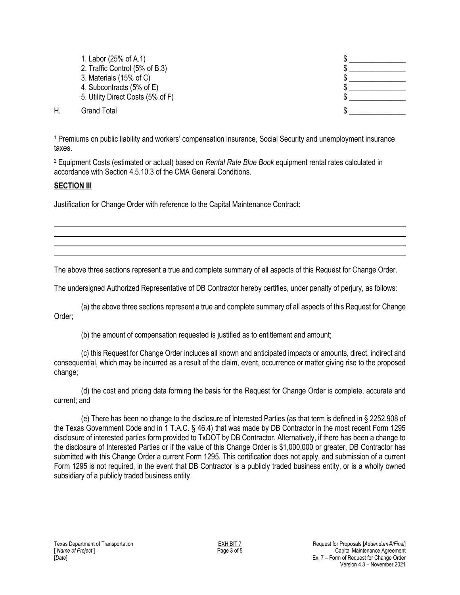1. Labor (25% of A.1) 2. Traffic Control  $(5\% \text{ of } B.3)$   $\qquad \qquad$   $\qquad \qquad$ 3. Materials (15% of C)  $\sim$ 4. Subcontracts  $(5\% \text{ of } E)$ 5. Utility Direct Costs  $(5\% \text{ of } F)$  \$

H. Grand Total **5 . Example 19 . The Second Total 3 . The Second Total 4 . As S** 

<sup>1</sup> Premiums on public liability and workers' compensation insurance, Social Security and unemployment insurance taxes.

<sup>2</sup> Equipment Costs (estimated or actual) based on *Rental Rate Blue Book* equipment rental rates calculated in accordance with Section 4.5.10.3 of the CMA General Conditions.

#### **SECTION III**

Justification for Change Order with reference to the Capital Maintenance Contract:

The above three sections represent a true and complete summary of all aspects of this Request for Change Order.

The undersigned Authorized Representative of DB Contractor hereby certifies, under penalty of perjury, as follows:

(a) the above three sections represent a true and complete summary of all aspects of this Request for Change Order;

(b) the amount of compensation requested is justified as to entitlement and amount;

(c) this Request for Change Order includes all known and anticipated impacts or amounts, direct, indirect and consequential, which may be incurred as a result of the claim, event, occurrence or matter giving rise to the proposed change;

(d) the cost and pricing data forming the basis for the Request for Change Order is complete, accurate and current; and

(e) There has been no change to the disclosure of Interested Parties (as that term is defined in § 2252.908 of the Texas Government Code and in 1 T.A.C. § 46.4) that was made by DB Contractor in the most recent Form 1295 disclosure of interested parties form provided to TxDOT by DB Contractor. Alternatively, if there has been a change to the disclosure of Interested Parties or if the value of this Change Order is \$1,000,000 or greater, DB Contractor has submitted with this Change Order a current Form 1295. This certification does not apply, and submission of a current Form 1295 is not required, in the event that DB Contractor is a publicly traded business entity, or is a wholly owned subsidiary of a publicly traded business entity.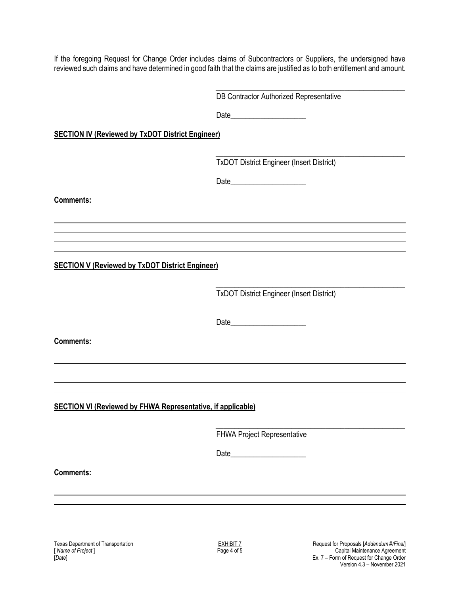If the foregoing Request for Change Order includes claims of Subcontractors or Suppliers, the undersigned have reviewed such claims and have determined in good faith that the claims are justified as to both entitlement and amount.

> \_\_\_\_\_\_\_\_\_\_\_\_\_\_\_\_\_\_\_\_\_\_\_\_\_\_\_\_\_\_\_\_\_\_\_\_\_\_\_\_\_\_\_\_\_\_\_\_\_\_ DB Contractor Authorized Representative

Date\_\_\_\_\_\_\_\_\_\_\_\_\_\_\_\_\_\_\_\_

**SECTION IV (Reviewed by TxDOT District Engineer)**

\_\_\_\_\_\_\_\_\_\_\_\_\_\_\_\_\_\_\_\_\_\_\_\_\_\_\_\_\_\_\_\_\_\_\_\_\_\_\_\_\_\_\_\_\_\_\_\_\_\_ TxDOT District Engineer (Insert District)

Date\_\_\_\_\_\_\_\_\_\_\_\_\_\_\_\_\_\_\_\_

**Comments:**

**SECTION V (Reviewed by TxDOT District Engineer)**

\_\_\_\_\_\_\_\_\_\_\_\_\_\_\_\_\_\_\_\_\_\_\_\_\_\_\_\_\_\_\_\_\_\_\_\_\_\_\_\_\_\_\_\_\_\_\_\_\_\_ TxDOT District Engineer (Insert District)

Date\_\_\_\_\_\_\_\_\_\_\_\_\_\_\_\_\_\_\_\_

**Comments:**

**SECTION VI (Reviewed by FHWA Representative, if applicable)**

\_\_\_\_\_\_\_\_\_\_\_\_\_\_\_\_\_\_\_\_\_\_\_\_\_\_\_\_\_\_\_\_\_\_\_\_\_\_\_\_\_\_\_\_\_\_\_\_\_\_ FHWA Project Representative

Date\_\_\_\_\_\_\_\_\_\_\_\_\_\_\_\_\_\_\_\_

**Comments:**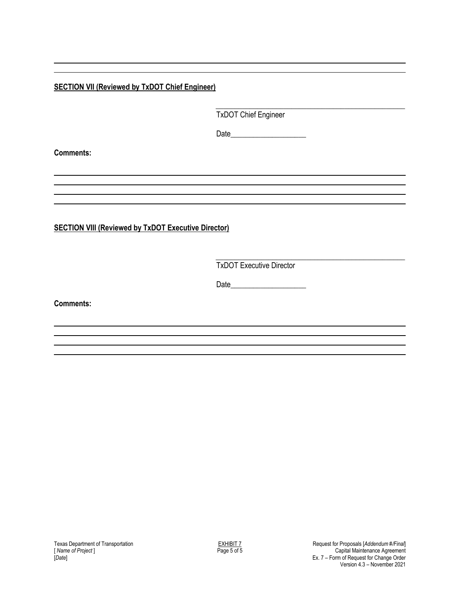**SECTION VII (Reviewed by TxDOT Chief Engineer)**

\_\_\_\_\_\_\_\_\_\_\_\_\_\_\_\_\_\_\_\_\_\_\_\_\_\_\_\_\_\_\_\_\_\_\_\_\_\_\_\_\_\_\_\_\_\_\_\_\_\_ TxDOT Chief Engineer

Date\_\_\_\_\_\_\_\_\_\_\_\_\_\_\_\_\_\_\_\_

**Comments:**

**SECTION VIII (Reviewed by TxDOT Executive Director)** 

\_\_\_\_\_\_\_\_\_\_\_\_\_\_\_\_\_\_\_\_\_\_\_\_\_\_\_\_\_\_\_\_\_\_\_\_\_\_\_\_\_\_\_\_\_\_\_\_\_\_ TxDOT Executive Director

Date\_\_\_\_\_\_\_\_\_\_\_\_\_\_\_\_\_\_\_\_

**Comments:**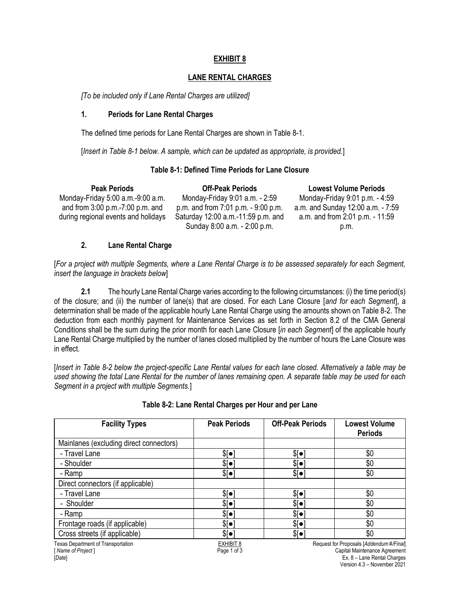#### **EXHIBIT 8**

#### **LANE RENTAL CHARGES**

*[To be included only if Lane Rental Charges are utilized]*

#### **1. Periods for Lane Rental Charges**

The defined time periods for Lane Rental Charges are shown in Table 8-1.

[*Insert in Table 8-1 below. A sample, which can be updated as appropriate, is provided.*]

#### **Table 8-1: Defined Time Periods for Lane Closure**

| <b>Peak Periods</b>                 | <b>Off-Peak Periods</b>                | <b>Lowest Volume Periods</b>      |
|-------------------------------------|----------------------------------------|-----------------------------------|
| Monday-Friday 5:00 a.m.-9:00 a.m.   | Monday-Friday 9:01 a.m. - 2:59         | Monday-Friday 9:01 p.m. - 4:59    |
| and from $3:00$ p.m.-7:00 p.m. and  | p.m. and from $7:01$ p.m. $-9:00$ p.m. | a.m. and Sunday 12:00 a.m. - 7:59 |
| during regional events and holidays | Saturday 12:00 a.m.-11:59 p.m. and     | a.m. and from 2:01 p.m. - 11:59   |
|                                     | Sunday 8:00 a.m. - 2:00 p.m.           | p.m.                              |

#### **2. Lane Rental Charge**

[*For a project with multiple Segments, where a Lane Rental Charge is to be assessed separately for each Segment, insert the language in brackets below*]

**2.1** The hourly Lane Rental Charge varies according to the following circumstances: (i) the time period(s) of the closure; and (ii) the number of lane(s) that are closed. For each Lane Closure [*and for each Segment*], a determination shall be made of the applicable hourly Lane Rental Charge using the amounts shown on Table 8-2. The deduction from each monthly payment for Maintenance Services as set forth in Section 8.2 of the CMA General Conditions shall be the sum during the prior month for each Lane Closure [*in each Segment*] of the applicable hourly Lane Rental Charge multiplied by the number of lanes closed multiplied by the number of hours the Lane Closure was in effect.

[*Insert in Table 8-2 below the project-specific Lane Rental values for each lane closed. Alternatively a table may be used showing the total Lane Rental for the number of lanes remaining open. A separate table may be used for each Segment in a project with multiple Segments.*]

| <b>Facility Types</b>                                                    | <b>Peak Periods</b>      | <b>Off-Peak Periods</b> | <b>Lowest Volume</b><br><b>Periods</b>                                                                   |
|--------------------------------------------------------------------------|--------------------------|-------------------------|----------------------------------------------------------------------------------------------------------|
| Mainlanes (excluding direct connectors)                                  |                          |                         |                                                                                                          |
| - Travel Lane                                                            | \$[•]                    | \$[•]                   | \$0                                                                                                      |
| - Shoulder                                                               | \$[•]                    | \$[•]                   | \$0                                                                                                      |
| - Ramp                                                                   | \$[•]                    | \$[•]                   | \$0                                                                                                      |
| Direct connectors (if applicable)                                        |                          |                         |                                                                                                          |
| - Travel Lane                                                            | \$[•]                    | \$[•]                   | \$0                                                                                                      |
| - Shoulder                                                               | \$[•]                    | \$[•]                   | \$0                                                                                                      |
| - Ramp                                                                   | \$[•]                    | $\sqrt{2}$              | \$0                                                                                                      |
| Frontage roads (if applicable)                                           | \$[•]                    | \$[•]                   | \$0                                                                                                      |
| Cross streets (if applicable)                                            | \$[•]                    | \$[•]                   | \$0                                                                                                      |
| <b>Texas Department of Transportation</b><br>[Name of Project]<br>[Date] | EXHIBIT 8<br>Page 1 of 3 |                         | Request for Proposals [Addendum #/Final]<br>Capital Maintenance Agreement<br>Ex. 8 - Lane Rental Charges |

#### **Table 8-2: Lane Rental Charges per Hour and per Lane**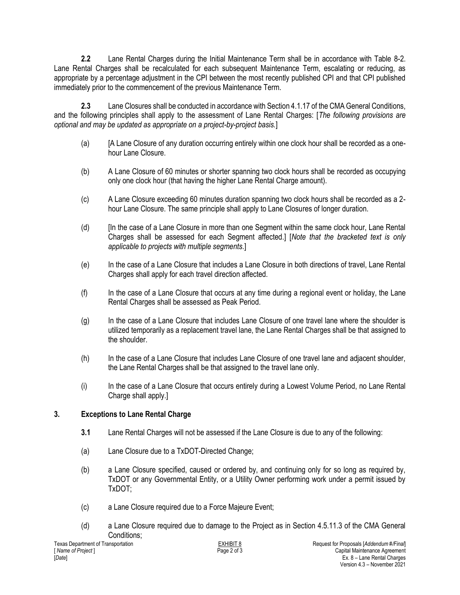**2.2** Lane Rental Charges during the Initial Maintenance Term shall be in accordance with Table 8-2. Lane Rental Charges shall be recalculated for each subsequent Maintenance Term, escalating or reducing, as appropriate by a percentage adjustment in the CPI between the most recently published CPI and that CPI published immediately prior to the commencement of the previous Maintenance Term.

**2.3** Lane Closures shall be conducted in accordance with Section 4.1.17 of the CMA General Conditions, and the following principles shall apply to the assessment of Lane Rental Charges: [*The following provisions are optional and may be updated as appropriate on a project-by-project basis.*]

- (a) [A Lane Closure of any duration occurring entirely within one clock hour shall be recorded as a onehour Lane Closure.
- (b) A Lane Closure of 60 minutes or shorter spanning two clock hours shall be recorded as occupying only one clock hour (that having the higher Lane Rental Charge amount).
- (c) A Lane Closure exceeding 60 minutes duration spanning two clock hours shall be recorded as a 2 hour Lane Closure. The same principle shall apply to Lane Closures of longer duration.
- (d) [In the case of a Lane Closure in more than one Segment within the same clock hour, Lane Rental Charges shall be assessed for each Segment affected.] [*Note that the bracketed text is only applicable to projects with multiple segments*.]
- (e) In the case of a Lane Closure that includes a Lane Closure in both directions of travel, Lane Rental Charges shall apply for each travel direction affected.
- (f) In the case of a Lane Closure that occurs at any time during a regional event or holiday, the Lane Rental Charges shall be assessed as Peak Period.
- (g) In the case of a Lane Closure that includes Lane Closure of one travel lane where the shoulder is utilized temporarily as a replacement travel lane, the Lane Rental Charges shall be that assigned to the shoulder.
- (h) In the case of a Lane Closure that includes Lane Closure of one travel lane and adjacent shoulder, the Lane Rental Charges shall be that assigned to the travel lane only.
- (i) In the case of a Lane Closure that occurs entirely during a Lowest Volume Period, no Lane Rental Charge shall apply.]

#### **3. Exceptions to Lane Rental Charge**

- **3.1** Lane Rental Charges will not be assessed if the Lane Closure is due to any of the following:
- (a) Lane Closure due to a TxDOT-Directed Change;
- (b) a Lane Closure specified, caused or ordered by, and continuing only for so long as required by, TxDOT or any Governmental Entity, or a Utility Owner performing work under a permit issued by TxDOT;
- (c) a Lane Closure required due to a Force Majeure Event;
- (d) a Lane Closure required due to damage to the Project as in Section 4.5.11.3 of the CMA General Conditions;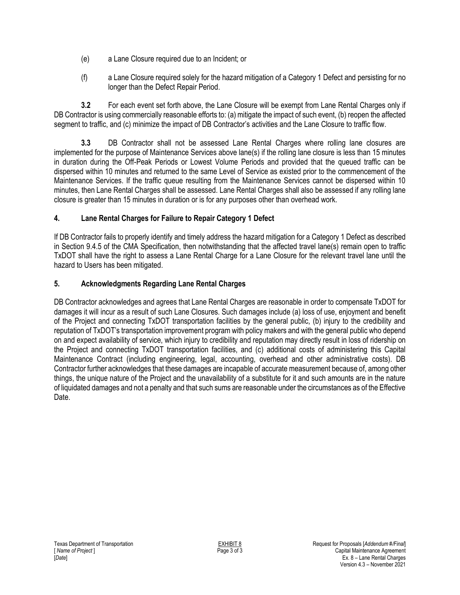- (e) a Lane Closure required due to an Incident; or
- (f) a Lane Closure required solely for the hazard mitigation of a Category 1 Defect and persisting for no longer than the Defect Repair Period.

**3.2** For each event set forth above, the Lane Closure will be exempt from Lane Rental Charges only if DB Contractor is using commercially reasonable efforts to: (a) mitigate the impact of such event, (b) reopen the affected segment to traffic, and (c) minimize the impact of DB Contractor's activities and the Lane Closure to traffic flow.

**3.3** DB Contractor shall not be assessed Lane Rental Charges where rolling lane closures are implemented for the purpose of Maintenance Services above lane(s) if the rolling lane closure is less than 15 minutes in duration during the Off-Peak Periods or Lowest Volume Periods and provided that the queued traffic can be dispersed within 10 minutes and returned to the same Level of Service as existed prior to the commencement of the Maintenance Services. If the traffic queue resulting from the Maintenance Services cannot be dispersed within 10 minutes, then Lane Rental Charges shall be assessed. Lane Rental Charges shall also be assessed if any rolling lane closure is greater than 15 minutes in duration or is for any purposes other than overhead work.

## **4. Lane Rental Charges for Failure to Repair Category 1 Defect**

If DB Contractor fails to properly identify and timely address the hazard mitigation for a Category 1 Defect as described in Section 9.4.5 of the CMA Specification, then notwithstanding that the affected travel lane(s) remain open to traffic TxDOT shall have the right to assess a Lane Rental Charge for a Lane Closure for the relevant travel lane until the hazard to Users has been mitigated.

## **5. Acknowledgments Regarding Lane Rental Charges**

DB Contractor acknowledges and agrees that Lane Rental Charges are reasonable in order to compensate TxDOT for damages it will incur as a result of such Lane Closures. Such damages include (a) loss of use, enjoyment and benefit of the Project and connecting TxDOT transportation facilities by the general public, (b) injury to the credibility and reputation of TxDOT's transportation improvement program with policy makers and with the general public who depend on and expect availability of service, which injury to credibility and reputation may directly result in loss of ridership on the Project and connecting TxDOT transportation facilities, and (c) additional costs of administering this Capital Maintenance Contract (including engineering, legal, accounting, overhead and other administrative costs). DB Contractor further acknowledges that these damages are incapable of accurate measurement because of, among other things, the unique nature of the Project and the unavailability of a substitute for it and such amounts are in the nature of liquidated damages and not a penalty and that such sums are reasonable under the circumstances as of the Effective Date.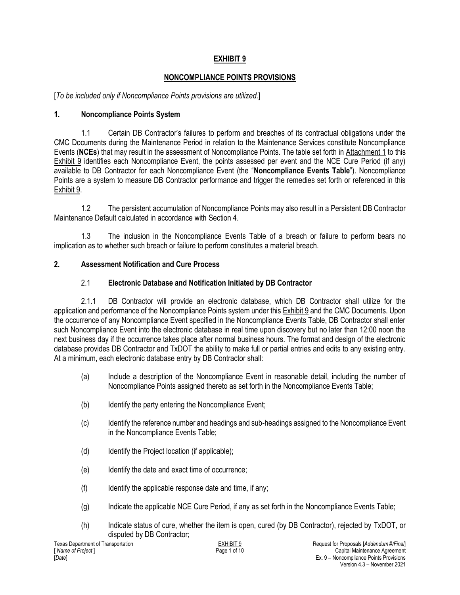## **EXHIBIT 9**

## **NONCOMPLIANCE POINTS PROVISIONS**

[*To be included only if Noncompliance Points provisions are utilized.*]

### **1. Noncompliance Points System**

1.1 Certain DB Contractor's failures to perform and breaches of its contractual obligations under the CMC Documents during the Maintenance Period in relation to the Maintenance Services constitute Noncompliance Events (**NCEs**) that may result in the assessment of Noncompliance Points. The table set forth in Attachment 1 to this Exhibit 9 identifies each Noncompliance Event, the points assessed per event and the NCE Cure Period (if any) available to DB Contractor for each Noncompliance Event (the "**Noncompliance Events Table**"). Noncompliance Points are a system to measure DB Contractor performance and trigger the remedies set forth or referenced in this Exhibit 9.

1.2 The persistent accumulation of Noncompliance Points may also result in a Persistent DB Contractor Maintenance Default calculated in accordance with Section 4.

1.3 The inclusion in the Noncompliance Events Table of a breach or failure to perform bears no implication as to whether such breach or failure to perform constitutes a material breach.

#### **2. Assessment Notification and Cure Process**

### 2.1 **Electronic Database and Notification Initiated by DB Contractor**

2.1.1 DB Contractor will provide an electronic database, which DB Contractor shall utilize for the application and performance of the Noncompliance Points system under this Exhibit 9 and the CMC Documents. Upon the occurrence of any Noncompliance Event specified in the Noncompliance Events Table, DB Contractor shall enter such Noncompliance Event into the electronic database in real time upon discovery but no later than 12:00 noon the next business day if the occurrence takes place after normal business hours. The format and design of the electronic database provides DB Contractor and TxDOT the ability to make full or partial entries and edits to any existing entry. At a minimum, each electronic database entry by DB Contractor shall:

- (a) Include a description of the Noncompliance Event in reasonable detail, including the number of Noncompliance Points assigned thereto as set forth in the Noncompliance Events Table;
- (b) Identify the party entering the Noncompliance Event;
- (c) Identify the reference number and headings and sub-headings assigned to the Noncompliance Event in the Noncompliance Events Table;
- (d) Identify the Project location (if applicable);
- (e) Identify the date and exact time of occurrence;
- $(f)$  Identify the applicable response date and time, if any;
- (g) Indicate the applicable NCE Cure Period, if any as set forth in the Noncompliance Events Table;
- (h) Indicate status of cure, whether the item is open, cured (by DB Contractor), rejected by TxDOT, or disputed by DB Contractor;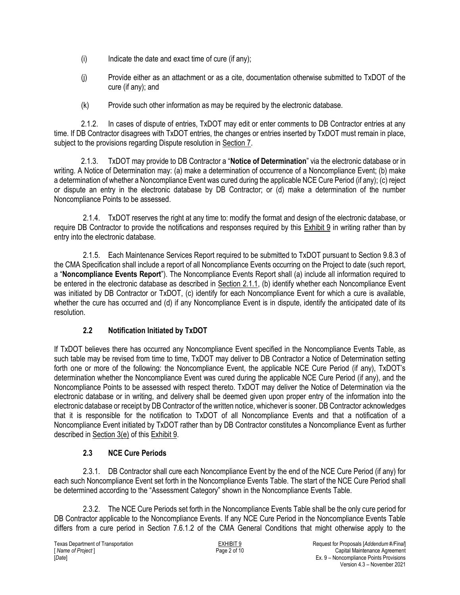- $(i)$  Indicate the date and exact time of cure (if any);
- (j) Provide either as an attachment or as a cite, documentation otherwise submitted to TxDOT of the cure (if any); and
- (k) Provide such other information as may be required by the electronic database.

2.1.2. In cases of dispute of entries, TxDOT may edit or enter comments to DB Contractor entries at any time. If DB Contractor disagrees with TxDOT entries, the changes or entries inserted by TxDOT must remain in place, subject to the provisions regarding Dispute resolution in Section 7.

2.1.3. TxDOT may provide to DB Contractor a "**Notice of Determination**" via the electronic database or in writing. A Notice of Determination may: (a) make a determination of occurrence of a Noncompliance Event; (b) make a determination of whether a Noncompliance Event was cured during the applicable NCE Cure Period (if any); (c) reject or dispute an entry in the electronic database by DB Contractor; or (d) make a determination of the number Noncompliance Points to be assessed.

2.1.4. TxDOT reserves the right at any time to: modify the format and design of the electronic database, or require DB Contractor to provide the notifications and responses required by this Exhibit 9 in writing rather than by entry into the electronic database.

2.1.5. Each Maintenance Services Report required to be submitted to TxDOT pursuant to Section 9.8.3 of the CMA Specification shall include a report of all Noncompliance Events occurring on the Project to date (such report, a "**Noncompliance Events Report**"). The Noncompliance Events Report shall (a) include all information required to be entered in the electronic database as described in Section 2.1.1, (b) identify whether each Noncompliance Event was initiated by DB Contractor or TxDOT, (c) identify for each Noncompliance Event for which a cure is available, whether the cure has occurred and (d) if any Noncompliance Event is in dispute, identify the anticipated date of its resolution.

### **2.2 Notification Initiated by TxDOT**

If TxDOT believes there has occurred any Noncompliance Event specified in the Noncompliance Events Table, as such table may be revised from time to time, TxDOT may deliver to DB Contractor a Notice of Determination setting forth one or more of the following: the Noncompliance Event, the applicable NCE Cure Period (if any), TxDOT's determination whether the Noncompliance Event was cured during the applicable NCE Cure Period (if any), and the Noncompliance Points to be assessed with respect thereto. TxDOT may deliver the Notice of Determination via the electronic database or in writing, and delivery shall be deemed given upon proper entry of the information into the electronic database or receipt by DB Contractor of the written notice, whichever is sooner. DB Contractor acknowledges that it is responsible for the notification to TxDOT of all Noncompliance Events and that a notification of a Noncompliance Event initiated by TxDOT rather than by DB Contractor constitutes a Noncompliance Event as further described in Section 3(e) of this Exhibit 9.

### **2.3 NCE Cure Periods**

2.3.1. DB Contractor shall cure each Noncompliance Event by the end of the NCE Cure Period (if any) for each such Noncompliance Event set forth in the Noncompliance Events Table. The start of the NCE Cure Period shall be determined according to the "Assessment Category" shown in the Noncompliance Events Table.

2.3.2. The NCE Cure Periods set forth in the Noncompliance Events Table shall be the only cure period for DB Contractor applicable to the Noncompliance Events. If any NCE Cure Period in the Noncompliance Events Table differs from a cure period in Section 7.6.1.2 of the CMA General Conditions that might otherwise apply to the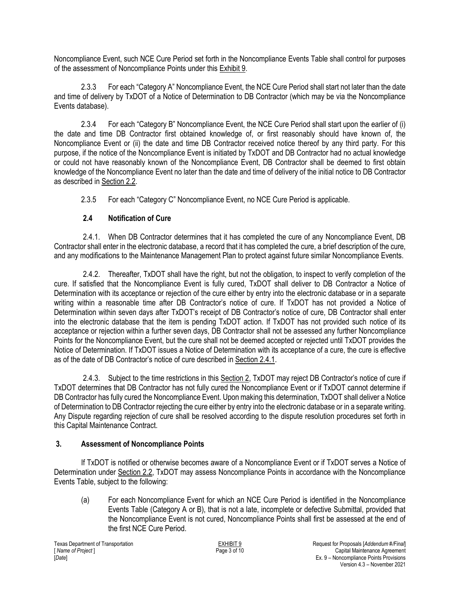Noncompliance Event, such NCE Cure Period set forth in the Noncompliance Events Table shall control for purposes of the assessment of Noncompliance Points under this Exhibit 9.

2.3.3 For each "Category A" Noncompliance Event, the NCE Cure Period shall start not later than the date and time of delivery by TxDOT of a Notice of Determination to DB Contractor (which may be via the Noncompliance Events database).

2.3.4 For each "Category B" Noncompliance Event, the NCE Cure Period shall start upon the earlier of (i) the date and time DB Contractor first obtained knowledge of, or first reasonably should have known of, the Noncompliance Event or (ii) the date and time DB Contractor received notice thereof by any third party. For this purpose, if the notice of the Noncompliance Event is initiated by TxDOT and DB Contractor had no actual knowledge or could not have reasonably known of the Noncompliance Event, DB Contractor shall be deemed to first obtain knowledge of the Noncompliance Event no later than the date and time of delivery of the initial notice to DB Contractor as described in Section 2.2.

2.3.5 For each "Category C" Noncompliance Event, no NCE Cure Period is applicable.

## **2.4 Notification of Cure**

2.4.1. When DB Contractor determines that it has completed the cure of any Noncompliance Event, DB Contractor shall enter in the electronic database, a record that it has completed the cure, a brief description of the cure, and any modifications to the Maintenance Management Plan to protect against future similar Noncompliance Events.

2.4.2. Thereafter, TxDOT shall have the right, but not the obligation, to inspect to verify completion of the cure. If satisfied that the Noncompliance Event is fully cured, TxDOT shall deliver to DB Contractor a Notice of Determination with its acceptance or rejection of the cure either by entry into the electronic database or in a separate writing within a reasonable time after DB Contractor's notice of cure. If TxDOT has not provided a Notice of Determination within seven days after TxDOT's receipt of DB Contractor's notice of cure, DB Contractor shall enter into the electronic database that the item is pending TxDOT action. If TxDOT has not provided such notice of its acceptance or rejection within a further seven days, DB Contractor shall not be assessed any further Noncompliance Points for the Noncompliance Event, but the cure shall not be deemed accepted or rejected until TxDOT provides the Notice of Determination. If TxDOT issues a Notice of Determination with its acceptance of a cure, the cure is effective as of the date of DB Contractor's notice of cure described in Section 2.4.1.

2.4.3. Subject to the time restrictions in this Section 2, TxDOT may reject DB Contractor's notice of cure if TxDOT determines that DB Contractor has not fully cured the Noncompliance Event or if TxDOT cannot determine if DB Contractor has fully cured the Noncompliance Event. Upon making this determination, TxDOT shall deliver a Notice of Determination to DB Contractor rejecting the cure either by entry into the electronic database or in a separate writing. Any Dispute regarding rejection of cure shall be resolved according to the dispute resolution procedures set forth in this Capital Maintenance Contract.

## **3. Assessment of Noncompliance Points**

If TxDOT is notified or otherwise becomes aware of a Noncompliance Event or if TxDOT serves a Notice of Determination under Section 2.2, TxDOT may assess Noncompliance Points in accordance with the Noncompliance Events Table, subject to the following:

(a) For each Noncompliance Event for which an NCE Cure Period is identified in the Noncompliance Events Table (Category A or B), that is not a late, incomplete or defective Submittal, provided that the Noncompliance Event is not cured, Noncompliance Points shall first be assessed at the end of the first NCE Cure Period.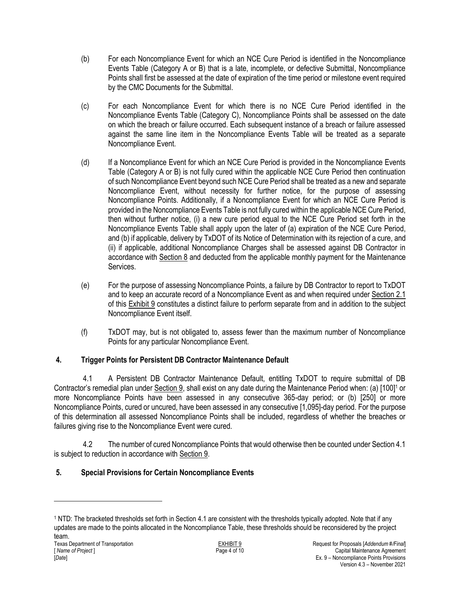- (b) For each Noncompliance Event for which an NCE Cure Period is identified in the Noncompliance Events Table (Category A or B) that is a late, incomplete, or defective Submittal, Noncompliance Points shall first be assessed at the date of expiration of the time period or milestone event required by the CMC Documents for the Submittal.
- (c) For each Noncompliance Event for which there is no NCE Cure Period identified in the Noncompliance Events Table (Category C), Noncompliance Points shall be assessed on the date on which the breach or failure occurred. Each subsequent instance of a breach or failure assessed against the same line item in the Noncompliance Events Table will be treated as a separate Noncompliance Event.
- (d) If a Noncompliance Event for which an NCE Cure Period is provided in the Noncompliance Events Table (Category A or B) is not fully cured within the applicable NCE Cure Period then continuation of such Noncompliance Event beyond such NCE Cure Period shall be treated as a new and separate Noncompliance Event, without necessity for further notice, for the purpose of assessing Noncompliance Points. Additionally, if a Noncompliance Event for which an NCE Cure Period is provided in the Noncompliance Events Table is not fully cured within the applicable NCE Cure Period, then without further notice, (i) a new cure period equal to the NCE Cure Period set forth in the Noncompliance Events Table shall apply upon the later of (a) expiration of the NCE Cure Period, and (b) if applicable, delivery by TxDOT of its Notice of Determination with its rejection of a cure, and (ii) if applicable, additional Noncompliance Charges shall be assessed against DB Contractor in accordance with Section 8 and deducted from the applicable monthly payment for the Maintenance Services.
- (e) For the purpose of assessing Noncompliance Points, a failure by DB Contractor to report to TxDOT and to keep an accurate record of a Noncompliance Event as and when required under Section 2.1 of this Exhibit 9 constitutes a distinct failure to perform separate from and in addition to the subject Noncompliance Event itself.
- (f) TxDOT may, but is not obligated to, assess fewer than the maximum number of Noncompliance Points for any particular Noncompliance Event.

## **4. Trigger Points for Persistent DB Contractor Maintenance Default**

4.1 A Persistent DB Contractor Maintenance Default, entitling TxDOT to require submittal of DB Contractor's remedial plan under Section 9, shall exist on any date during the Maintenance Period when: (a) [100]<sup>1</sup> or more Noncompliance Points have been assessed in any consecutive 365-day period; or (b) [250] or more Noncompliance Points, cured or uncured, have been assessed in any consecutive [1,095]-day period. For the purpose of this determination all assessed Noncompliance Points shall be included, regardless of whether the breaches or failures giving rise to the Noncompliance Event were cured.

4.2 The number of cured Noncompliance Points that would otherwise then be counted under Section 4.1 is subject to reduction in accordance with Section 9.

## **5. Special Provisions for Certain Noncompliance Events**

 $\overline{\phantom{a}}$ 

<sup>1</sup> NTD: The bracketed thresholds set forth in Section 4.1 are consistent with the thresholds typically adopted. Note that if any updates are made to the points allocated in the Noncompliance Table, these thresholds should be reconsidered by the project team.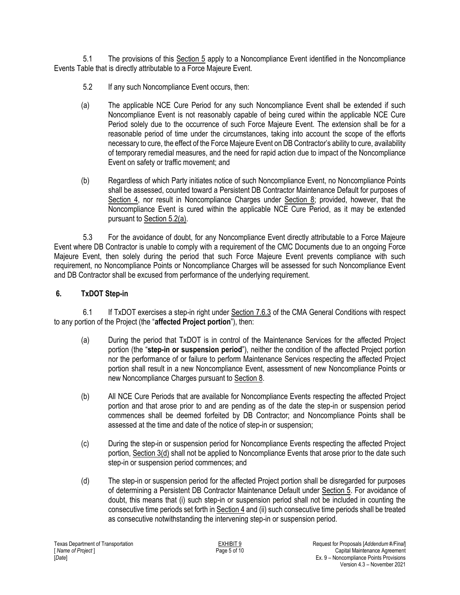5.1 The provisions of this Section 5 apply to a Noncompliance Event identified in the Noncompliance Events Table that is directly attributable to a Force Majeure Event.

- 5.2 If any such Noncompliance Event occurs, then:
- (a) The applicable NCE Cure Period for any such Noncompliance Event shall be extended if such Noncompliance Event is not reasonably capable of being cured within the applicable NCE Cure Period solely due to the occurrence of such Force Majeure Event. The extension shall be for a reasonable period of time under the circumstances, taking into account the scope of the efforts necessary to cure, the effect of the Force Majeure Event on DB Contractor's ability to cure, availability of temporary remedial measures, and the need for rapid action due to impact of the Noncompliance Event on safety or traffic movement; and
- (b) Regardless of which Party initiates notice of such Noncompliance Event, no Noncompliance Points shall be assessed, counted toward a Persistent DB Contractor Maintenance Default for purposes of Section 4, nor result in Noncompliance Charges under Section 8; provided, however, that the Noncompliance Event is cured within the applicable NCE Cure Period, as it may be extended pursuant to Section 5.2(a).

5.3 For the avoidance of doubt, for any Noncompliance Event directly attributable to a Force Majeure Event where DB Contractor is unable to comply with a requirement of the CMC Documents due to an ongoing Force Majeure Event, then solely during the period that such Force Majeure Event prevents compliance with such requirement, no Noncompliance Points or Noncompliance Charges will be assessed for such Noncompliance Event and DB Contractor shall be excused from performance of the underlying requirement.

#### **6. TxDOT Step-in**

6.1 If TxDOT exercises a step-in right under Section 7.6.3 of the CMA General Conditions with respect to any portion of the Project (the "**affected Project portion**"), then:

- (a) During the period that TxDOT is in control of the Maintenance Services for the affected Project portion (the "**step-in or suspension period**"), neither the condition of the affected Project portion nor the performance of or failure to perform Maintenance Services respecting the affected Project portion shall result in a new Noncompliance Event, assessment of new Noncompliance Points or new Noncompliance Charges pursuant to Section 8.
- (b) All NCE Cure Periods that are available for Noncompliance Events respecting the affected Project portion and that arose prior to and are pending as of the date the step-in or suspension period commences shall be deemed forfeited by DB Contractor; and Noncompliance Points shall be assessed at the time and date of the notice of step-in or suspension;
- (c) During the step-in or suspension period for Noncompliance Events respecting the affected Project portion, Section 3(d) shall not be applied to Noncompliance Events that arose prior to the date such step-in or suspension period commences; and
- (d) The step-in or suspension period for the affected Project portion shall be disregarded for purposes of determining a Persistent DB Contractor Maintenance Default under Section 5. For avoidance of doubt, this means that (i) such step-in or suspension period shall not be included in counting the consecutive time periods set forth in Section 4 and (ii) such consecutive time periods shall be treated as consecutive notwithstanding the intervening step-in or suspension period.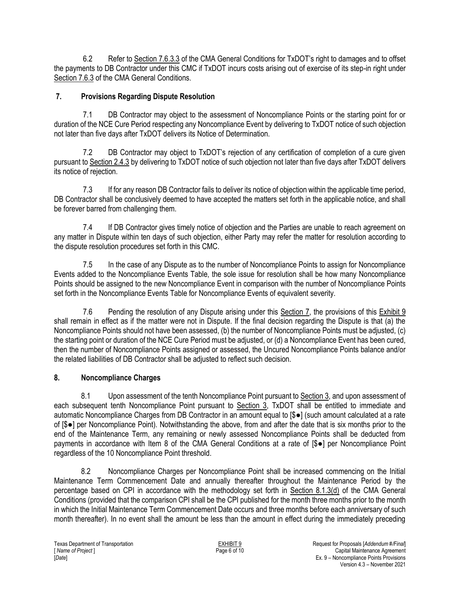6.2 Refer to Section 7.6.3.3 of the CMA General Conditions for TxDOT's right to damages and to offset the payments to DB Contractor under this CMC if TxDOT incurs costs arising out of exercise of its step-in right under Section 7.6.3 of the CMA General Conditions.

## **7. Provisions Regarding Dispute Resolution**

7.1 DB Contractor may object to the assessment of Noncompliance Points or the starting point for or duration of the NCE Cure Period respecting any Noncompliance Event by delivering to TxDOT notice of such objection not later than five days after TxDOT delivers its Notice of Determination.

7.2 DB Contractor may object to TxDOT's rejection of any certification of completion of a cure given pursuant to Section 2.4.3 by delivering to TxDOT notice of such objection not later than five days after TxDOT delivers its notice of rejection.

7.3 If for any reason DB Contractor fails to deliver its notice of objection within the applicable time period, DB Contractor shall be conclusively deemed to have accepted the matters set forth in the applicable notice, and shall be forever barred from challenging them.

7.4 If DB Contractor gives timely notice of objection and the Parties are unable to reach agreement on any matter in Dispute within ten days of such objection, either Party may refer the matter for resolution according to the dispute resolution procedures set forth in this CMC.

7.5 In the case of any Dispute as to the number of Noncompliance Points to assign for Noncompliance Events added to the Noncompliance Events Table, the sole issue for resolution shall be how many Noncompliance Points should be assigned to the new Noncompliance Event in comparison with the number of Noncompliance Points set forth in the Noncompliance Events Table for Noncompliance Events of equivalent severity.

7.6 Pending the resolution of any Dispute arising under this Section 7, the provisions of this Exhibit 9 shall remain in effect as if the matter were not in Dispute. If the final decision regarding the Dispute is that (a) the Noncompliance Points should not have been assessed, (b) the number of Noncompliance Points must be adjusted, (c) the starting point or duration of the NCE Cure Period must be adjusted, or (d) a Noncompliance Event has been cured, then the number of Noncompliance Points assigned or assessed, the Uncured Noncompliance Points balance and/or the related liabilities of DB Contractor shall be adjusted to reflect such decision.

### **8. Noncompliance Charges**

8.1 Upon assessment of the tenth Noncompliance Point pursuant to Section 3, and upon assessment of each subsequent tenth Noncompliance Point pursuant to Section 3, TxDOT shall be entitled to immediate and automatic Noncompliance Charges from DB Contractor in an amount equal to [\$●] (such amount calculated at a rate of [\$●] per Noncompliance Point). Notwithstanding the above, from and after the date that is six months prior to the end of the Maintenance Term, any remaining or newly assessed Noncompliance Points shall be deducted from payments in accordance with Item 8 of the CMA General Conditions at a rate of [\$●] per Noncompliance Point regardless of the 10 Noncompliance Point threshold.

8.2 Noncompliance Charges per Noncompliance Point shall be increased commencing on the Initial Maintenance Term Commencement Date and annually thereafter throughout the Maintenance Period by the percentage based on CPI in accordance with the methodology set forth in Section 8.1.3(d) of the CMA General Conditions (provided that the comparison CPI shall be the CPI published for the month three months prior to the month in which the Initial Maintenance Term Commencement Date occurs and three months before each anniversary of such month thereafter). In no event shall the amount be less than the amount in effect during the immediately preceding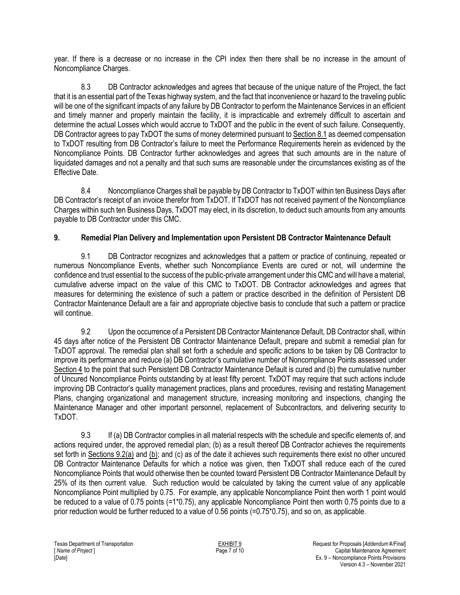year. If there is a decrease or no increase in the CPI index then there shall be no increase in the amount of Noncompliance Charges.

8.3 DB Contractor acknowledges and agrees that because of the unique nature of the Project, the fact that it is an essential part of the Texas highway system, and the fact that inconvenience or hazard to the traveling public will be one of the significant impacts of any failure by DB Contractor to perform the Maintenance Services in an efficient and timely manner and properly maintain the facility, it is impracticable and extremely difficult to ascertain and determine the actual Losses which would accrue to TxDOT and the public in the event of such failure. Consequently, DB Contractor agrees to pay TxDOT the sums of money determined pursuant to Section 8.1 as deemed compensation to TxDOT resulting from DB Contractor's failure to meet the Performance Requirements herein as evidenced by the Noncompliance Points. DB Contractor further acknowledges and agrees that such amounts are in the nature of liquidated damages and not a penalty and that such sums are reasonable under the circumstances existing as of the Effective Date.

8.4 Noncompliance Charges shall be payable by DB Contractor to TxDOT within ten Business Days after DB Contractor's receipt of an invoice therefor from TxDOT. If TxDOT has not received payment of the Noncompliance Charges within such ten Business Days, TxDOT may elect, in its discretion, to deduct such amounts from any amounts payable to DB Contractor under this CMC.

### **9. Remedial Plan Delivery and Implementation upon Persistent DB Contractor Maintenance Default**

9.1 DB Contractor recognizes and acknowledges that a pattern or practice of continuing, repeated or numerous Noncompliance Events, whether such Noncompliance Events are cured or not, will undermine the confidence and trust essential to the success of the public-private arrangement under this CMC and will have a material, cumulative adverse impact on the value of this CMC to TxDOT. DB Contractor acknowledges and agrees that measures for determining the existence of such a pattern or practice described in the definition of Persistent DB Contractor Maintenance Default are a fair and appropriate objective basis to conclude that such a pattern or practice will continue.

9.2 Upon the occurrence of a Persistent DB Contractor Maintenance Default, DB Contractor shall, within 45 days after notice of the Persistent DB Contractor Maintenance Default, prepare and submit a remedial plan for TxDOT approval. The remedial plan shall set forth a schedule and specific actions to be taken by DB Contractor to improve its performance and reduce (a) DB Contractor's cumulative number of Noncompliance Points assessed under Section 4 to the point that such Persistent DB Contractor Maintenance Default is cured and (b) the cumulative number of Uncured Noncompliance Points outstanding by at least fifty percent. TxDOT may require that such actions include improving DB Contractor's quality management practices, plans and procedures, revising and restating Management Plans, changing organizational and management structure, increasing monitoring and inspections, changing the Maintenance Manager and other important personnel, replacement of Subcontractors, and delivering security to TxDOT.

9.3 If (a) DB Contractor complies in all material respects with the schedule and specific elements of, and actions required under, the approved remedial plan; (b) as a result thereof DB Contractor achieves the requirements set forth in Sections 9.2(a) and (b); and (c) as of the date it achieves such requirements there exist no other uncured DB Contractor Maintenance Defaults for which a notice was given, then TxDOT shall reduce each of the cured Noncompliance Points that would otherwise then be counted toward Persistent DB Contractor Maintenance Default by 25% of its then current value. Such reduction would be calculated by taking the current value of any applicable Noncompliance Point multiplied by 0.75. For example, any applicable Noncompliance Point then worth 1 point would be reduced to a value of 0.75 points (=1\*0.75), any applicable Noncompliance Point then worth 0.75 points due to a prior reduction would be further reduced to a value of 0.56 points (=0.75\*0.75), and so on, as applicable.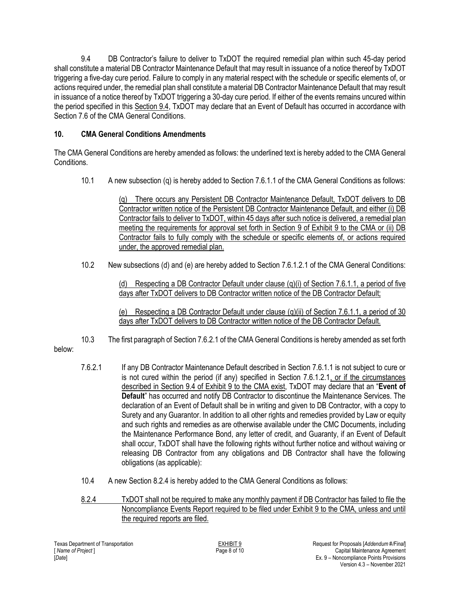9.4 DB Contractor's failure to deliver to TxDOT the required remedial plan within such 45-day period shall constitute a material DB Contractor Maintenance Default that may result in issuance of a notice thereof by TxDOT triggering a five-day cure period. Failure to comply in any material respect with the schedule or specific elements of, or actions required under, the remedial plan shall constitute a material DB Contractor Maintenance Default that may result in issuance of a notice thereof by TxDOT triggering a 30-day cure period. If either of the events remains uncured within the period specified in this Section 9.4, TxDOT may declare that an Event of Default has occurred in accordance with Section 7.6 of the CMA General Conditions.

## **10. CMA General Conditions Amendments**

The CMA General Conditions are hereby amended as follows: the underlined text is hereby added to the CMA General Conditions.

10.1 A new subsection (q) is hereby added to Section 7.6.1.1 of the CMA General Conditions as follows:

(q) There occurs any Persistent DB Contractor Maintenance Default, TxDOT delivers to DB Contractor written notice of the Persistent DB Contractor Maintenance Default, and either (i) DB Contractor fails to deliver to TxDOT, within 45 days after such notice is delivered, a remedial plan meeting the requirements for approval set forth in Section 9 of Exhibit 9 to the CMA or (ii) DB Contractor fails to fully comply with the schedule or specific elements of, or actions required under, the approved remedial plan.

10.2 New subsections (d) and (e) are hereby added to Section 7.6.1.2.1 of the CMA General Conditions:

(d) Respecting a DB Contractor Default under clause (q)(i) of Section 7.6.1.1, a period of five days after TxDOT delivers to DB Contractor written notice of the DB Contractor Default;

(e) Respecting a DB Contractor Default under clause (g)(ii) of Section 7.6.1.1, a period of 30 days after TxDOT delivers to DB Contractor written notice of the DB Contractor Default.

10.3 The first paragraph of Section 7.6.2.1 of the CMA General Conditions is hereby amended as set forth

below:

- 7.6.2.1 If any DB Contractor Maintenance Default described in Section 7.6.1.1 is not subject to cure or is not cured within the period (if any) specified in Section 7.6.1.2.1, or if the circumstances described in Section 9.4 of Exhibit 9 to the CMA exist, TxDOT may declare that an "**Event of Default**" has occurred and notify DB Contractor to discontinue the Maintenance Services. The declaration of an Event of Default shall be in writing and given to DB Contractor, with a copy to Surety and any Guarantor. In addition to all other rights and remedies provided by Law or equity and such rights and remedies as are otherwise available under the CMC Documents, including the Maintenance Performance Bond, any letter of credit, and Guaranty, if an Event of Default shall occur, TxDOT shall have the following rights without further notice and without waiving or releasing DB Contractor from any obligations and DB Contractor shall have the following obligations (as applicable):
- 10.4 A new Section 8.2.4 is hereby added to the CMA General Conditions as follows:
- 8.2.4 TxDOT shall not be required to make any monthly payment if DB Contractor has failed to file the Noncompliance Events Report required to be filed under Exhibit 9 to the CMA, unless and until the required reports are filed.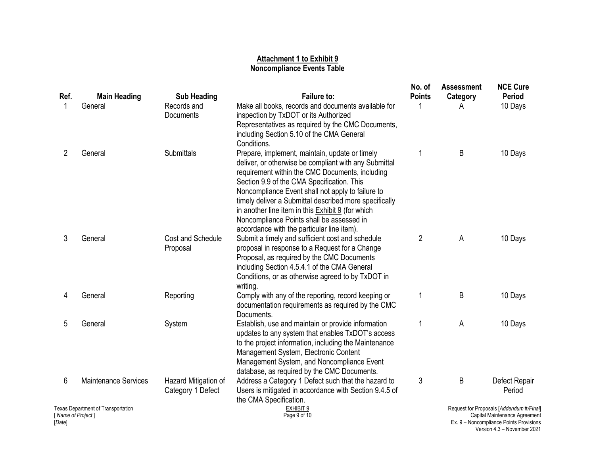#### **Attachment 1 to Exhibit 9 Noncompliance Events Table**

| Ref.                                                                       | <b>Main Heading</b>         | <b>Sub Heading</b>                        | <b>Failure to:</b>                                                                                                                                                                                                                                                                                                                                                                                                                                                             | No. of<br><b>Points</b> | <b>Assessment</b><br>Category                                                                                        | <b>NCE Cure</b><br>Period |  |
|----------------------------------------------------------------------------|-----------------------------|-------------------------------------------|--------------------------------------------------------------------------------------------------------------------------------------------------------------------------------------------------------------------------------------------------------------------------------------------------------------------------------------------------------------------------------------------------------------------------------------------------------------------------------|-------------------------|----------------------------------------------------------------------------------------------------------------------|---------------------------|--|
| 1                                                                          | General                     | Records and<br>Documents                  | Make all books, records and documents available for<br>inspection by TxDOT or its Authorized<br>Representatives as required by the CMC Documents,<br>including Section 5.10 of the CMA General<br>Conditions.                                                                                                                                                                                                                                                                  |                         | Α                                                                                                                    | 10 Days                   |  |
| 2                                                                          | General                     | Submittals                                | Prepare, implement, maintain, update or timely<br>deliver, or otherwise be compliant with any Submittal<br>requirement within the CMC Documents, including<br>Section 9.9 of the CMA Specification. This<br>Noncompliance Event shall not apply to failure to<br>timely deliver a Submittal described more specifically<br>in another line item in this <b>Exhibit 9</b> (for which<br>Noncompliance Points shall be assessed in<br>accordance with the particular line item). | 1                       | B                                                                                                                    | 10 Days                   |  |
| 3                                                                          | General                     | Cost and Schedule<br>Proposal             | Submit a timely and sufficient cost and schedule<br>proposal in response to a Request for a Change<br>Proposal, as required by the CMC Documents<br>including Section 4.5.4.1 of the CMA General<br>Conditions, or as otherwise agreed to by TxDOT in<br>writing.                                                                                                                                                                                                              | $\overline{2}$          | A                                                                                                                    | 10 Days                   |  |
| 4                                                                          | General                     | Reporting                                 | Comply with any of the reporting, record keeping or<br>documentation requirements as required by the CMC<br>Documents.                                                                                                                                                                                                                                                                                                                                                         | 1                       | B                                                                                                                    | 10 Days                   |  |
| 5                                                                          | General                     | System                                    | Establish, use and maintain or provide information<br>updates to any system that enables TxDOT's access<br>to the project information, including the Maintenance<br>Management System, Electronic Content<br>Management System, and Noncompliance Event<br>database, as required by the CMC Documents.                                                                                                                                                                         | 1                       | A                                                                                                                    | 10 Days                   |  |
| 6                                                                          | <b>Maintenance Services</b> | Hazard Mitigation of<br>Category 1 Defect | Address a Category 1 Defect such that the hazard to<br>Users is mitigated in accordance with Section 9.4.5 of<br>the CMA Specification.                                                                                                                                                                                                                                                                                                                                        | 3                       | B                                                                                                                    | Defect Repair<br>Period   |  |
| <b>Texas Department of Transportation</b><br>[ Name of Project ]<br>[Date] |                             |                                           | <b>EXHIBIT 9</b><br>Page 9 of 10                                                                                                                                                                                                                                                                                                                                                                                                                                               |                         | Request for Proposals [Addendum #/Final]<br>Capital Maintenance Agreement<br>Ex. 9 - Noncompliance Points Provisions |                           |  |

Version 4.3 – November 2021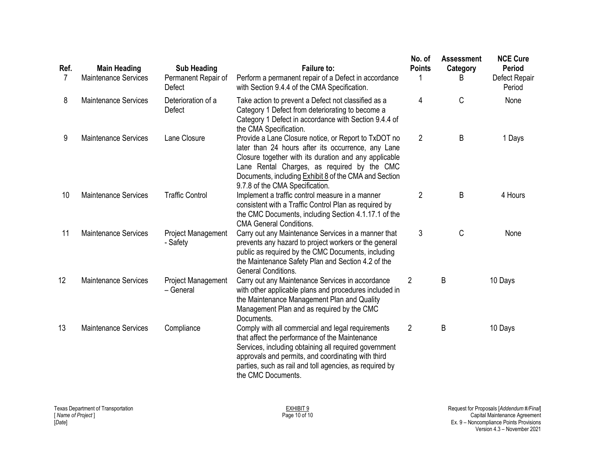| Ref.<br>7 | <b>Main Heading</b><br><b>Maintenance Services</b> | <b>Sub Heading</b><br>Permanent Repair of<br>Defect | <b>Failure to:</b><br>Perform a permanent repair of a Defect in accordance<br>with Section 9.4.4 of the CMA Specification.                                                                                                                                                                                     | No. of<br><b>Points</b> | <b>Assessment</b><br>Category<br>B | <b>NCE Cure</b><br><b>Period</b><br>Defect Repair<br>Period |
|-----------|----------------------------------------------------|-----------------------------------------------------|----------------------------------------------------------------------------------------------------------------------------------------------------------------------------------------------------------------------------------------------------------------------------------------------------------------|-------------------------|------------------------------------|-------------------------------------------------------------|
| 8         | <b>Maintenance Services</b>                        | Deterioration of a<br>Defect                        | Take action to prevent a Defect not classified as a<br>Category 1 Defect from deteriorating to become a<br>Category 1 Defect in accordance with Section 9.4.4 of<br>the CMA Specification.                                                                                                                     | 4                       | C                                  | None                                                        |
| 9         | <b>Maintenance Services</b>                        | Lane Closure                                        | Provide a Lane Closure notice, or Report to TxDOT no<br>later than 24 hours after its occurrence, any Lane<br>Closure together with its duration and any applicable<br>Lane Rental Charges, as required by the CMC<br>Documents, including Exhibit 8 of the CMA and Section<br>9.7.8 of the CMA Specification. | $\overline{2}$          | B                                  | 1 Days                                                      |
| 10        | <b>Maintenance Services</b>                        | <b>Traffic Control</b>                              | Implement a traffic control measure in a manner<br>consistent with a Traffic Control Plan as required by<br>the CMC Documents, including Section 4.1.17.1 of the<br><b>CMA General Conditions.</b>                                                                                                             | $\overline{2}$          | B                                  | 4 Hours                                                     |
| 11        | <b>Maintenance Services</b>                        | <b>Project Management</b><br>- Safety               | Carry out any Maintenance Services in a manner that<br>prevents any hazard to project workers or the general<br>public as required by the CMC Documents, including<br>the Maintenance Safety Plan and Section 4.2 of the<br><b>General Conditions.</b>                                                         | 3                       | $\mathsf C$                        | None                                                        |
| 12        | <b>Maintenance Services</b>                        | <b>Project Management</b><br>- General              | Carry out any Maintenance Services in accordance<br>with other applicable plans and procedures included in<br>the Maintenance Management Plan and Quality<br>Management Plan and as required by the CMC<br>Documents.                                                                                          | $\overline{2}$          | B                                  | 10 Days                                                     |
| 13        | <b>Maintenance Services</b>                        | Compliance                                          | Comply with all commercial and legal requirements<br>that affect the performance of the Maintenance<br>Services, including obtaining all required government<br>approvals and permits, and coordinating with third<br>parties, such as rail and toll agencies, as required by<br>the CMC Documents.            | $\overline{2}$          | B                                  | 10 Days                                                     |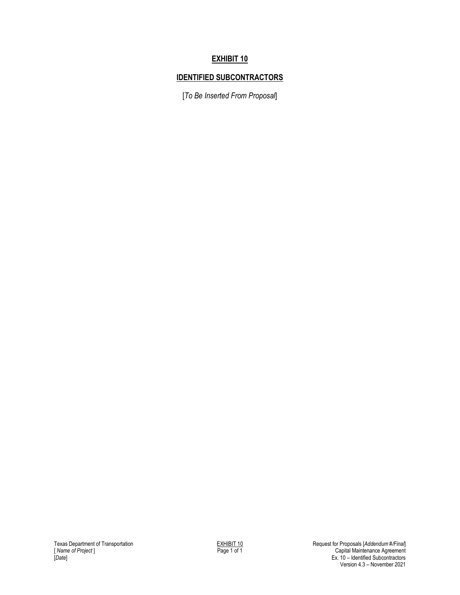## **EXHIBIT 10**

# **IDENTIFIED SUBCONTRACTORS**

[*To Be Inserted From Proposal*]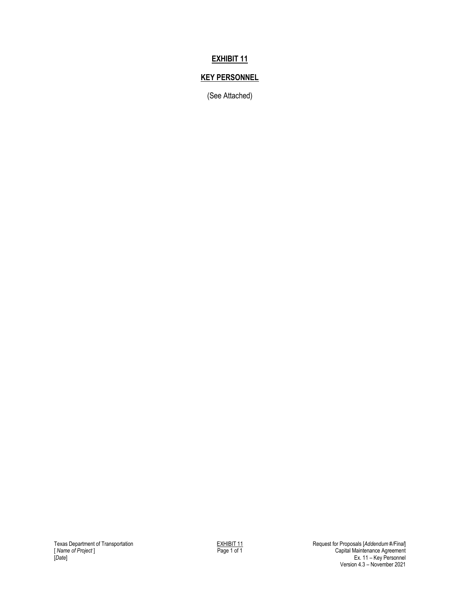## **EXHIBIT 11**

## **KEY PERSONNEL**

(See Attached)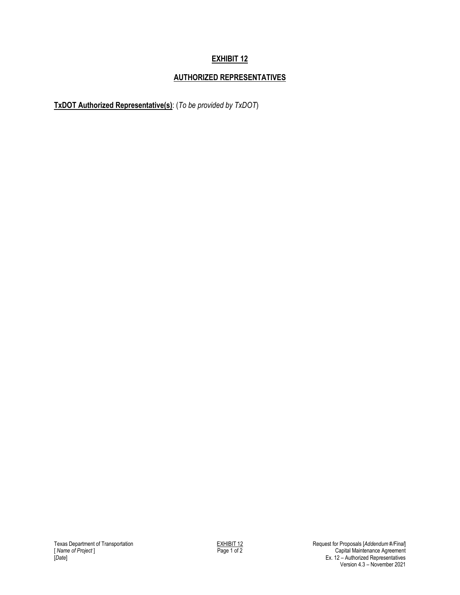# **AUTHORIZED REPRESENTATIVES**

**TxDOT Authorized Representative(s)**: (*To be provided by TxDOT*)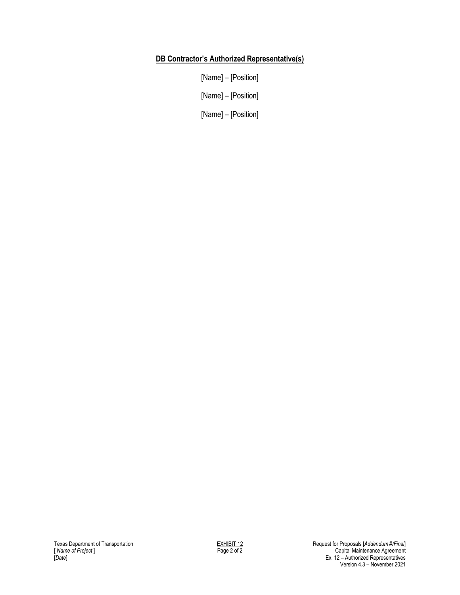### **DB Contractor's Authorized Representative(s)**

[Name] – [Position]

[Name] – [Position]

[Name] – [Position]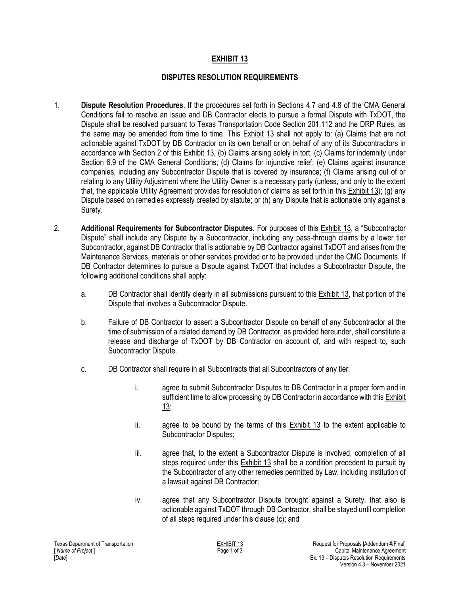#### **DISPUTES RESOLUTION REQUIREMENTS**

- 1. **Dispute Resolution Procedures**. If the procedures set forth in Sections 4.7 and 4.8 of the CMA General Conditions fail to resolve an issue and DB Contractor elects to pursue a formal Dispute with TxDOT, the Dispute shall be resolved pursuant to Texas Transportation Code Section 201.112 and the DRP Rules, as the same may be amended from time to time. This Exhibit 13 shall not apply to: (a) Claims that are not actionable against TxDOT by DB Contractor on its own behalf or on behalf of any of its Subcontractors in accordance with Section 2 of this **Exhibit 13**, (b) Claims arising solely in tort; (c) Claims for indemnity under Section 6.9 of the CMA General Conditions; (d) Claims for injunctive relief; (e) Claims against insurance companies, including any Subcontractor Dispute that is covered by insurance; (f) Claims arising out of or relating to any Utility Adjustment where the Utility Owner is a necessary party (unless, and only to the extent that, the applicable Utility Agreement provides for resolution of claims as set forth in this Exhibit 13); (g) any Dispute based on remedies expressly created by statute; or (h) any Dispute that is actionable only against a Surety.
- 2. **Additional Requirements for Subcontractor Disputes**. For purposes of this Exhibit 13, a "Subcontractor Dispute" shall include any Dispute by a Subcontractor, including any pass-through claims by a lower tier Subcontractor, against DB Contractor that is actionable by DB Contractor against TxDOT and arises from the Maintenance Services, materials or other services provided or to be provided under the CMC Documents. If DB Contractor determines to pursue a Dispute against TxDOT that includes a Subcontractor Dispute, the following additional conditions shall apply:
	- a. DB Contractor shall identify clearly in all submissions pursuant to this Exhibit 13, that portion of the Dispute that involves a Subcontractor Dispute.
	- b. Failure of DB Contractor to assert a Subcontractor Dispute on behalf of any Subcontractor at the time of submission of a related demand by DB Contractor, as provided hereunder, shall constitute a release and discharge of TxDOT by DB Contractor on account of, and with respect to, such Subcontractor Dispute.
	- c. DB Contractor shall require in all Subcontracts that all Subcontractors of any tier:
		- i. agree to submit Subcontractor Disputes to DB Contractor in a proper form and in sufficient time to allow processing by DB Contractor in accordance with this Exhibit 13;
		- ii. agree to be bound by the terms of this Exhibit 13 to the extent applicable to Subcontractor Disputes;
		- iii. agree that, to the extent a Subcontractor Dispute is involved, completion of all steps required under this  $Exhibit 13$  shall be a condition precedent to pursuit by the Subcontractor of any other remedies permitted by Law, including institution of a lawsuit against DB Contractor;
		- iv. agree that any Subcontractor Dispute brought against a Surety, that also is actionable against TxDOT through DB Contractor, shall be stayed until completion of all steps required under this clause (c); and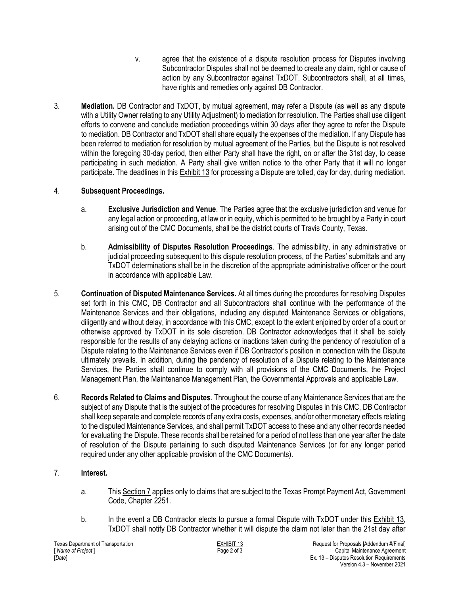- v. agree that the existence of a dispute resolution process for Disputes involving Subcontractor Disputes shall not be deemed to create any claim, right or cause of action by any Subcontractor against TxDOT. Subcontractors shall, at all times, have rights and remedies only against DB Contractor.
- 3. **Mediation.** DB Contractor and TxDOT, by mutual agreement, may refer a Dispute (as well as any dispute with a Utility Owner relating to any Utility Adjustment) to mediation for resolution. The Parties shall use diligent efforts to convene and conclude mediation proceedings within 30 days after they agree to refer the Dispute to mediation. DB Contractor and TxDOT shall share equally the expenses of the mediation. If any Dispute has been referred to mediation for resolution by mutual agreement of the Parties, but the Dispute is not resolved within the foregoing 30-day period, then either Party shall have the right, on or after the 31st day, to cease participating in such mediation. A Party shall give written notice to the other Party that it will no longer participate. The deadlines in this Exhibit 13 for processing a Dispute are tolled, day for day, during mediation.

### 4. **Subsequent Proceedings.**

- a. **Exclusive Jurisdiction and Venue**. The Parties agree that the exclusive jurisdiction and venue for any legal action or proceeding, at law or in equity, which is permitted to be brought by a Party in court arising out of the CMC Documents, shall be the district courts of Travis County, Texas.
- b. **Admissibility of Disputes Resolution Proceedings**. The admissibility, in any administrative or judicial proceeding subsequent to this dispute resolution process, of the Parties' submittals and any TxDOT determinations shall be in the discretion of the appropriate administrative officer or the court in accordance with applicable Law.
- 5. **Continuation of Disputed Maintenance Services.** At all times during the procedures for resolving Disputes set forth in this CMC, DB Contractor and all Subcontractors shall continue with the performance of the Maintenance Services and their obligations, including any disputed Maintenance Services or obligations, diligently and without delay, in accordance with this CMC, except to the extent enjoined by order of a court or otherwise approved by TxDOT in its sole discretion. DB Contractor acknowledges that it shall be solely responsible for the results of any delaying actions or inactions taken during the pendency of resolution of a Dispute relating to the Maintenance Services even if DB Contractor's position in connection with the Dispute ultimately prevails. In addition, during the pendency of resolution of a Dispute relating to the Maintenance Services, the Parties shall continue to comply with all provisions of the CMC Documents, the Project Management Plan, the Maintenance Management Plan, the Governmental Approvals and applicable Law.
- 6. **Records Related to Claims and Disputes**. Throughout the course of any Maintenance Services that are the subject of any Dispute that is the subject of the procedures for resolving Disputes in this CMC, DB Contractor shall keep separate and complete records of any extra costs, expenses, and/or other monetary effects relating to the disputed Maintenance Services, and shall permit TxDOT access to these and any other records needed for evaluating the Dispute. These records shall be retained for a period of not less than one year after the date of resolution of the Dispute pertaining to such disputed Maintenance Services (or for any longer period required under any other applicable provision of the CMC Documents).

### 7. **Interest.**

- a. This Section 7 applies only to claims that are subject to the Texas Prompt Payment Act, Government Code, Chapter 2251.
- b. In the event a DB Contractor elects to pursue a formal Dispute with TxDOT under this Exhibit 13, TxDOT shall notify DB Contractor whether it will dispute the claim not later than the 21st day after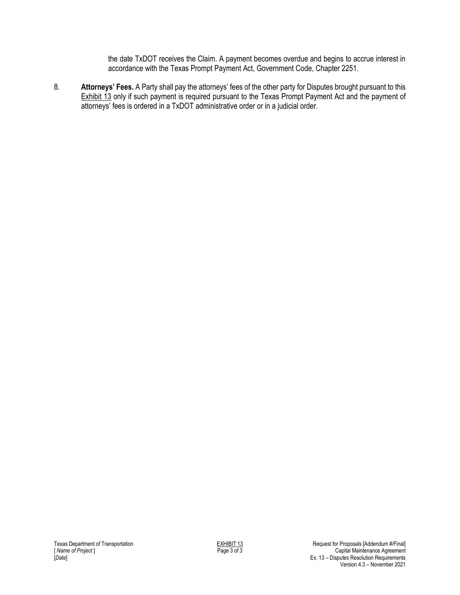the date TxDOT receives the Claim. A payment becomes overdue and begins to accrue interest in accordance with the Texas Prompt Payment Act, Government Code, Chapter 2251.

8. **Attorneys' Fees.** A Party shall pay the attorneys' fees of the other party for Disputes brought pursuant to this Exhibit 13 only if such payment is required pursuant to the Texas Prompt Payment Act and the payment of attorneys' fees is ordered in a TxDOT administrative order or in a judicial order.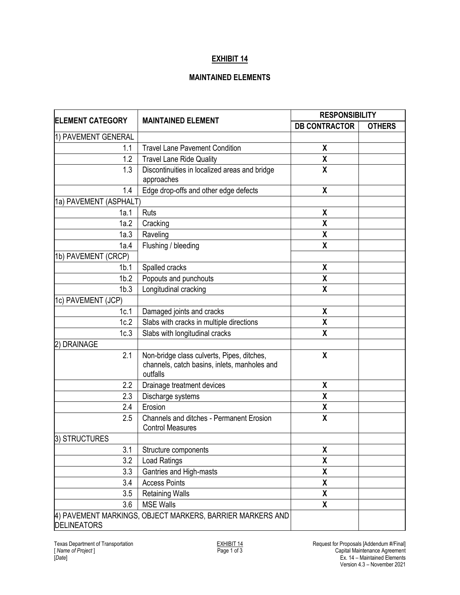#### **MAINTAINED ELEMENTS**

| <b>ELEMENT CATEGORY</b> | <b>MAINTAINED ELEMENT</b>                                                                              | <b>RESPONSIBILITY</b>     |               |
|-------------------------|--------------------------------------------------------------------------------------------------------|---------------------------|---------------|
|                         |                                                                                                        | <b>DB CONTRACTOR</b>      | <b>OTHERS</b> |
| 1) PAVEMENT GENERAL     |                                                                                                        |                           |               |
| 1.1                     | <b>Travel Lane Pavement Condition</b>                                                                  | χ                         |               |
| 1.2                     | <b>Travel Lane Ride Quality</b>                                                                        | $\pmb{\mathsf{X}}$        |               |
| 1.3                     | Discontinuities in localized areas and bridge                                                          | $\pmb{\mathsf{X}}$        |               |
|                         | approaches                                                                                             |                           |               |
| 1.4                     | Edge drop-offs and other edge defects                                                                  | $\pmb{\mathsf{X}}$        |               |
| 1a) PAVEMENT (ASPHALT)  |                                                                                                        |                           |               |
| 1a.1                    | Ruts                                                                                                   | X                         |               |
| 1a.2                    | Cracking                                                                                               | χ                         |               |
| 1a.3                    | Raveling                                                                                               | χ                         |               |
| 1a.4                    | Flushing / bleeding                                                                                    | $\boldsymbol{\mathsf{X}}$ |               |
| 1b) PAVEMENT (CRCP)     |                                                                                                        |                           |               |
| 1 <sub>b.1</sub>        | Spalled cracks                                                                                         | χ                         |               |
| 1 <sub>b.2</sub>        | Popouts and punchouts                                                                                  | χ                         |               |
| 1 <sub>b.3</sub>        | Longitudinal cracking                                                                                  | χ                         |               |
| 1c) PAVEMENT (JCP)      |                                                                                                        |                           |               |
| 1c.1                    | Damaged joints and cracks                                                                              | $\pmb{\mathsf{X}}$        |               |
| 1c.2                    | Slabs with cracks in multiple directions                                                               | χ                         |               |
| 1c.3                    | Slabs with longitudinal cracks                                                                         | X                         |               |
| <b>DRAINAGE</b><br>2)   |                                                                                                        |                           |               |
| 2.1                     | Non-bridge class culverts, Pipes, ditches,<br>channels, catch basins, inlets, manholes and<br>outfalls | X                         |               |
| 2.2                     | Drainage treatment devices                                                                             | χ                         |               |
| 2.3                     | Discharge systems                                                                                      | χ                         |               |
| 2.4                     | Erosion                                                                                                | χ                         |               |
| 2.5                     | <b>Channels and ditches - Permanent Erosion</b><br><b>Control Measures</b>                             | $\boldsymbol{\mathsf{X}}$ |               |
| 3) STRUCTURES           |                                                                                                        |                           |               |
| 3.1                     | Structure components                                                                                   | χ                         |               |
| 3.2                     | Load Ratings                                                                                           | χ                         |               |
| 3.3                     | Gantries and High-masts                                                                                | χ                         |               |
| 3.4                     | <b>Access Points</b>                                                                                   | χ                         |               |
| 3.5                     | <b>Retaining Walls</b>                                                                                 | χ                         |               |
| 3.6                     | <b>MSE Walls</b>                                                                                       | χ                         |               |
| <b>DELINEATORS</b>      | 4) PAVEMENT MARKINGS, OBJECT MARKERS, BARRIER MARKERS AND                                              |                           |               |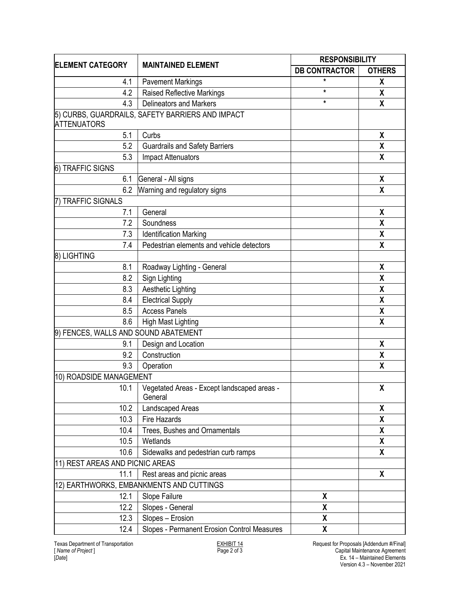| <b>ELEMENT CATEGORY</b>              | <b>MAINTAINED ELEMENT</b>                              | <b>RESPONSIBILITY</b> |                           |
|--------------------------------------|--------------------------------------------------------|-----------------------|---------------------------|
|                                      |                                                        | <b>DB CONTRACTOR</b>  | <b>OTHERS</b>             |
| 4.1                                  | <b>Pavement Markings</b>                               | $\star$               | X                         |
| 4.2                                  | <b>Raised Reflective Markings</b>                      | $\star$               | χ                         |
| 4.3                                  | <b>Delineators and Markers</b>                         | $\star$               | $\pmb{\chi}$              |
|                                      | 5) CURBS, GUARDRAILS, SAFETY BARRIERS AND IMPACT       |                       |                           |
| <b>ATTENUATORS</b>                   |                                                        |                       |                           |
| 5.1                                  | Curbs                                                  |                       | X                         |
| 5.2                                  | <b>Guardrails and Safety Barriers</b>                  |                       | χ                         |
| 5.3                                  | <b>Impact Attenuators</b>                              |                       | X                         |
| 6) TRAFFIC SIGNS                     |                                                        |                       |                           |
| 6.1                                  | General - All signs                                    |                       | $\pmb{\mathsf{X}}$        |
| 6.2                                  | Warning and regulatory signs                           |                       | $\pmb{\chi}$              |
| <b>TRAFFIC SIGNALS</b>               |                                                        |                       |                           |
| 7.1                                  | General                                                |                       | χ                         |
| 7.2                                  | Soundness                                              |                       | X                         |
| 7.3                                  | <b>Identification Marking</b>                          |                       | $\boldsymbol{\mathsf{X}}$ |
| 7.4                                  | Pedestrian elements and vehicle detectors              |                       | $\pmb{\chi}$              |
| 8) LIGHTING                          |                                                        |                       |                           |
| 8.1                                  | Roadway Lighting - General                             |                       | $\pmb{\chi}$              |
| 8.2                                  | Sign Lighting                                          |                       | χ                         |
| 8.3                                  | Aesthetic Lighting                                     |                       | $\pmb{\mathsf{X}}$        |
| 8.4                                  | <b>Electrical Supply</b>                               |                       | X                         |
| 8.5                                  | <b>Access Panels</b>                                   |                       | X                         |
| 8.6                                  | <b>High Mast Lighting</b>                              |                       | X                         |
| 9) FENCES, WALLS AND SOUND ABATEMENT |                                                        |                       |                           |
| 9.1                                  | Design and Location                                    |                       | χ                         |
| 9.2                                  | Construction                                           |                       | X                         |
| 9.3                                  | Operation                                              |                       | χ                         |
| 10) ROADSIDE MANAGEMENT              |                                                        |                       |                           |
| 10.1                                 | Vegetated Areas - Except landscaped areas -<br>General |                       | $\pmb{\chi}$              |
| 10.2                                 | Landscaped Areas                                       |                       | X                         |
| 10.3                                 | Fire Hazards                                           |                       | χ                         |
| 10.4                                 | Trees, Bushes and Ornamentals                          |                       | χ                         |
| 10.5                                 | Wetlands                                               |                       | $\pmb{\mathsf{X}}$        |
| 10.6                                 | Sidewalks and pedestrian curb ramps                    |                       | X                         |
| 11) REST AREAS AND PICNIC AREAS      |                                                        |                       |                           |
| 11.1                                 | Rest areas and picnic areas                            |                       | X                         |
|                                      | 12) EARTHWORKS, EMBANKMENTS AND CUTTINGS               |                       |                           |
| 12.1                                 | Slope Failure                                          | χ                     |                           |
| 12.2                                 | Slopes - General                                       | χ                     |                           |
| 12.3                                 | Slopes - Erosion                                       | χ                     |                           |
| 12.4                                 | Slopes - Permanent Erosion Control Measures            | χ                     |                           |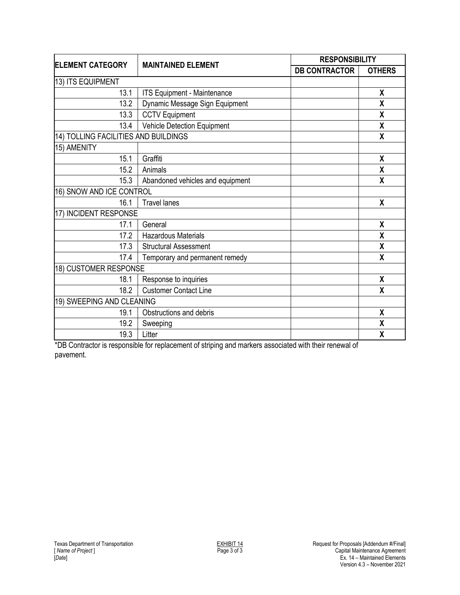| <b>ELEMENT CATEGORY</b>              | <b>MAINTAINED ELEMENT</b>        |                      | <b>RESPONSIBILITY</b> |  |
|--------------------------------------|----------------------------------|----------------------|-----------------------|--|
|                                      |                                  | <b>DB CONTRACTOR</b> | <b>OTHERS</b>         |  |
| 13) ITS EQUIPMENT                    |                                  |                      |                       |  |
| 13.1                                 | ITS Equipment - Maintenance      |                      | X                     |  |
| 13.2                                 | Dynamic Message Sign Equipment   |                      | X                     |  |
| 13.3                                 | <b>CCTV Equipment</b>            |                      | X                     |  |
| 13.4                                 | Vehicle Detection Equipment      |                      | χ                     |  |
| 14) TOLLING FACILITIES AND BUILDINGS |                                  |                      | X                     |  |
| 15) AMENITY                          |                                  |                      |                       |  |
| 15.1                                 | Graffiti                         |                      | X                     |  |
| 15.2                                 | Animals                          |                      | X                     |  |
| 15.3                                 | Abandoned vehicles and equipment |                      | X                     |  |
| 16) SNOW AND ICE CONTROL             |                                  |                      |                       |  |
| 16.1                                 | <b>Travel lanes</b>              |                      | X                     |  |
| 17) INCIDENT RESPONSE                |                                  |                      |                       |  |
| 17.1                                 | General                          |                      | X                     |  |
| 17.2                                 | <b>Hazardous Materials</b>       |                      | χ                     |  |
| 17.3                                 | <b>Structural Assessment</b>     |                      | X                     |  |
| 17.4                                 | Temporary and permanent remedy   |                      | X                     |  |
| 18) CUSTOMER RESPONSE                |                                  |                      |                       |  |
| 18.1                                 | Response to inquiries            |                      | χ                     |  |
| 18.2                                 | <b>Customer Contact Line</b>     |                      | X                     |  |
| 19) SWEEPING AND CLEANING            |                                  |                      |                       |  |
| 19.1                                 | Obstructions and debris          |                      | X                     |  |
| 19.2                                 | Sweeping                         |                      | X                     |  |
| 19.3                                 | Litter                           |                      | χ                     |  |

\*DB Contractor is responsible for replacement of striping and markers associated with their renewal of pavement.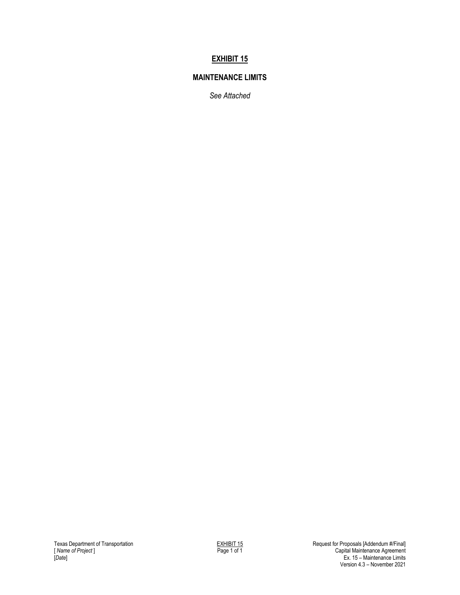#### **MAINTENANCE LIMITS**

*See Attached*